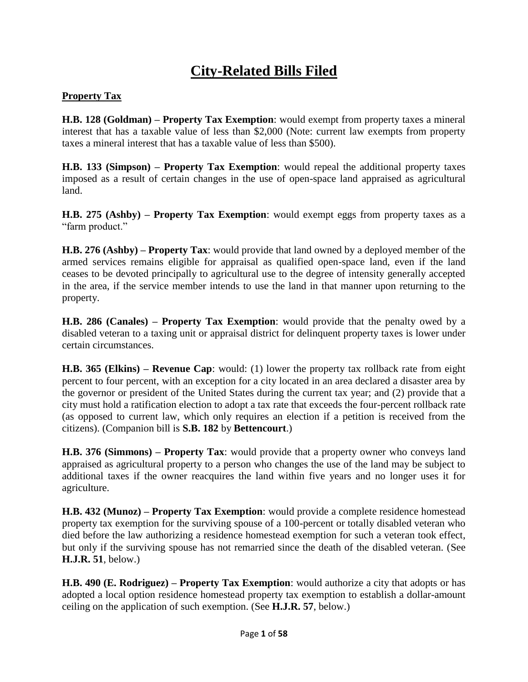# **City-Related Bills Filed**

#### **Property Tax**

**H.B. 128 (Goldman) – Property Tax Exemption**: would exempt from property taxes a mineral interest that has a taxable value of less than \$2,000 (Note: current law exempts from property taxes a mineral interest that has a taxable value of less than \$500).

**H.B. 133 (Simpson) – Property Tax Exemption**: would repeal the additional property taxes imposed as a result of certain changes in the use of open-space land appraised as agricultural land.

**H.B. 275 (Ashby) – Property Tax Exemption**: would exempt eggs from property taxes as a "farm product."

**H.B. 276 (Ashby) – Property Tax**: would provide that land owned by a deployed member of the armed services remains eligible for appraisal as qualified open-space land, even if the land ceases to be devoted principally to agricultural use to the degree of intensity generally accepted in the area, if the service member intends to use the land in that manner upon returning to the property.

**H.B. 286 (Canales) – Property Tax Exemption**: would provide that the penalty owed by a disabled veteran to a taxing unit or appraisal district for delinquent property taxes is lower under certain circumstances.

**H.B. 365 (Elkins) – Revenue Cap**: would: (1) lower the property tax rollback rate from eight percent to four percent, with an exception for a city located in an area declared a disaster area by the governor or president of the United States during the current tax year; and (2) provide that a city must hold a ratification election to adopt a tax rate that exceeds the four-percent rollback rate (as opposed to current law, which only requires an election if a petition is received from the citizens). (Companion bill is **S.B. 182** by **Bettencourt**.)

**H.B. 376 (Simmons) – Property Tax**: would provide that a property owner who conveys land appraised as agricultural property to a person who changes the use of the land may be subject to additional taxes if the owner reacquires the land within five years and no longer uses it for agriculture.

**H.B. 432 (Munoz) – Property Tax Exemption**: would provide a complete residence homestead property tax exemption for the surviving spouse of a 100-percent or totally disabled veteran who died before the law authorizing a residence homestead exemption for such a veteran took effect, but only if the surviving spouse has not remarried since the death of the disabled veteran. (See **H.J.R. 51**, below.)

**H.B. 490 (E. Rodriguez) – Property Tax Exemption**: would authorize a city that adopts or has adopted a local option residence homestead property tax exemption to establish a dollar-amount ceiling on the application of such exemption. (See **H.J.R. 57**, below.)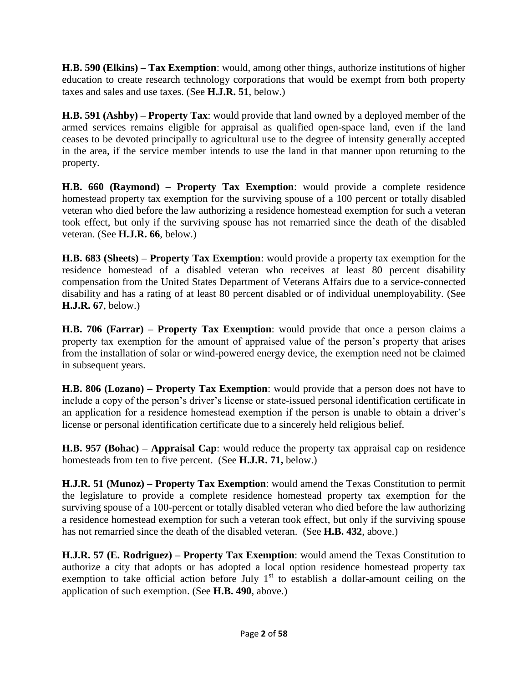**H.B. 590 (Elkins) – Tax Exemption**: would, among other things, authorize institutions of higher education to create research technology corporations that would be exempt from both property taxes and sales and use taxes. (See **H.J.R. 51**, below.)

**H.B. 591 (Ashby) – Property Tax**: would provide that land owned by a deployed member of the armed services remains eligible for appraisal as qualified open-space land, even if the land ceases to be devoted principally to agricultural use to the degree of intensity generally accepted in the area, if the service member intends to use the land in that manner upon returning to the property.

**H.B. 660 (Raymond) – Property Tax Exemption**: would provide a complete residence homestead property tax exemption for the surviving spouse of a 100 percent or totally disabled veteran who died before the law authorizing a residence homestead exemption for such a veteran took effect, but only if the surviving spouse has not remarried since the death of the disabled veteran. (See **H.J.R. 66**, below.)

**H.B. 683 (Sheets) – Property Tax Exemption**: would provide a property tax exemption for the residence homestead of a disabled veteran who receives at least 80 percent disability compensation from the United States Department of Veterans Affairs due to a service-connected disability and has a rating of at least 80 percent disabled or of individual unemployability. (See **H.J.R. 67**, below.)

**H.B. 706 (Farrar) – Property Tax Exemption**: would provide that once a person claims a property tax exemption for the amount of appraised value of the person's property that arises from the installation of solar or wind-powered energy device, the exemption need not be claimed in subsequent years.

**H.B. 806 (Lozano) – Property Tax Exemption**: would provide that a person does not have to include a copy of the person's driver's license or state-issued personal identification certificate in an application for a residence homestead exemption if the person is unable to obtain a driver's license or personal identification certificate due to a sincerely held religious belief.

**H.B. 957 (Bohac) – Appraisal Cap**: would reduce the property tax appraisal cap on residence homesteads from ten to five percent. (See **H.J.R. 71,** below.)

**H.J.R. 51 (Munoz) – Property Tax Exemption**: would amend the Texas Constitution to permit the legislature to provide a complete residence homestead property tax exemption for the surviving spouse of a 100-percent or totally disabled veteran who died before the law authorizing a residence homestead exemption for such a veteran took effect, but only if the surviving spouse has not remarried since the death of the disabled veteran. (See **H.B. 432**, above.)

**H.J.R. 57 (E. Rodriguez) – Property Tax Exemption**: would amend the Texas Constitution to authorize a city that adopts or has adopted a local option residence homestead property tax exemption to take official action before July  $1<sup>st</sup>$  to establish a dollar-amount ceiling on the application of such exemption. (See **H.B. 490**, above.)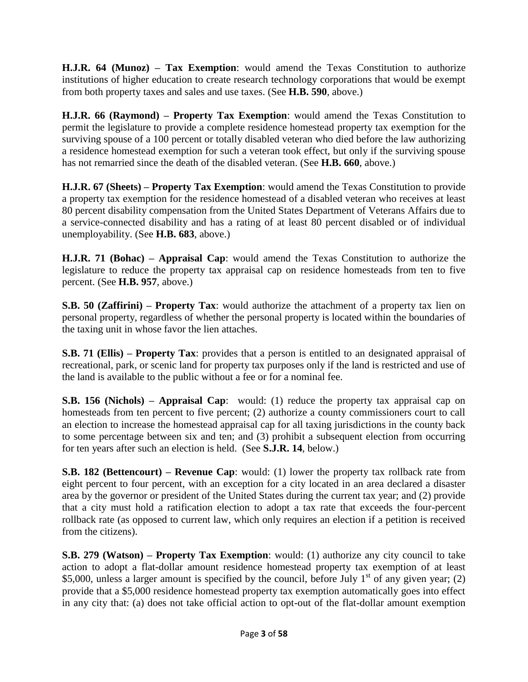**H.J.R. 64 (Munoz) – Tax Exemption**: would amend the Texas Constitution to authorize institutions of higher education to create research technology corporations that would be exempt from both property taxes and sales and use taxes. (See **H.B. 590**, above.)

**H.J.R. 66 (Raymond) – Property Tax Exemption**: would amend the Texas Constitution to permit the legislature to provide a complete residence homestead property tax exemption for the surviving spouse of a 100 percent or totally disabled veteran who died before the law authorizing a residence homestead exemption for such a veteran took effect, but only if the surviving spouse has not remarried since the death of the disabled veteran. (See **H.B. 660**, above.)

**H.J.R. 67 (Sheets) – Property Tax Exemption**: would amend the Texas Constitution to provide a property tax exemption for the residence homestead of a disabled veteran who receives at least 80 percent disability compensation from the United States Department of Veterans Affairs due to a service-connected disability and has a rating of at least 80 percent disabled or of individual unemployability. (See **H.B. 683**, above.)

**H.J.R. 71 (Bohac) – Appraisal Cap**: would amend the Texas Constitution to authorize the legislature to reduce the property tax appraisal cap on residence homesteads from ten to five percent. (See **H.B. 957**, above.)

**S.B. 50 (Zaffirini) – Property Tax**: would authorize the attachment of a property tax lien on personal property, regardless of whether the personal property is located within the boundaries of the taxing unit in whose favor the lien attaches.

**S.B. 71 (Ellis) – Property Tax**: provides that a person is entitled to an designated appraisal of recreational, park, or scenic land for property tax purposes only if the land is restricted and use of the land is available to the public without a fee or for a nominal fee.

**S.B. 156 (Nichols) – Appraisal Cap**: would: (1) reduce the property tax appraisal cap on homesteads from ten percent to five percent; (2) authorize a county commissioners court to call an election to increase the homestead appraisal cap for all taxing jurisdictions in the county back to some percentage between six and ten; and (3) prohibit a subsequent election from occurring for ten years after such an election is held. (See **S.J.R. 14**, below.)

**S.B. 182 (Bettencourt) – Revenue Cap**: would: (1) lower the property tax rollback rate from eight percent to four percent, with an exception for a city located in an area declared a disaster area by the governor or president of the United States during the current tax year; and (2) provide that a city must hold a ratification election to adopt a tax rate that exceeds the four-percent rollback rate (as opposed to current law, which only requires an election if a petition is received from the citizens).

**S.B. 279 (Watson) – Property Tax Exemption**: would: (1) authorize any city council to take action to adopt a flat-dollar amount residence homestead property tax exemption of at least \$5,000, unless a larger amount is specified by the council, before July  $1<sup>st</sup>$  of any given year; (2) provide that a \$5,000 residence homestead property tax exemption automatically goes into effect in any city that: (a) does not take official action to opt-out of the flat-dollar amount exemption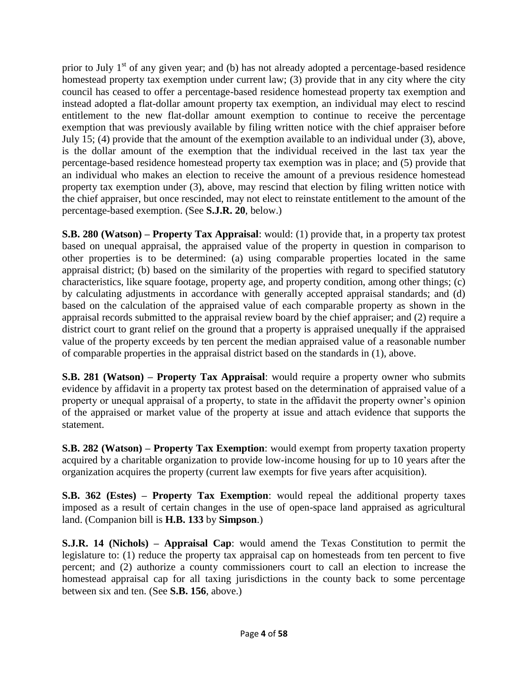prior to July  $1<sup>st</sup>$  of any given year; and (b) has not already adopted a percentage-based residence homestead property tax exemption under current law; (3) provide that in any city where the city council has ceased to offer a percentage-based residence homestead property tax exemption and instead adopted a flat-dollar amount property tax exemption, an individual may elect to rescind entitlement to the new flat-dollar amount exemption to continue to receive the percentage exemption that was previously available by filing written notice with the chief appraiser before July 15; (4) provide that the amount of the exemption available to an individual under (3), above, is the dollar amount of the exemption that the individual received in the last tax year the percentage-based residence homestead property tax exemption was in place; and (5) provide that an individual who makes an election to receive the amount of a previous residence homestead property tax exemption under (3), above, may rescind that election by filing written notice with the chief appraiser, but once rescinded, may not elect to reinstate entitlement to the amount of the percentage-based exemption. (See **S.J.R. 20**, below.)

**S.B. 280 (Watson) – Property Tax Appraisal**: would: (1) provide that, in a property tax protest based on unequal appraisal, the appraised value of the property in question in comparison to other properties is to be determined: (a) using comparable properties located in the same appraisal district; (b) based on the similarity of the properties with regard to specified statutory characteristics, like square footage, property age, and property condition, among other things; (c) by calculating adjustments in accordance with generally accepted appraisal standards; and (d) based on the calculation of the appraised value of each comparable property as shown in the appraisal records submitted to the appraisal review board by the chief appraiser; and (2) require a district court to grant relief on the ground that a property is appraised unequally if the appraised value of the property exceeds by ten percent the median appraised value of a reasonable number of comparable properties in the appraisal district based on the standards in (1), above.

**S.B. 281 (Watson) – Property Tax Appraisal**: would require a property owner who submits evidence by affidavit in a property tax protest based on the determination of appraised value of a property or unequal appraisal of a property, to state in the affidavit the property owner's opinion of the appraised or market value of the property at issue and attach evidence that supports the statement.

**S.B. 282 (Watson) – Property Tax Exemption**: would exempt from property taxation property acquired by a charitable organization to provide low-income housing for up to 10 years after the organization acquires the property (current law exempts for five years after acquisition).

**S.B. 362 (Estes) – Property Tax Exemption**: would repeal the additional property taxes imposed as a result of certain changes in the use of open-space land appraised as agricultural land. (Companion bill is **H.B. 133** by **Simpson**.)

**S.J.R. 14 (Nichols) – Appraisal Cap**: would amend the Texas Constitution to permit the legislature to: (1) reduce the property tax appraisal cap on homesteads from ten percent to five percent; and (2) authorize a county commissioners court to call an election to increase the homestead appraisal cap for all taxing jurisdictions in the county back to some percentage between six and ten. (See **S.B. 156**, above.)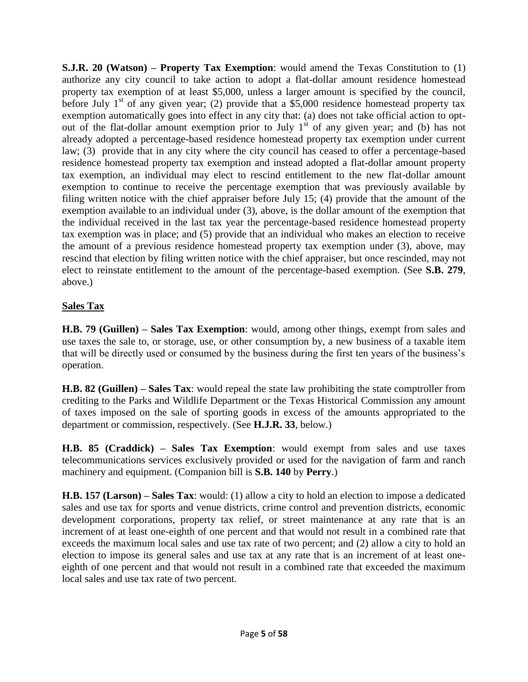**S.J.R. 20 (Watson) – Property Tax Exemption**: would amend the Texas Constitution to (1) authorize any city council to take action to adopt a flat-dollar amount residence homestead property tax exemption of at least \$5,000, unless a larger amount is specified by the council, before July  $1<sup>st</sup>$  of any given year; (2) provide that a \$5,000 residence homestead property tax exemption automatically goes into effect in any city that: (a) does not take official action to optout of the flat-dollar amount exemption prior to July  $1<sup>st</sup>$  of any given year; and (b) has not already adopted a percentage-based residence homestead property tax exemption under current law; (3) provide that in any city where the city council has ceased to offer a percentage-based residence homestead property tax exemption and instead adopted a flat-dollar amount property tax exemption, an individual may elect to rescind entitlement to the new flat-dollar amount exemption to continue to receive the percentage exemption that was previously available by filing written notice with the chief appraiser before July 15; (4) provide that the amount of the exemption available to an individual under (3), above, is the dollar amount of the exemption that the individual received in the last tax year the percentage-based residence homestead property tax exemption was in place; and (5) provide that an individual who makes an election to receive the amount of a previous residence homestead property tax exemption under (3), above, may rescind that election by filing written notice with the chief appraiser, but once rescinded, may not elect to reinstate entitlement to the amount of the percentage-based exemption. (See **S.B. 279**, above.)

### **Sales Tax**

**H.B. 79 (Guillen) – Sales Tax Exemption**: would, among other things, exempt from sales and use taxes the sale to, or storage, use, or other consumption by, a new business of a taxable item that will be directly used or consumed by the business during the first ten years of the business's operation.

**H.B. 82 (Guillen) – Sales Tax**: would repeal the state law prohibiting the state comptroller from crediting to the Parks and Wildlife Department or the Texas Historical Commission any amount of taxes imposed on the sale of sporting goods in excess of the amounts appropriated to the department or commission, respectively. (See **H.J.R. 33**, below.)

**H.B. 85 (Craddick) – Sales Tax Exemption**: would exempt from sales and use taxes telecommunications services exclusively provided or used for the navigation of farm and ranch machinery and equipment. (Companion bill is **S.B. 140** by **Perry**.)

**H.B. 157 (Larson) – Sales Tax**: would: (1) allow a city to hold an election to impose a dedicated sales and use tax for sports and venue districts, crime control and prevention districts, economic development corporations, property tax relief, or street maintenance at any rate that is an increment of at least one-eighth of one percent and that would not result in a combined rate that exceeds the maximum local sales and use tax rate of two percent; and (2) allow a city to hold an election to impose its general sales and use tax at any rate that is an increment of at least oneeighth of one percent and that would not result in a combined rate that exceeded the maximum local sales and use tax rate of two percent.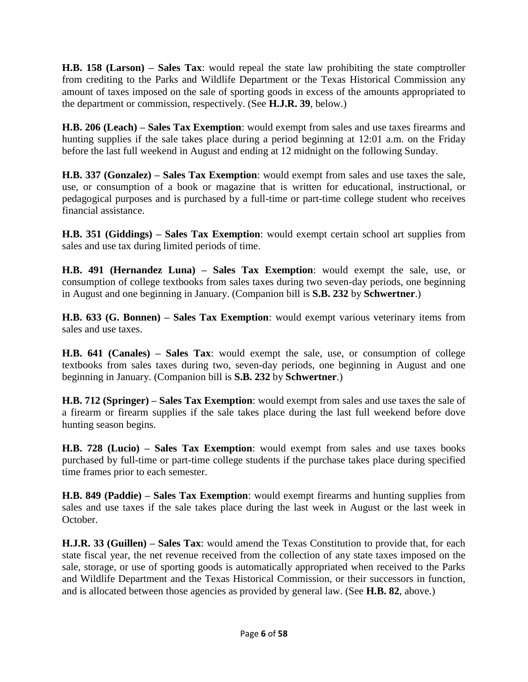**H.B. 158 (Larson) – Sales Tax**: would repeal the state law prohibiting the state comptroller from crediting to the Parks and Wildlife Department or the Texas Historical Commission any amount of taxes imposed on the sale of sporting goods in excess of the amounts appropriated to the department or commission, respectively. (See **H.J.R. 39**, below.)

**H.B. 206 (Leach) – Sales Tax Exemption**: would exempt from sales and use taxes firearms and hunting supplies if the sale takes place during a period beginning at 12:01 a.m. on the Friday before the last full weekend in August and ending at 12 midnight on the following Sunday.

**H.B. 337 (Gonzalez) – Sales Tax Exemption**: would exempt from sales and use taxes the sale, use, or consumption of a book or magazine that is written for educational, instructional, or pedagogical purposes and is purchased by a full-time or part-time college student who receives financial assistance.

**H.B. 351 (Giddings) – Sales Tax Exemption**: would exempt certain school art supplies from sales and use tax during limited periods of time.

**H.B. 491 (Hernandez Luna) – Sales Tax Exemption**: would exempt the sale, use, or consumption of college textbooks from sales taxes during two seven-day periods, one beginning in August and one beginning in January. (Companion bill is **S.B. 232** by **Schwertner**.)

**H.B. 633 (G. Bonnen) – Sales Tax Exemption**: would exempt various veterinary items from sales and use taxes.

**H.B. 641 (Canales) – Sales Tax**: would exempt the sale, use, or consumption of college textbooks from sales taxes during two, seven-day periods, one beginning in August and one beginning in January. (Companion bill is **S.B. 232** by **Schwertner**.)

**H.B. 712 (Springer) – Sales Tax Exemption**: would exempt from sales and use taxes the sale of a firearm or firearm supplies if the sale takes place during the last full weekend before dove hunting season begins.

**H.B. 728 (Lucio) – Sales Tax Exemption**: would exempt from sales and use taxes books purchased by full-time or part-time college students if the purchase takes place during specified time frames prior to each semester.

**H.B. 849 (Paddie) – Sales Tax Exemption**: would exempt firearms and hunting supplies from sales and use taxes if the sale takes place during the last week in August or the last week in October.

**H.J.R. 33 (Guillen) – Sales Tax**: would amend the Texas Constitution to provide that, for each state fiscal year, the net revenue received from the collection of any state taxes imposed on the sale, storage, or use of sporting goods is automatically appropriated when received to the Parks and Wildlife Department and the Texas Historical Commission, or their successors in function, and is allocated between those agencies as provided by general law. (See **H.B. 82**, above.)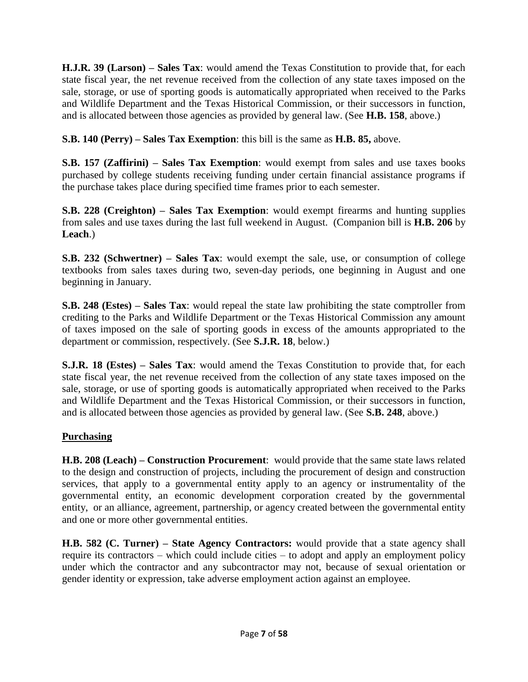**H.J.R. 39 (Larson) – Sales Tax**: would amend the Texas Constitution to provide that, for each state fiscal year, the net revenue received from the collection of any state taxes imposed on the sale, storage, or use of sporting goods is automatically appropriated when received to the Parks and Wildlife Department and the Texas Historical Commission, or their successors in function, and is allocated between those agencies as provided by general law. (See **H.B. 158**, above.)

**S.B. 140 (Perry) – Sales Tax Exemption**: this bill is the same as **H.B. 85,** above.

**S.B. 157 (Zaffirini) – Sales Tax Exemption**: would exempt from sales and use taxes books purchased by college students receiving funding under certain financial assistance programs if the purchase takes place during specified time frames prior to each semester.

**S.B. 228 (Creighton) – Sales Tax Exemption**: would exempt firearms and hunting supplies from sales and use taxes during the last full weekend in August. (Companion bill is **H.B. 206** by **Leach**.)

**S.B. 232 (Schwertner) – Sales Tax**: would exempt the sale, use, or consumption of college textbooks from sales taxes during two, seven-day periods, one beginning in August and one beginning in January.

**S.B. 248 (Estes) – Sales Tax**: would repeal the state law prohibiting the state comptroller from crediting to the Parks and Wildlife Department or the Texas Historical Commission any amount of taxes imposed on the sale of sporting goods in excess of the amounts appropriated to the department or commission, respectively. (See **S.J.R. 18**, below.)

**S.J.R. 18 (Estes) – Sales Tax**: would amend the Texas Constitution to provide that, for each state fiscal year, the net revenue received from the collection of any state taxes imposed on the sale, storage, or use of sporting goods is automatically appropriated when received to the Parks and Wildlife Department and the Texas Historical Commission, or their successors in function, and is allocated between those agencies as provided by general law. (See **S.B. 248**, above.)

## **Purchasing**

**H.B. 208 (Leach) – Construction Procurement**: would provide that the same state laws related to the design and construction of projects, including the procurement of design and construction services, that apply to a governmental entity apply to an agency or instrumentality of the governmental entity, an economic development corporation created by the governmental entity, or an alliance, agreement, partnership, or agency created between the governmental entity and one or more other governmental entities.

**H.B. 582 (C. Turner) – State Agency Contractors:** would provide that a state agency shall require its contractors – which could include cities – to adopt and apply an employment policy under which the contractor and any subcontractor may not, because of sexual orientation or gender identity or expression, take adverse employment action against an employee.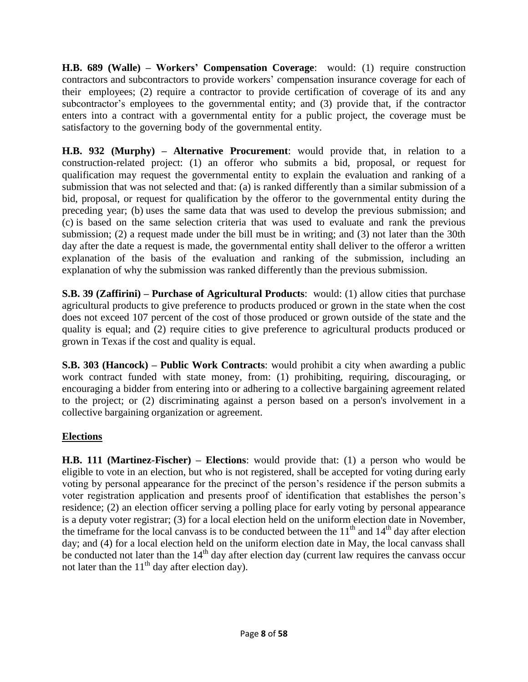**H.B. 689 (Walle) – Workers' Compensation Coverage**: would: (1) require construction contractors and subcontractors to provide workers' compensation insurance coverage for each of their employees; (2) require a contractor to provide certification of coverage of its and any subcontractor's employees to the governmental entity; and (3) provide that, if the contractor enters into a contract with a governmental entity for a public project, the coverage must be satisfactory to the governing body of the governmental entity.

**H.B. 932 (Murphy) – Alternative Procurement**: would provide that, in relation to a construction-related project: (1) an offeror who submits a bid, proposal, or request for qualification may request the governmental entity to explain the evaluation and ranking of a submission that was not selected and that: (a) is ranked differently than a similar submission of a bid, proposal, or request for qualification by the offeror to the governmental entity during the preceding year; (b) uses the same data that was used to develop the previous submission; and (c) is based on the same selection criteria that was used to evaluate and rank the previous submission; (2) a request made under the bill must be in writing; and (3) not later than the 30th day after the date a request is made, the governmental entity shall deliver to the offeror a written explanation of the basis of the evaluation and ranking of the submission, including an explanation of why the submission was ranked differently than the previous submission.

**S.B. 39 (Zaffirini) – Purchase of Agricultural Products**: would: (1) allow cities that purchase agricultural products to give preference to products produced or grown in the state when the cost does not exceed 107 percent of the cost of those produced or grown outside of the state and the quality is equal; and (2) require cities to give preference to agricultural products produced or grown in Texas if the cost and quality is equal.

**S.B. 303 (Hancock) – Public Work Contracts**: would prohibit a city when awarding a public work contract funded with state money, from: (1) prohibiting, requiring, discouraging, or encouraging a bidder from entering into or adhering to a collective bargaining agreement related to the project; or (2) discriminating against a person based on a person's involvement in a collective bargaining organization or agreement.

## **Elections**

**H.B. 111 (Martinez-Fischer) – Elections**: would provide that: (1) a person who would be eligible to vote in an election, but who is not registered, shall be accepted for voting during early voting by personal appearance for the precinct of the person's residence if the person submits a voter registration application and presents proof of identification that establishes the person's residence; (2) an election officer serving a polling place for early voting by personal appearance is a deputy voter registrar; (3) for a local election held on the uniform election date in November, the timeframe for the local canvass is to be conducted between the  $11<sup>th</sup>$  and  $14<sup>th</sup>$  day after election day; and (4) for a local election held on the uniform election date in May, the local canvass shall be conducted not later than the  $14<sup>th</sup>$  day after election day (current law requires the canvass occur not later than the  $11<sup>th</sup>$  day after election day).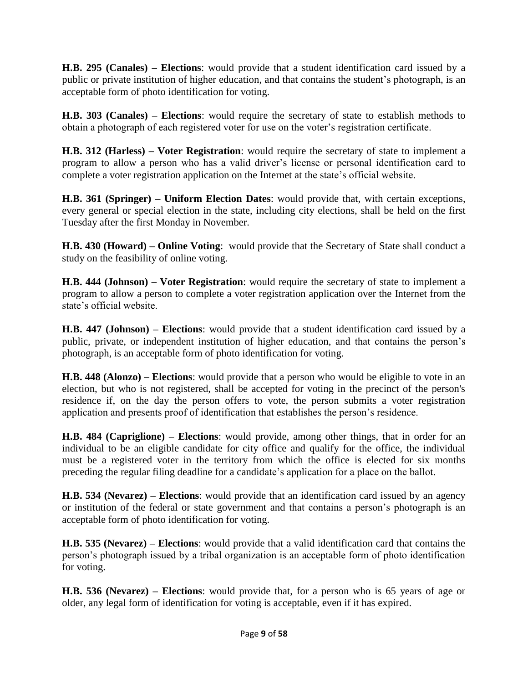**H.B. 295 (Canales) – Elections**: would provide that a student identification card issued by a public or private institution of higher education, and that contains the student's photograph, is an acceptable form of photo identification for voting.

**H.B. 303 (Canales) – Elections**: would require the secretary of state to establish methods to obtain a photograph of each registered voter for use on the voter's registration certificate.

**H.B. 312 (Harless) – Voter Registration**: would require the secretary of state to implement a program to allow a person who has a valid driver's license or personal identification card to complete a voter registration application on the Internet at the state's official website.

**H.B. 361 (Springer) – Uniform Election Dates**: would provide that, with certain exceptions, every general or special election in the state, including city elections, shall be held on the first Tuesday after the first Monday in November.

**H.B. 430 (Howard) – Online Voting**: would provide that the Secretary of State shall conduct a study on the feasibility of online voting.

**H.B. 444 (Johnson) – Voter Registration**: would require the secretary of state to implement a program to allow a person to complete a voter registration application over the Internet from the state's official website.

**H.B. 447 (Johnson) – Elections**: would provide that a student identification card issued by a public, private, or independent institution of higher education, and that contains the person's photograph, is an acceptable form of photo identification for voting.

**H.B. 448 (Alonzo) – Elections**: would provide that a person who would be eligible to vote in an election, but who is not registered, shall be accepted for voting in the precinct of the person's residence if, on the day the person offers to vote, the person submits a voter registration application and presents proof of identification that establishes the person's residence.

**H.B. 484 (Capriglione) – Elections**: would provide, among other things, that in order for an individual to be an eligible candidate for city office and qualify for the office, the individual must be a registered voter in the territory from which the office is elected for six months preceding the regular filing deadline for a candidate's application for a place on the ballot.

**H.B. 534 (Nevarez) – Elections**: would provide that an identification card issued by an agency or institution of the federal or state government and that contains a person's photograph is an acceptable form of photo identification for voting.

**H.B. 535 (Nevarez) – Elections**: would provide that a valid identification card that contains the person's photograph issued by a tribal organization is an acceptable form of photo identification for voting.

**H.B. 536 (Nevarez) – Elections**: would provide that, for a person who is 65 years of age or older, any legal form of identification for voting is acceptable, even if it has expired.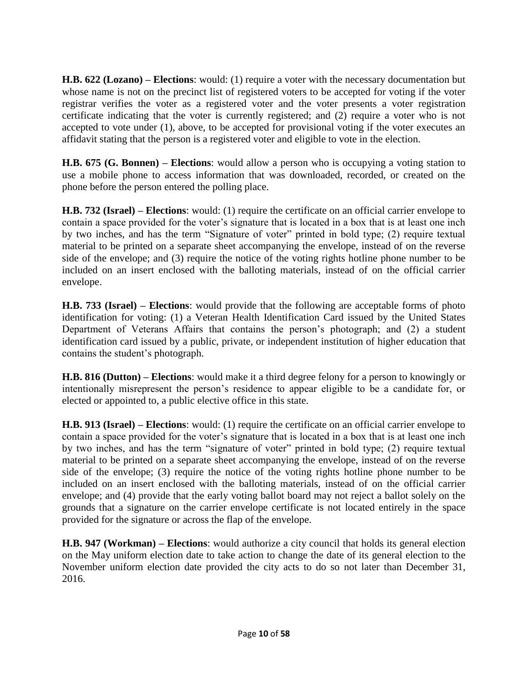**H.B. 622 (Lozano) – Elections**: would: (1) require a voter with the necessary documentation but whose name is not on the precinct list of registered voters to be accepted for voting if the voter registrar verifies the voter as a registered voter and the voter presents a voter registration certificate indicating that the voter is currently registered; and (2) require a voter who is not accepted to vote under (1), above, to be accepted for provisional voting if the voter executes an affidavit stating that the person is a registered voter and eligible to vote in the election.

**H.B. 675 (G. Bonnen) – Elections**: would allow a person who is occupying a voting station to use a mobile phone to access information that was downloaded, recorded, or created on the phone before the person entered the polling place.

**H.B. 732 (Israel) – Elections**: would: (1) require the certificate on an official carrier envelope to contain a space provided for the voter's signature that is located in a box that is at least one inch by two inches, and has the term "Signature of voter" printed in bold type; (2) require textual material to be printed on a separate sheet accompanying the envelope, instead of on the reverse side of the envelope; and (3) require the notice of the voting rights hotline phone number to be included on an insert enclosed with the balloting materials, instead of on the official carrier envelope.

**H.B. 733 (Israel) – Elections**: would provide that the following are acceptable forms of photo identification for voting: (1) a Veteran Health Identification Card issued by the United States Department of Veterans Affairs that contains the person's photograph; and (2) a student identification card issued by a public, private, or independent institution of higher education that contains the student's photograph.

**H.B. 816 (Dutton) – Elections**: would make it a third degree felony for a person to knowingly or intentionally misrepresent the person's residence to appear eligible to be a candidate for, or elected or appointed to, a public elective office in this state.

**H.B. 913 (Israel) – Elections**: would: (1) require the certificate on an official carrier envelope to contain a space provided for the voter's signature that is located in a box that is at least one inch by two inches, and has the term "signature of voter" printed in bold type; (2) require textual material to be printed on a separate sheet accompanying the envelope, instead of on the reverse side of the envelope; (3) require the notice of the voting rights hotline phone number to be included on an insert enclosed with the balloting materials, instead of on the official carrier envelope; and (4) provide that the early voting ballot board may not reject a ballot solely on the grounds that a signature on the carrier envelope certificate is not located entirely in the space provided for the signature or across the flap of the envelope.

**H.B. 947 (Workman) – Elections**: would authorize a city council that holds its general election on the May uniform election date to take action to change the date of its general election to the November uniform election date provided the city acts to do so not later than December 31, 2016.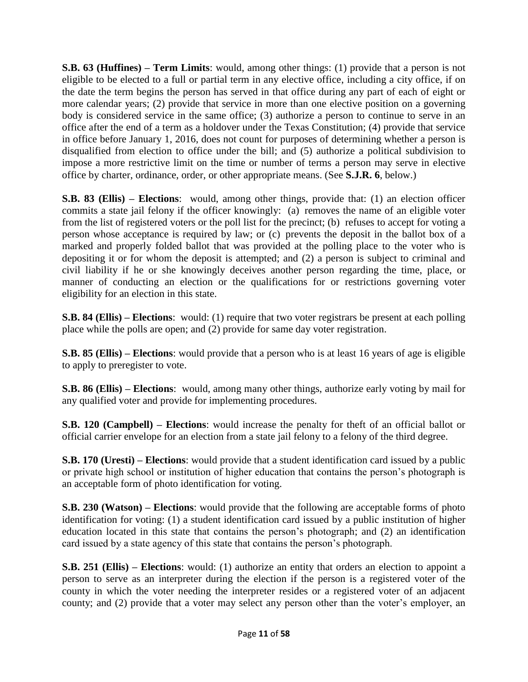**S.B. 63 (Huffines) – Term Limits**: would, among other things: (1) provide that a person is not eligible to be elected to a full or partial term in any elective office, including a city office, if on the date the term begins the person has served in that office during any part of each of eight or more calendar years; (2) provide that service in more than one elective position on a governing body is considered service in the same office; (3) authorize a person to continue to serve in an office after the end of a term as a holdover under the Texas Constitution; (4) provide that service in office before January 1, 2016, does not count for purposes of determining whether a person is disqualified from election to office under the bill; and (5) authorize a political subdivision to impose a more restrictive limit on the time or number of terms a person may serve in elective office by charter, ordinance, order, or other appropriate means. (See **S.J.R. 6**, below.)

**S.B. 83 (Ellis) – Elections**: would, among other things, provide that: (1) an election officer commits a state jail felony if the officer knowingly: (a) removes the name of an eligible voter from the list of registered voters or the poll list for the precinct; (b) refuses to accept for voting a person whose acceptance is required by law; or (c) prevents the deposit in the ballot box of a marked and properly folded ballot that was provided at the polling place to the voter who is depositing it or for whom the deposit is attempted; and (2) a person is subject to criminal and civil liability if he or she knowingly deceives another person regarding the time, place, or manner of conducting an election or the qualifications for or restrictions governing voter eligibility for an election in this state.

**S.B. 84 (Ellis) – Elections**: would: (1) require that two voter registrars be present at each polling place while the polls are open; and (2) provide for same day voter registration.

**S.B. 85 (Ellis) – Elections**: would provide that a person who is at least 16 years of age is eligible to apply to preregister to vote.

**S.B. 86 (Ellis) – Elections**: would, among many other things, authorize early voting by mail for any qualified voter and provide for implementing procedures.

**S.B. 120 (Campbell) – Elections**: would increase the penalty for theft of an official ballot or official carrier envelope for an election from a state jail felony to a felony of the third degree.

**S.B. 170 (Uresti) – Elections**: would provide that a student identification card issued by a public or private high school or institution of higher education that contains the person's photograph is an acceptable form of photo identification for voting.

**S.B. 230 (Watson) – Elections**: would provide that the following are acceptable forms of photo identification for voting: (1) a student identification card issued by a public institution of higher education located in this state that contains the person's photograph; and (2) an identification card issued by a state agency of this state that contains the person's photograph.

**S.B. 251 (Ellis) – Elections**: would: (1) authorize an entity that orders an election to appoint a person to serve as an interpreter during the election if the person is a registered voter of the county in which the voter needing the interpreter resides or a registered voter of an adjacent county; and (2) provide that a voter may select any person other than the voter's employer, an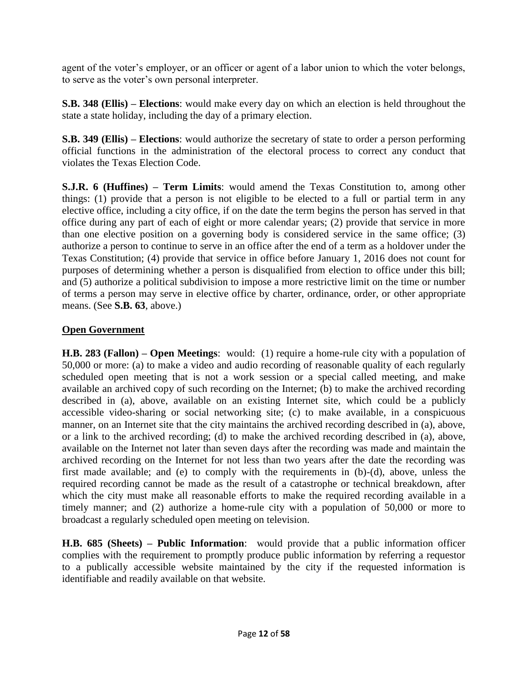agent of the voter's employer, or an officer or agent of a labor union to which the voter belongs, to serve as the voter's own personal interpreter.

**S.B. 348 (Ellis) – Elections**: would make every day on which an election is held throughout the state a state holiday, including the day of a primary election.

**S.B. 349 (Ellis) – Elections**: would authorize the secretary of state to order a person performing official functions in the administration of the electoral process to correct any conduct that violates the Texas Election Code.

**S.J.R. 6 (Huffines) – Term Limits**: would amend the Texas Constitution to, among other things: (1) provide that a person is not eligible to be elected to a full or partial term in any elective office, including a city office, if on the date the term begins the person has served in that office during any part of each of eight or more calendar years; (2) provide that service in more than one elective position on a governing body is considered service in the same office; (3) authorize a person to continue to serve in an office after the end of a term as a holdover under the Texas Constitution; (4) provide that service in office before January 1, 2016 does not count for purposes of determining whether a person is disqualified from election to office under this bill; and (5) authorize a political subdivision to impose a more restrictive limit on the time or number of terms a person may serve in elective office by charter, ordinance, order, or other appropriate means. (See **S.B. 63**, above.)

### **Open Government**

**H.B. 283 (Fallon) – Open Meetings**: would: (1) require a home-rule city with a population of 50,000 or more: (a) to make a video and audio recording of reasonable quality of each regularly scheduled open meeting that is not a work session or a special called meeting, and make available an archived copy of such recording on the Internet; (b) to make the archived recording described in (a), above, available on an existing Internet site, which could be a publicly accessible video-sharing or social networking site; (c) to make available, in a conspicuous manner, on an Internet site that the city maintains the archived recording described in (a), above, or a link to the archived recording; (d) to make the archived recording described in (a), above, available on the Internet not later than seven days after the recording was made and maintain the archived recording on the Internet for not less than two years after the date the recording was first made available; and (e) to comply with the requirements in (b)-(d), above, unless the required recording cannot be made as the result of a catastrophe or technical breakdown, after which the city must make all reasonable efforts to make the required recording available in a timely manner; and (2) authorize a home-rule city with a population of 50,000 or more to broadcast a regularly scheduled open meeting on television.

**H.B. 685 (Sheets) – Public Information**: would provide that a public information officer complies with the requirement to promptly produce public information by referring a requestor to a publically accessible website maintained by the city if the requested information is identifiable and readily available on that website.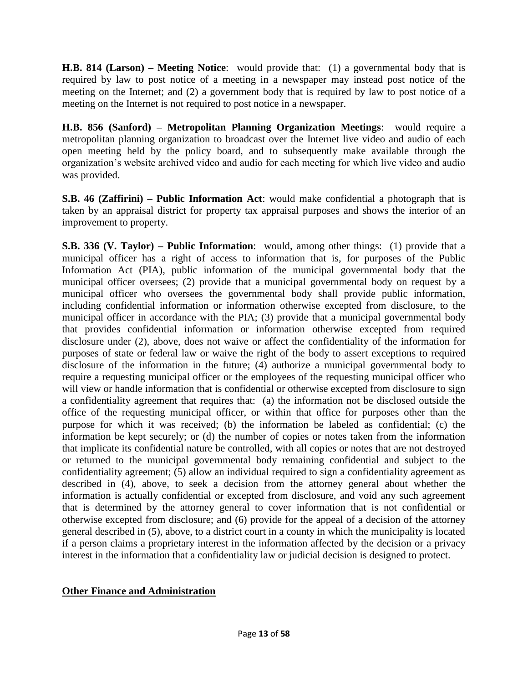**H.B. 814 (Larson) – Meeting Notice**: would provide that: (1) a governmental body that is required by law to post notice of a meeting in a newspaper may instead post notice of the meeting on the Internet; and (2) a government body that is required by law to post notice of a meeting on the Internet is not required to post notice in a newspaper.

**H.B. 856 (Sanford) – Metropolitan Planning Organization Meetings**: would require a metropolitan planning organization to broadcast over the Internet live video and audio of each open meeting held by the policy board, and to subsequently make available through the organization's website archived video and audio for each meeting for which live video and audio was provided.

**S.B. 46 (Zaffirini) – Public Information Act**: would make confidential a photograph that is taken by an appraisal district for property tax appraisal purposes and shows the interior of an improvement to property.

**S.B. 336 (V. Taylor) – Public Information**: would, among other things: (1) provide that a municipal officer has a right of access to information that is, for purposes of the Public Information Act (PIA), public information of the municipal governmental body that the municipal officer oversees; (2) provide that a municipal governmental body on request by a municipal officer who oversees the governmental body shall provide public information, including confidential information or information otherwise excepted from disclosure, to the municipal officer in accordance with the PIA; (3) provide that a municipal governmental body that provides confidential information or information otherwise excepted from required disclosure under (2), above, does not waive or affect the confidentiality of the information for purposes of state or federal law or waive the right of the body to assert exceptions to required disclosure of the information in the future; (4) authorize a municipal governmental body to require a requesting municipal officer or the employees of the requesting municipal officer who will view or handle information that is confidential or otherwise excepted from disclosure to sign a confidentiality agreement that requires that: (a) the information not be disclosed outside the office of the requesting municipal officer, or within that office for purposes other than the purpose for which it was received; (b) the information be labeled as confidential; (c) the information be kept securely; or (d) the number of copies or notes taken from the information that implicate its confidential nature be controlled, with all copies or notes that are not destroyed or returned to the municipal governmental body remaining confidential and subject to the confidentiality agreement; (5) allow an individual required to sign a confidentiality agreement as described in (4), above, to seek a decision from the attorney general about whether the information is actually confidential or excepted from disclosure, and void any such agreement that is determined by the attorney general to cover information that is not confidential or otherwise excepted from disclosure; and (6) provide for the appeal of a decision of the attorney general described in (5), above, to a district court in a county in which the municipality is located if a person claims a proprietary interest in the information affected by the decision or a privacy interest in the information that a confidentiality law or judicial decision is designed to protect.

### **Other Finance and Administration**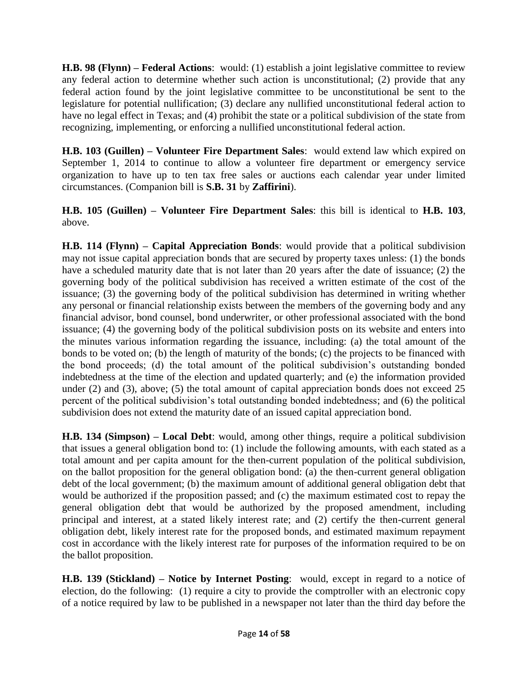**H.B. 98 (Flynn) – Federal Actions**: would: (1) establish a joint legislative committee to review any federal action to determine whether such action is unconstitutional; (2) provide that any federal action found by the joint legislative committee to be unconstitutional be sent to the legislature for potential nullification; (3) declare any nullified unconstitutional federal action to have no legal effect in Texas; and (4) prohibit the state or a political subdivision of the state from recognizing, implementing, or enforcing a nullified unconstitutional federal action.

**H.B. 103 (Guillen) – Volunteer Fire Department Sales**: would extend law which expired on September 1, 2014 to continue to allow a volunteer fire department or emergency service organization to have up to ten tax free sales or auctions each calendar year under limited circumstances. (Companion bill is **S.B. 31** by **Zaffirini**).

**H.B. 105 (Guillen) – Volunteer Fire Department Sales**: this bill is identical to **H.B. 103**, above.

**H.B. 114 (Flynn) – Capital Appreciation Bonds**: would provide that a political subdivision may not issue capital appreciation bonds that are secured by property taxes unless: (1) the bonds have a scheduled maturity date that is not later than 20 years after the date of issuance; (2) the governing body of the political subdivision has received a written estimate of the cost of the issuance; (3) the governing body of the political subdivision has determined in writing whether any personal or financial relationship exists between the members of the governing body and any financial advisor, bond counsel, bond underwriter, or other professional associated with the bond issuance; (4) the governing body of the political subdivision posts on its website and enters into the minutes various information regarding the issuance, including: (a) the total amount of the bonds to be voted on; (b) the length of maturity of the bonds; (c) the projects to be financed with the bond proceeds; (d) the total amount of the political subdivision's outstanding bonded indebtedness at the time of the election and updated quarterly; and (e) the information provided under (2) and (3), above; (5) the total amount of capital appreciation bonds does not exceed 25 percent of the political subdivision's total outstanding bonded indebtedness; and (6) the political subdivision does not extend the maturity date of an issued capital appreciation bond.

**H.B. 134 (Simpson) – Local Debt**: would, among other things, require a political subdivision that issues a general obligation bond to: (1) include the following amounts, with each stated as a total amount and per capita amount for the then-current population of the political subdivision, on the ballot proposition for the general obligation bond: (a) the then-current general obligation debt of the local government; (b) the maximum amount of additional general obligation debt that would be authorized if the proposition passed; and (c) the maximum estimated cost to repay the general obligation debt that would be authorized by the proposed amendment, including principal and interest, at a stated likely interest rate; and (2) certify the then-current general obligation debt, likely interest rate for the proposed bonds, and estimated maximum repayment cost in accordance with the likely interest rate for purposes of the information required to be on the ballot proposition.

**H.B. 139 (Stickland) – Notice by Internet Posting**: would, except in regard to a notice of election, do the following: (1) require a city to provide the comptroller with an electronic copy of a notice required by law to be published in a newspaper not later than the third day before the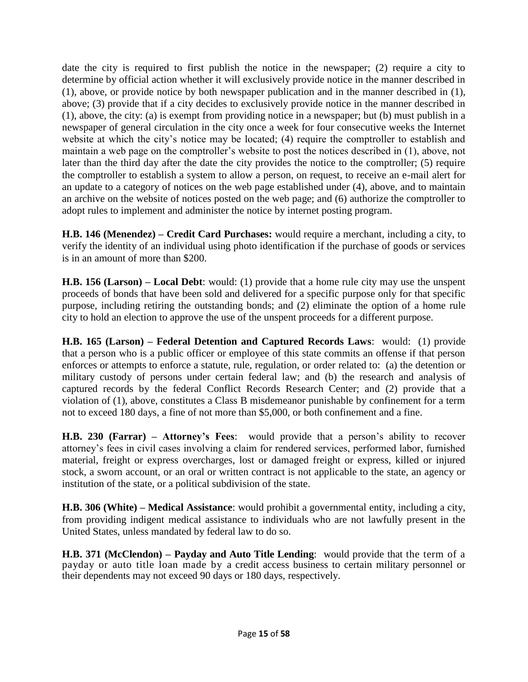date the city is required to first publish the notice in the newspaper; (2) require a city to determine by official action whether it will exclusively provide notice in the manner described in (1), above, or provide notice by both newspaper publication and in the manner described in (1), above; (3) provide that if a city decides to exclusively provide notice in the manner described in (1), above, the city: (a) is exempt from providing notice in a newspaper; but (b) must publish in a newspaper of general circulation in the city once a week for four consecutive weeks the Internet website at which the city's notice may be located; (4) require the comptroller to establish and maintain a web page on the comptroller's website to post the notices described in (1), above, not later than the third day after the date the city provides the notice to the comptroller; (5) require the comptroller to establish a system to allow a person, on request, to receive an e-mail alert for an update to a category of notices on the web page established under (4), above, and to maintain an archive on the website of notices posted on the web page; and (6) authorize the comptroller to adopt rules to implement and administer the notice by internet posting program.

**H.B. 146 (Menendez) – Credit Card Purchases:** would require a merchant, including a city, to verify the identity of an individual using photo identification if the purchase of goods or services is in an amount of more than \$200.

**H.B. 156 (Larson) – Local Debt**: would: (1) provide that a home rule city may use the unspent proceeds of bonds that have been sold and delivered for a specific purpose only for that specific purpose, including retiring the outstanding bonds; and (2) eliminate the option of a home rule city to hold an election to approve the use of the unspent proceeds for a different purpose.

**H.B. 165 (Larson) – Federal Detention and Captured Records Laws**: would: (1) provide that a person who is a public officer or employee of this state commits an offense if that person enforces or attempts to enforce a statute, rule, regulation, or order related to: (a) the detention or military custody of persons under certain federal law; and (b) the research and analysis of captured records by the federal Conflict Records Research Center; and (2) provide that a violation of (1), above, constitutes a Class B misdemeanor punishable by confinement for a term not to exceed 180 days, a fine of not more than \$5,000, or both confinement and a fine.

**H.B. 230 (Farrar) – Attorney's Fees**: would provide that a person's ability to recover attorney's fees in civil cases involving a claim for rendered services, performed labor, furnished material, freight or express overcharges, lost or damaged freight or express, killed or injured stock, a sworn account, or an oral or written contract is not applicable to the state, an agency or institution of the state, or a political subdivision of the state.

**H.B. 306 (White) – Medical Assistance**: would prohibit a governmental entity, including a city, from providing indigent medical assistance to individuals who are not lawfully present in the United States, unless mandated by federal law to do so.

**H.B. 371 (McClendon) – Payday and Auto Title Lending**: would provide that the term of a payday or auto title loan made by a credit access business to certain military personnel or their dependents may not exceed 90 days or 180 days, respectively.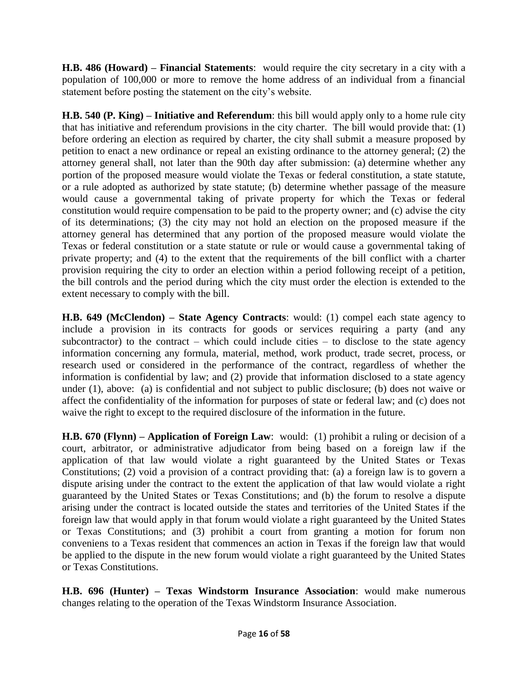**H.B. 486 (Howard) – Financial Statements**: would require the city secretary in a city with a population of 100,000 or more to remove the home address of an individual from a financial statement before posting the statement on the city's website.

**H.B. 540 (P. King) – Initiative and Referendum**: this bill would apply only to a home rule city that has initiative and referendum provisions in the city charter. The bill would provide that: (1) before ordering an election as required by charter, the city shall submit a measure proposed by petition to enact a new ordinance or repeal an existing ordinance to the attorney general; (2) the attorney general shall, not later than the 90th day after submission: (a) determine whether any portion of the proposed measure would violate the Texas or federal constitution, a state statute, or a rule adopted as authorized by state statute; (b) determine whether passage of the measure would cause a governmental taking of private property for which the Texas or federal constitution would require compensation to be paid to the property owner; and (c) advise the city of its determinations; (3) the city may not hold an election on the proposed measure if the attorney general has determined that any portion of the proposed measure would violate the Texas or federal constitution or a state statute or rule or would cause a governmental taking of private property; and (4) to the extent that the requirements of the bill conflict with a charter provision requiring the city to order an election within a period following receipt of a petition, the bill controls and the period during which the city must order the election is extended to the extent necessary to comply with the bill.

**H.B. 649 (McClendon) – State Agency Contracts**: would: (1) compel each state agency to include a provision in its contracts for goods or services requiring a party (and any subcontractor) to the contract – which could include cities – to disclose to the state agency information concerning any formula, material, method, work product, trade secret, process, or research used or considered in the performance of the contract, regardless of whether the information is confidential by law; and (2) provide that information disclosed to a state agency under (1), above: (a) is confidential and not subject to public disclosure; (b) does not waive or affect the confidentiality of the information for purposes of state or federal law; and (c) does not waive the right to except to the required disclosure of the information in the future.

**H.B. 670 (Flynn) – Application of Foreign Law**: would: (1) prohibit a ruling or decision of a court, arbitrator, or administrative adjudicator from being based on a foreign law if the application of that law would violate a right guaranteed by the United States or Texas Constitutions; (2) void a provision of a contract providing that: (a) a foreign law is to govern a dispute arising under the contract to the extent the application of that law would violate a right guaranteed by the United States or Texas Constitutions; and (b) the forum to resolve a dispute arising under the contract is located outside the states and territories of the United States if the foreign law that would apply in that forum would violate a right guaranteed by the United States or Texas Constitutions; and (3) prohibit a court from granting a motion for forum non conveniens to a Texas resident that commences an action in Texas if the foreign law that would be applied to the dispute in the new forum would violate a right guaranteed by the United States or Texas Constitutions.

**H.B. 696 (Hunter) – Texas Windstorm Insurance Association**: would make numerous changes relating to the operation of the Texas Windstorm Insurance Association.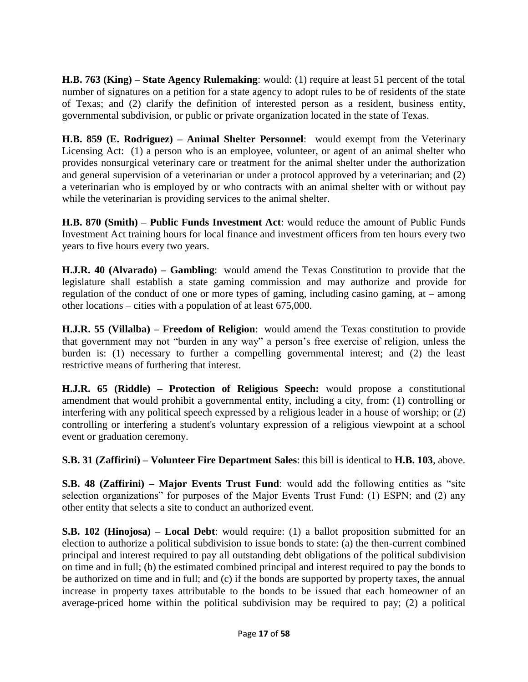**H.B. 763 (King) – State Agency Rulemaking**: would: (1) require at least 51 percent of the total number of signatures on a petition for a state agency to adopt rules to be of residents of the state of Texas; and (2) clarify the definition of interested person as a resident, business entity, governmental subdivision, or public or private organization located in the state of Texas.

**H.B. 859 (E. Rodriguez) – Animal Shelter Personnel**: would exempt from the Veterinary Licensing Act: (1) a person who is an employee, volunteer, or agent of an animal shelter who provides nonsurgical veterinary care or treatment for the animal shelter under the authorization and general supervision of a veterinarian or under a protocol approved by a veterinarian; and (2) a veterinarian who is employed by or who contracts with an animal shelter with or without pay while the veterinarian is providing services to the animal shelter.

**H.B. 870 (Smith) – Public Funds Investment Act**: would reduce the amount of Public Funds Investment Act training hours for local finance and investment officers from ten hours every two years to five hours every two years.

**H.J.R. 40 (Alvarado) – Gambling**: would amend the Texas Constitution to provide that the legislature shall establish a state gaming commission and may authorize and provide for regulation of the conduct of one or more types of gaming, including casino gaming, at – among other locations – cities with a population of at least 675,000.

**H.J.R. 55 (Villalba) – Freedom of Religion**: would amend the Texas constitution to provide that government may not "burden in any way" a person's free exercise of religion, unless the burden is: (1) necessary to further a compelling governmental interest; and (2) the least restrictive means of furthering that interest.

**H.J.R. 65 (Riddle) – Protection of Religious Speech:** would propose a constitutional amendment that would prohibit a governmental entity, including a city, from: (1) controlling or interfering with any political speech expressed by a religious leader in a house of worship; or (2) controlling or interfering a student's voluntary expression of a religious viewpoint at a school event or graduation ceremony.

**S.B. 31 (Zaffirini) – Volunteer Fire Department Sales**: this bill is identical to **H.B. 103**, above.

**S.B. 48 (Zaffirini) – Major Events Trust Fund**: would add the following entities as "site selection organizations" for purposes of the Major Events Trust Fund: (1) ESPN; and (2) any other entity that selects a site to conduct an authorized event.

**S.B. 102 (Hinojosa) – Local Debt**: would require: (1) a ballot proposition submitted for an election to authorize a political subdivision to issue bonds to state: (a) the then-current combined principal and interest required to pay all outstanding debt obligations of the political subdivision on time and in full; (b) the estimated combined principal and interest required to pay the bonds to be authorized on time and in full; and (c) if the bonds are supported by property taxes, the annual increase in property taxes attributable to the bonds to be issued that each homeowner of an average-priced home within the political subdivision may be required to pay; (2) a political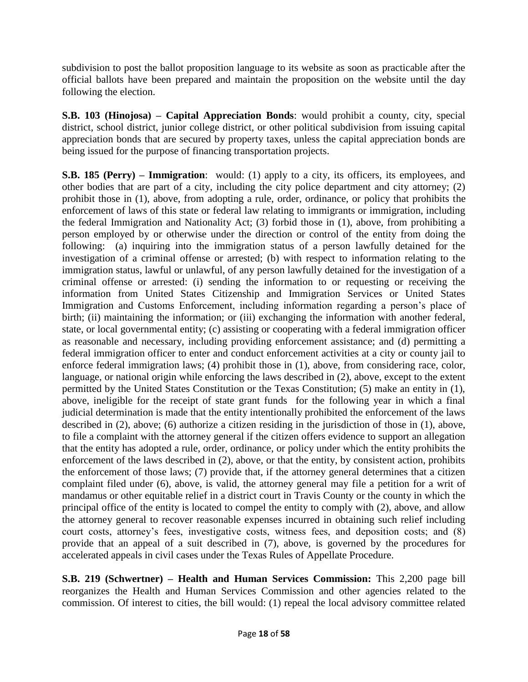subdivision to post the ballot proposition language to its website as soon as practicable after the official ballots have been prepared and maintain the proposition on the website until the day following the election.

**S.B. 103 (Hinojosa) – Capital Appreciation Bonds**: would prohibit a county, city, special district, school district, junior college district, or other political subdivision from issuing capital appreciation bonds that are secured by property taxes, unless the capital appreciation bonds are being issued for the purpose of financing transportation projects.

**S.B. 185 (Perry) – Immigration**: would: (1) apply to a city, its officers, its employees, and other bodies that are part of a city, including the city police department and city attorney; (2) prohibit those in (1), above, from adopting a rule, order, ordinance, or policy that prohibits the enforcement of laws of this state or federal law relating to immigrants or immigration, including the federal Immigration and Nationality Act; (3) forbid those in (1), above, from prohibiting a person employed by or otherwise under the direction or control of the entity from doing the following: (a) inquiring into the immigration status of a person lawfully detained for the investigation of a criminal offense or arrested; (b) with respect to information relating to the immigration status, lawful or unlawful, of any person lawfully detained for the investigation of a criminal offense or arrested: (i) sending the information to or requesting or receiving the information from United States Citizenship and Immigration Services or United States Immigration and Customs Enforcement, including information regarding a person's place of birth; (ii) maintaining the information; or (iii) exchanging the information with another federal, state, or local governmental entity; (c) assisting or cooperating with a federal immigration officer as reasonable and necessary, including providing enforcement assistance; and (d) permitting a federal immigration officer to enter and conduct enforcement activities at a city or county jail to enforce federal immigration laws; (4) prohibit those in (1), above, from considering race, color, language, or national origin while enforcing the laws described in (2), above, except to the extent permitted by the United States Constitution or the Texas Constitution; (5) make an entity in (1), above, ineligible for the receipt of state grant funds for the following year in which a final judicial determination is made that the entity intentionally prohibited the enforcement of the laws described in (2), above; (6) authorize a citizen residing in the jurisdiction of those in (1), above, to file a complaint with the attorney general if the citizen offers evidence to support an allegation that the entity has adopted a rule, order, ordinance, or policy under which the entity prohibits the enforcement of the laws described in (2), above, or that the entity, by consistent action, prohibits the enforcement of those laws; (7) provide that, if the attorney general determines that a citizen complaint filed under (6), above, is valid, the attorney general may file a petition for a writ of mandamus or other equitable relief in a district court in Travis County or the county in which the principal office of the entity is located to compel the entity to comply with (2), above, and allow the attorney general to recover reasonable expenses incurred in obtaining such relief including court costs, attorney's fees, investigative costs, witness fees, and deposition costs; and (8) provide that an appeal of a suit described in (7), above, is governed by the procedures for accelerated appeals in civil cases under the Texas Rules of Appellate Procedure.

**S.B. 219 (Schwertner) – Health and Human Services Commission:** This 2,200 page bill reorganizes the Health and Human Services Commission and other agencies related to the commission. Of interest to cities, the bill would: (1) repeal the local advisory committee related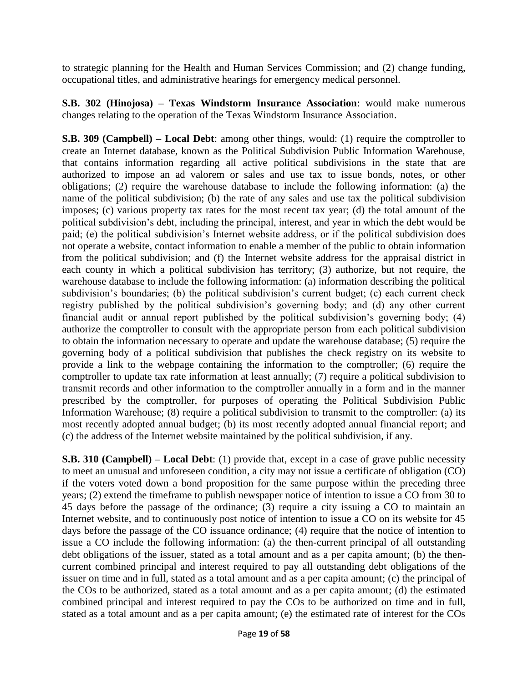to strategic planning for the Health and Human Services Commission; and (2) change funding, occupational titles, and administrative hearings for emergency medical personnel.

**S.B. 302 (Hinojosa) – Texas Windstorm Insurance Association**: would make numerous changes relating to the operation of the Texas Windstorm Insurance Association.

**S.B. 309 (Campbell) – Local Debt**: among other things, would: (1) require the comptroller to create an Internet database, known as the Political Subdivision Public Information Warehouse, that contains information regarding all active political subdivisions in the state that are authorized to impose an ad valorem or sales and use tax to issue bonds, notes, or other obligations; (2) require the warehouse database to include the following information: (a) the name of the political subdivision; (b) the rate of any sales and use tax the political subdivision imposes; (c) various property tax rates for the most recent tax year; (d) the total amount of the political subdivision's debt, including the principal, interest, and year in which the debt would be paid; (e) the political subdivision's Internet website address, or if the political subdivision does not operate a website, contact information to enable a member of the public to obtain information from the political subdivision; and (f) the Internet website address for the appraisal district in each county in which a political subdivision has territory; (3) authorize, but not require, the warehouse database to include the following information: (a) information describing the political subdivision's boundaries; (b) the political subdivision's current budget; (c) each current check registry published by the political subdivision's governing body; and (d) any other current financial audit or annual report published by the political subdivision's governing body; (4) authorize the comptroller to consult with the appropriate person from each political subdivision to obtain the information necessary to operate and update the warehouse database; (5) require the governing body of a political subdivision that publishes the check registry on its website to provide a link to the webpage containing the information to the comptroller; (6) require the comptroller to update tax rate information at least annually; (7) require a political subdivision to transmit records and other information to the comptroller annually in a form and in the manner prescribed by the comptroller, for purposes of operating the Political Subdivision Public Information Warehouse; (8) require a political subdivision to transmit to the comptroller: (a) its most recently adopted annual budget; (b) its most recently adopted annual financial report; and (c) the address of the Internet website maintained by the political subdivision, if any.

**S.B. 310 (Campbell) – Local Debt**: (1) provide that, except in a case of grave public necessity to meet an unusual and unforeseen condition, a city may not issue a certificate of obligation (CO) if the voters voted down a bond proposition for the same purpose within the preceding three years; (2) extend the timeframe to publish newspaper notice of intention to issue a CO from 30 to 45 days before the passage of the ordinance; (3) require a city issuing a CO to maintain an Internet website, and to continuously post notice of intention to issue a CO on its website for 45 days before the passage of the CO issuance ordinance; (4) require that the notice of intention to issue a CO include the following information: (a) the then-current principal of all outstanding debt obligations of the issuer, stated as a total amount and as a per capita amount; (b) the thencurrent combined principal and interest required to pay all outstanding debt obligations of the issuer on time and in full, stated as a total amount and as a per capita amount; (c) the principal of the COs to be authorized, stated as a total amount and as a per capita amount; (d) the estimated combined principal and interest required to pay the COs to be authorized on time and in full, stated as a total amount and as a per capita amount; (e) the estimated rate of interest for the COs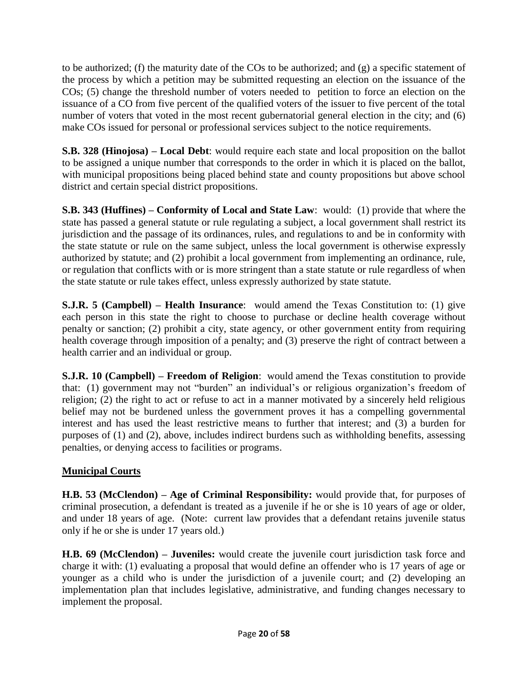to be authorized; (f) the maturity date of the COs to be authorized; and  $(g)$  a specific statement of the process by which a petition may be submitted requesting an election on the issuance of the COs; (5) change the threshold number of voters needed to petition to force an election on the issuance of a CO from five percent of the qualified voters of the issuer to five percent of the total number of voters that voted in the most recent gubernatorial general election in the city; and (6) make COs issued for personal or professional services subject to the notice requirements.

**S.B. 328 (Hinojosa) – Local Debt**: would require each state and local proposition on the ballot to be assigned a unique number that corresponds to the order in which it is placed on the ballot, with municipal propositions being placed behind state and county propositions but above school district and certain special district propositions.

**S.B. 343 (Huffines) – Conformity of Local and State Law**: would: (1) provide that where the state has passed a general statute or rule regulating a subject, a local government shall restrict its jurisdiction and the passage of its ordinances, rules, and regulations to and be in conformity with the state statute or rule on the same subject, unless the local government is otherwise expressly authorized by statute; and (2) prohibit a local government from implementing an ordinance, rule, or regulation that conflicts with or is more stringent than a state statute or rule regardless of when the state statute or rule takes effect, unless expressly authorized by state statute.

**S.J.R. 5 (Campbell) – Health Insurance**: would amend the Texas Constitution to: (1) give each person in this state the right to choose to purchase or decline health coverage without penalty or sanction; (2) prohibit a city, state agency, or other government entity from requiring health coverage through imposition of a penalty; and (3) preserve the right of contract between a health carrier and an individual or group.

**S.J.R. 10 (Campbell) – Freedom of Religion**: would amend the Texas constitution to provide that: (1) government may not "burden" an individual's or religious organization's freedom of religion; (2) the right to act or refuse to act in a manner motivated by a sincerely held religious belief may not be burdened unless the government proves it has a compelling governmental interest and has used the least restrictive means to further that interest; and (3) a burden for purposes of (1) and (2), above, includes indirect burdens such as withholding benefits, assessing penalties, or denying access to facilities or programs.

## **Municipal Courts**

**H.B. 53 (McClendon) – Age of Criminal Responsibility:** would provide that, for purposes of criminal prosecution, a defendant is treated as a juvenile if he or she is 10 years of age or older, and under 18 years of age. (Note: current law provides that a defendant retains juvenile status only if he or she is under 17 years old.)

**H.B. 69 (McClendon) – Juveniles:** would create the juvenile court jurisdiction task force and charge it with: (1) evaluating a proposal that would define an offender who is 17 years of age or younger as a child who is under the jurisdiction of a juvenile court; and (2) developing an implementation plan that includes legislative, administrative, and funding changes necessary to implement the proposal.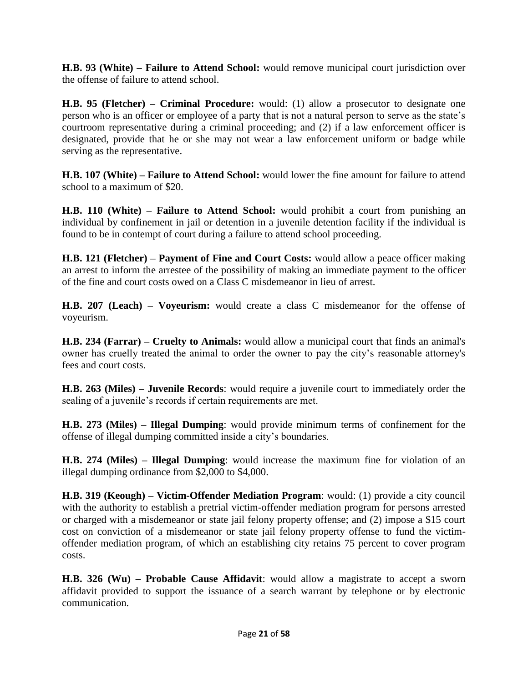**H.B. 93 (White) – Failure to Attend School:** would remove municipal court jurisdiction over the offense of failure to attend school.

**H.B. 95 (Fletcher) – Criminal Procedure:** would: (1) allow a prosecutor to designate one person who is an officer or employee of a party that is not a natural person to serve as the state's courtroom representative during a criminal proceeding; and (2) if a law enforcement officer is designated, provide that he or she may not wear a law enforcement uniform or badge while serving as the representative.

**H.B. 107 (White) – Failure to Attend School:** would lower the fine amount for failure to attend school to a maximum of \$20.

**H.B. 110 (White) – Failure to Attend School:** would prohibit a court from punishing an individual by confinement in jail or detention in a juvenile detention facility if the individual is found to be in contempt of court during a failure to attend school proceeding.

**H.B. 121 (Fletcher) – Payment of Fine and Court Costs:** would allow a peace officer making an arrest to inform the arrestee of the possibility of making an immediate payment to the officer of the fine and court costs owed on a Class C misdemeanor in lieu of arrest.

**H.B. 207 (Leach) – Voyeurism:** would create a class C misdemeanor for the offense of voyeurism.

**H.B. 234 (Farrar) – Cruelty to Animals:** would allow a municipal court that finds an animal's owner has cruelly treated the animal to order the owner to pay the city's reasonable attorney's fees and court costs.

**H.B. 263 (Miles) – Juvenile Records**: would require a juvenile court to immediately order the sealing of a juvenile's records if certain requirements are met.

**H.B. 273 (Miles) – Illegal Dumping**: would provide minimum terms of confinement for the offense of illegal dumping committed inside a city's boundaries.

**H.B. 274 (Miles) – Illegal Dumping**: would increase the maximum fine for violation of an illegal dumping ordinance from \$2,000 to \$4,000.

**H.B. 319 (Keough) – Victim-Offender Mediation Program**: would: (1) provide a city council with the authority to establish a pretrial victim-offender mediation program for persons arrested or charged with a misdemeanor or state jail felony property offense; and (2) impose a \$15 court cost on conviction of a misdemeanor or state jail felony property offense to fund the victimoffender mediation program, of which an establishing city retains 75 percent to cover program costs.

**H.B. 326 (Wu) – Probable Cause Affidavit**: would allow a magistrate to accept a sworn affidavit provided to support the issuance of a search warrant by telephone or by electronic communication.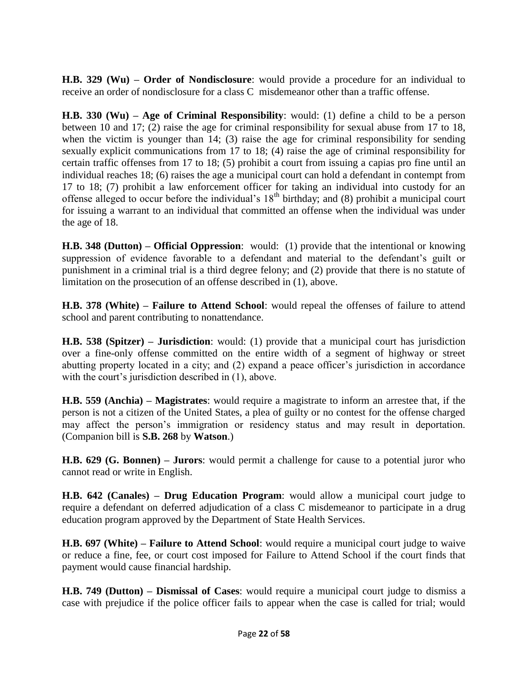**H.B. 329 (Wu) – Order of Nondisclosure**: would provide a procedure for an individual to receive an order of nondisclosure for a class C misdemeanor other than a traffic offense.

**H.B. 330 (Wu) – Age of Criminal Responsibility**: would: (1) define a child to be a person between 10 and 17; (2) raise the age for criminal responsibility for sexual abuse from 17 to 18, when the victim is younger than 14; (3) raise the age for criminal responsibility for sending sexually explicit communications from 17 to 18; (4) raise the age of criminal responsibility for certain traffic offenses from 17 to 18; (5) prohibit a court from issuing a capias pro fine until an individual reaches 18; (6) raises the age a municipal court can hold a defendant in contempt from 17 to 18; (7) prohibit a law enforcement officer for taking an individual into custody for an offense alleged to occur before the individual's  $18<sup>th</sup>$  birthday; and (8) prohibit a municipal court for issuing a warrant to an individual that committed an offense when the individual was under the age of 18.

**H.B. 348 (Dutton) – Official Oppression**: would: (1) provide that the intentional or knowing suppression of evidence favorable to a defendant and material to the defendant's guilt or punishment in a criminal trial is a third degree felony; and (2) provide that there is no statute of limitation on the prosecution of an offense described in (1), above.

**H.B. 378 (White) – Failure to Attend School**: would repeal the offenses of failure to attend school and parent contributing to nonattendance.

**H.B. 538 (Spitzer) – Jurisdiction**: would: (1) provide that a municipal court has jurisdiction over a fine-only offense committed on the entire width of a segment of highway or street abutting property located in a city; and (2) expand a peace officer's jurisdiction in accordance with the court's jurisdiction described in  $(1)$ , above.

**H.B. 559 (Anchia) – Magistrates**: would require a magistrate to inform an arrestee that, if the person is not a citizen of the United States, a plea of guilty or no contest for the offense charged may affect the person's immigration or residency status and may result in deportation. (Companion bill is **S.B. 268** by **Watson**.)

**H.B. 629 (G. Bonnen) – Jurors**: would permit a challenge for cause to a potential juror who cannot read or write in English.

**H.B. 642 (Canales) – Drug Education Program**: would allow a municipal court judge to require a defendant on deferred adjudication of a class C misdemeanor to participate in a drug education program approved by the Department of State Health Services.

**H.B. 697 (White) – Failure to Attend School**: would require a municipal court judge to waive or reduce a fine, fee, or court cost imposed for Failure to Attend School if the court finds that payment would cause financial hardship.

**H.B. 749 (Dutton) – Dismissal of Cases**: would require a municipal court judge to dismiss a case with prejudice if the police officer fails to appear when the case is called for trial; would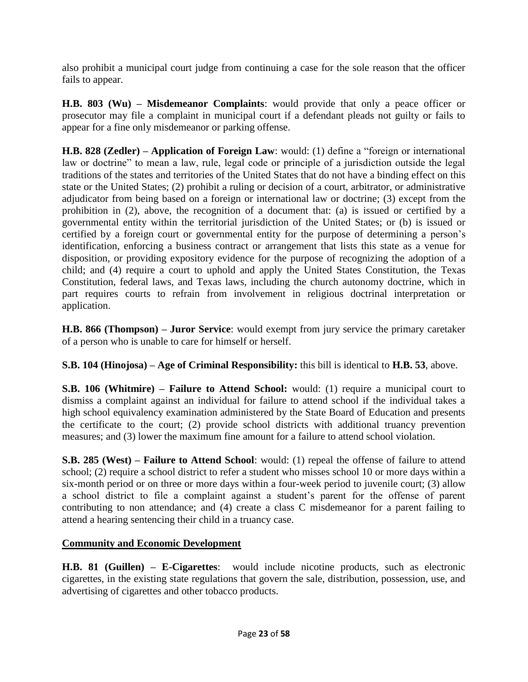also prohibit a municipal court judge from continuing a case for the sole reason that the officer fails to appear.

**H.B. 803 (Wu) – Misdemeanor Complaints**: would provide that only a peace officer or prosecutor may file a complaint in municipal court if a defendant pleads not guilty or fails to appear for a fine only misdemeanor or parking offense.

**H.B. 828 (Zedler) – Application of Foreign Law**: would: (1) define a "foreign or international law or doctrine" to mean a law, rule, legal code or principle of a jurisdiction outside the legal traditions of the states and territories of the United States that do not have a binding effect on this state or the United States; (2) prohibit a ruling or decision of a court, arbitrator, or administrative adjudicator from being based on a foreign or international law or doctrine; (3) except from the prohibition in (2), above, the recognition of a document that: (a) is issued or certified by a governmental entity within the territorial jurisdiction of the United States; or (b) is issued or certified by a foreign court or governmental entity for the purpose of determining a person's identification, enforcing a business contract or arrangement that lists this state as a venue for disposition, or providing expository evidence for the purpose of recognizing the adoption of a child; and (4) require a court to uphold and apply the United States Constitution, the Texas Constitution, federal laws, and Texas laws, including the church autonomy doctrine, which in part requires courts to refrain from involvement in religious doctrinal interpretation or application.

**H.B. 866 (Thompson) – Juror Service**: would exempt from jury service the primary caretaker of a person who is unable to care for himself or herself.

**S.B. 104 (Hinojosa) – Age of Criminal Responsibility:** this bill is identical to **H.B. 53**, above.

**S.B. 106 (Whitmire) – Failure to Attend School:** would: (1) require a municipal court to dismiss a complaint against an individual for failure to attend school if the individual takes a high school equivalency examination administered by the State Board of Education and presents the certificate to the court; (2) provide school districts with additional truancy prevention measures; and (3) lower the maximum fine amount for a failure to attend school violation.

**S.B. 285 (West) – Failure to Attend School**: would: (1) repeal the offense of failure to attend school; (2) require a school district to refer a student who misses school 10 or more days within a six-month period or on three or more days within a four-week period to juvenile court; (3) allow a school district to file a complaint against a student's parent for the offense of parent contributing to non attendance; and (4) create a class C misdemeanor for a parent failing to attend a hearing sentencing their child in a truancy case.

### **Community and Economic Development**

**H.B. 81 (Guillen) – E-Cigarettes**: would include nicotine products, such as electronic cigarettes, in the existing state regulations that govern the sale, distribution, possession, use, and advertising of cigarettes and other tobacco products.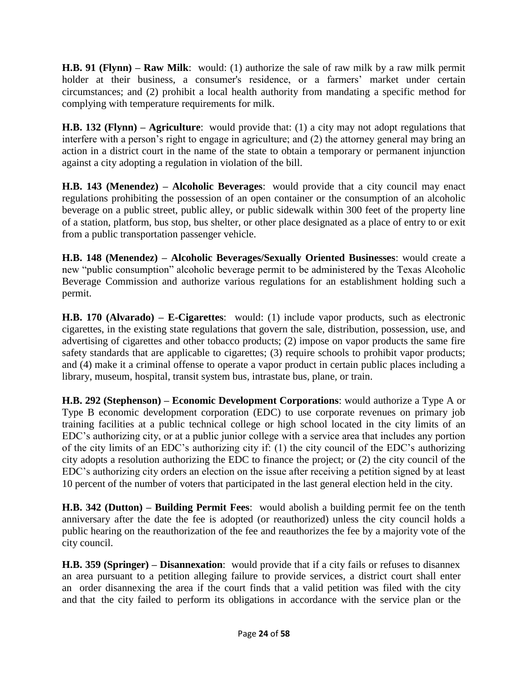**H.B. 91 (Flynn) – Raw Milk**: would: (1) authorize the sale of raw milk by a raw milk permit holder at their business, a consumer's residence, or a farmers' market under certain circumstances; and (2) prohibit a local health authority from mandating a specific method for complying with temperature requirements for milk.

**H.B. 132 (Flynn) – Agriculture**: would provide that: (1) a city may not adopt regulations that interfere with a person's right to engage in agriculture; and (2) the attorney general may bring an action in a district court in the name of the state to obtain a temporary or permanent injunction against a city adopting a regulation in violation of the bill.

**H.B. 143 (Menendez) – Alcoholic Beverages**: would provide that a city council may enact regulations prohibiting the possession of an open container or the consumption of an alcoholic beverage on a public street, public alley, or public sidewalk within 300 feet of the property line of a station, platform, bus stop, bus shelter, or other place designated as a place of entry to or exit from a public transportation passenger vehicle.

**H.B. 148 (Menendez) – Alcoholic Beverages/Sexually Oriented Businesses**: would create a new "public consumption" alcoholic beverage permit to be administered by the Texas Alcoholic Beverage Commission and authorize various regulations for an establishment holding such a permit.

**H.B. 170 (Alvarado) – E-Cigarettes**: would: (1) include vapor products, such as electronic cigarettes, in the existing state regulations that govern the sale, distribution, possession, use, and advertising of cigarettes and other tobacco products; (2) impose on vapor products the same fire safety standards that are applicable to cigarettes; (3) require schools to prohibit vapor products; and (4) make it a criminal offense to operate a vapor product in certain public places including a library, museum, hospital, transit system bus, intrastate bus, plane, or train.

**H.B. 292 (Stephenson) – Economic Development Corporations**: would authorize a Type A or Type B economic development corporation (EDC) to use corporate revenues on primary job training facilities at a public technical college or high school located in the city limits of an EDC's authorizing city, or at a public junior college with a service area that includes any portion of the city limits of an EDC's authorizing city if: (1) the city council of the EDC's authorizing city adopts a resolution authorizing the EDC to finance the project; or (2) the city council of the EDC's authorizing city orders an election on the issue after receiving a petition signed by at least 10 percent of the number of voters that participated in the last general election held in the city.

**H.B. 342 (Dutton) – Building Permit Fees**: would abolish a building permit fee on the tenth anniversary after the date the fee is adopted (or reauthorized) unless the city council holds a public hearing on the reauthorization of the fee and reauthorizes the fee by a majority vote of the city council.

**H.B. 359 (Springer) – Disannexation**: would provide that if a city fails or refuses to disannex an area pursuant to a petition alleging failure to provide services, a district court shall enter an order disannexing the area if the court finds that a valid petition was filed with the city and that the city failed to perform its obligations in accordance with the service plan or the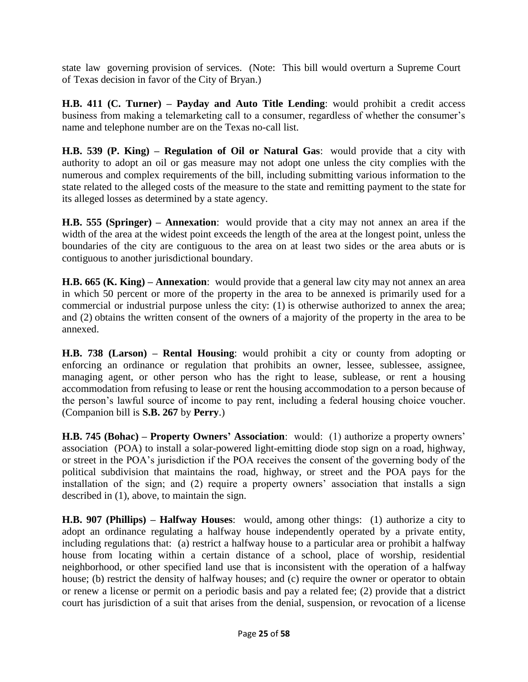state law governing provision of services. (Note: This bill would overturn a Supreme Court of Texas decision in favor of the City of Bryan.)

**H.B. 411 (C. Turner) – Payday and Auto Title Lending**: would prohibit a credit access business from making a telemarketing call to a consumer, regardless of whether the consumer's name and telephone number are on the Texas no-call list.

**H.B. 539 (P. King) – Regulation of Oil or Natural Gas**: would provide that a city with authority to adopt an oil or gas measure may not adopt one unless the city complies with the numerous and complex requirements of the bill, including submitting various information to the state related to the alleged costs of the measure to the state and remitting payment to the state for its alleged losses as determined by a state agency.

**H.B. 555 (Springer) – Annexation**: would provide that a city may not annex an area if the width of the area at the widest point exceeds the length of the area at the longest point, unless the boundaries of the city are contiguous to the area on at least two sides or the area abuts or is contiguous to another jurisdictional boundary.

**H.B. 665 (K. King) – Annexation**: would provide that a general law city may not annex an area in which 50 percent or more of the property in the area to be annexed is primarily used for a commercial or industrial purpose unless the city: (1) is otherwise authorized to annex the area; and (2) obtains the written consent of the owners of a majority of the property in the area to be annexed.

**H.B. 738 (Larson) – Rental Housing**: would prohibit a city or county from adopting or enforcing an ordinance or regulation that prohibits an owner, lessee, sublessee, assignee, managing agent, or other person who has the right to lease, sublease, or rent a housing accommodation from refusing to lease or rent the housing accommodation to a person because of the person's lawful source of income to pay rent, including a federal housing choice voucher. (Companion bill is **S.B. 267** by **Perry**.)

**H.B. 745 (Bohac) – Property Owners' Association**: would: (1) authorize a property owners' association (POA) to install a solar-powered light-emitting diode stop sign on a road, highway, or street in the POA's jurisdiction if the POA receives the consent of the governing body of the political subdivision that maintains the road, highway, or street and the POA pays for the installation of the sign; and (2) require a property owners' association that installs a sign described in (1), above, to maintain the sign.

**H.B. 907 (Phillips) – Halfway Houses**: would, among other things: (1) authorize a city to adopt an ordinance regulating a halfway house independently operated by a private entity, including regulations that: (a) restrict a halfway house to a particular area or prohibit a halfway house from locating within a certain distance of a school, place of worship, residential neighborhood, or other specified land use that is inconsistent with the operation of a halfway house; (b) restrict the density of halfway houses; and (c) require the owner or operator to obtain or renew a license or permit on a periodic basis and pay a related fee; (2) provide that a district court has jurisdiction of a suit that arises from the denial, suspension, or revocation of a license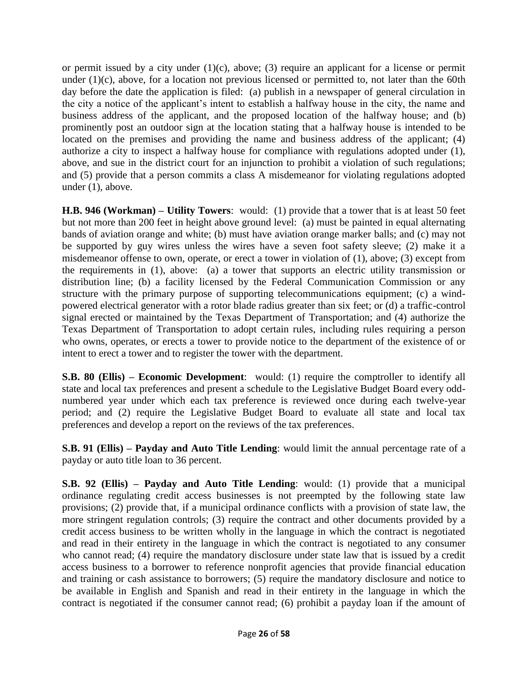or permit issued by a city under  $(1)(c)$ , above; (3) require an applicant for a license or permit under  $(1)(c)$ , above, for a location not previous licensed or permitted to, not later than the 60th day before the date the application is filed: (a) publish in a newspaper of general circulation in the city a notice of the applicant's intent to establish a halfway house in the city, the name and business address of the applicant, and the proposed location of the halfway house; and (b) prominently post an outdoor sign at the location stating that a halfway house is intended to be located on the premises and providing the name and business address of the applicant; (4) authorize a city to inspect a halfway house for compliance with regulations adopted under (1), above, and sue in the district court for an injunction to prohibit a violation of such regulations; and (5) provide that a person commits a class A misdemeanor for violating regulations adopted under (1), above.

**H.B. 946 (Workman) – Utility Towers**: would: (1) provide that a tower that is at least 50 feet but not more than 200 feet in height above ground level: (a) must be painted in equal alternating bands of aviation orange and white; (b) must have aviation orange marker balls; and (c) may not be supported by guy wires unless the wires have a seven foot safety sleeve; (2) make it a misdemeanor offense to own, operate, or erect a tower in violation of (1), above; (3) except from the requirements in (1), above: (a) a tower that supports an electric utility transmission or distribution line; (b) a facility licensed by the Federal Communication Commission or any structure with the primary purpose of supporting telecommunications equipment; (c) a windpowered electrical generator with a rotor blade radius greater than six feet; or (d) a traffic-control signal erected or maintained by the Texas Department of Transportation; and (4) authorize the Texas Department of Transportation to adopt certain rules, including rules requiring a person who owns, operates, or erects a tower to provide notice to the department of the existence of or intent to erect a tower and to register the tower with the department.

**S.B. 80 (Ellis) – Economic Development**: would: (1) require the comptroller to identify all state and local tax preferences and present a schedule to the Legislative Budget Board every oddnumbered year under which each tax preference is reviewed once during each twelve-year period; and (2) require the Legislative Budget Board to evaluate all state and local tax preferences and develop a report on the reviews of the tax preferences.

**S.B. 91 (Ellis) – Payday and Auto Title Lending**: would limit the annual percentage rate of a payday or auto title loan to 36 percent.

**S.B. 92 (Ellis) – Payday and Auto Title Lending**: would: (1) provide that a municipal ordinance regulating credit access businesses is not preempted by the following state law provisions; (2) provide that, if a municipal ordinance conflicts with a provision of state law, the more stringent regulation controls; (3) require the contract and other documents provided by a credit access business to be written wholly in the language in which the contract is negotiated and read in their entirety in the language in which the contract is negotiated to any consumer who cannot read; (4) require the mandatory disclosure under state law that is issued by a credit access business to a borrower to reference nonprofit agencies that provide financial education and training or cash assistance to borrowers; (5) require the mandatory disclosure and notice to be available in English and Spanish and read in their entirety in the language in which the contract is negotiated if the consumer cannot read; (6) prohibit a payday loan if the amount of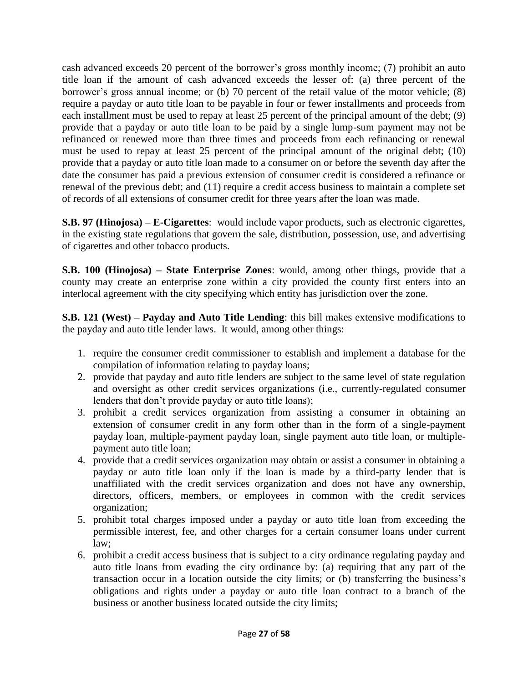cash advanced exceeds 20 percent of the borrower's gross monthly income; (7) prohibit an auto title loan if the amount of cash advanced exceeds the lesser of: (a) three percent of the borrower's gross annual income; or (b) 70 percent of the retail value of the motor vehicle; (8) require a payday or auto title loan to be payable in four or fewer installments and proceeds from each installment must be used to repay at least 25 percent of the principal amount of the debt; (9) provide that a payday or auto title loan to be paid by a single lump-sum payment may not be refinanced or renewed more than three times and proceeds from each refinancing or renewal must be used to repay at least 25 percent of the principal amount of the original debt; (10) provide that a payday or auto title loan made to a consumer on or before the seventh day after the date the consumer has paid a previous extension of consumer credit is considered a refinance or renewal of the previous debt; and (11) require a credit access business to maintain a complete set of records of all extensions of consumer credit for three years after the loan was made.

**S.B. 97 (Hinojosa) – E-Cigarettes**: would include vapor products, such as electronic cigarettes, in the existing state regulations that govern the sale, distribution, possession, use, and advertising of cigarettes and other tobacco products.

**S.B. 100 (Hinojosa) – State Enterprise Zones**: would, among other things, provide that a county may create an enterprise zone within a city provided the county first enters into an interlocal agreement with the city specifying which entity has jurisdiction over the zone.

**S.B. 121 (West) – Payday and Auto Title Lending**: this bill makes extensive modifications to the payday and auto title lender laws. It would, among other things:

- 1. require the consumer credit commissioner to establish and implement a database for the compilation of information relating to payday loans;
- 2. provide that payday and auto title lenders are subject to the same level of state regulation and oversight as other credit services organizations (i.e., currently-regulated consumer lenders that don't provide payday or auto title loans);
- 3. prohibit a credit services organization from assisting a consumer in obtaining an extension of consumer credit in any form other than in the form of a single-payment payday loan, multiple-payment payday loan, single payment auto title loan, or multiplepayment auto title loan;
- 4. provide that a credit services organization may obtain or assist a consumer in obtaining a payday or auto title loan only if the loan is made by a third-party lender that is unaffiliated with the credit services organization and does not have any ownership, directors, officers, members, or employees in common with the credit services organization;
- 5. prohibit total charges imposed under a payday or auto title loan from exceeding the permissible interest, fee, and other charges for a certain consumer loans under current law;
- 6. prohibit a credit access business that is subject to a city ordinance regulating payday and auto title loans from evading the city ordinance by: (a) requiring that any part of the transaction occur in a location outside the city limits; or (b) transferring the business's obligations and rights under a payday or auto title loan contract to a branch of the business or another business located outside the city limits;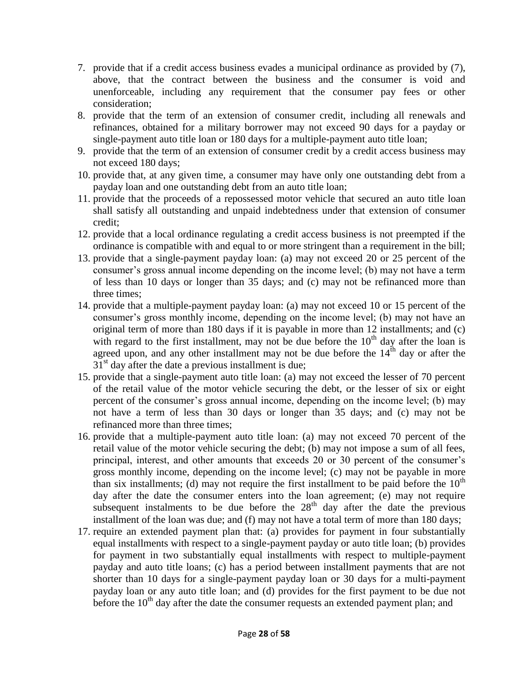- 7. provide that if a credit access business evades a municipal ordinance as provided by (7), above, that the contract between the business and the consumer is void and unenforceable, including any requirement that the consumer pay fees or other consideration;
- 8. provide that the term of an extension of consumer credit, including all renewals and refinances, obtained for a military borrower may not exceed 90 days for a payday or single-payment auto title loan or 180 days for a multiple-payment auto title loan;
- 9. provide that the term of an extension of consumer credit by a credit access business may not exceed 180 days;
- 10. provide that, at any given time, a consumer may have only one outstanding debt from a payday loan and one outstanding debt from an auto title loan;
- 11. provide that the proceeds of a repossessed motor vehicle that secured an auto title loan shall satisfy all outstanding and unpaid indebtedness under that extension of consumer credit;
- 12. provide that a local ordinance regulating a credit access business is not preempted if the ordinance is compatible with and equal to or more stringent than a requirement in the bill;
- 13. provide that a single-payment payday loan: (a) may not exceed 20 or 25 percent of the consumer's gross annual income depending on the income level; (b) may not have a term of less than 10 days or longer than 35 days; and (c) may not be refinanced more than three times;
- 14. provide that a multiple-payment payday loan: (a) may not exceed 10 or 15 percent of the consumer's gross monthly income, depending on the income level; (b) may not have an original term of more than 180 days if it is payable in more than 12 installments; and (c) with regard to the first installment, may not be due before the  $10<sup>th</sup>$  day after the loan is agreed upon, and any other installment may not be due before the  $14<sup>th</sup>$  day or after the  $31<sup>st</sup>$  day after the date a previous installment is due;
- 15. provide that a single-payment auto title loan: (a) may not exceed the lesser of 70 percent of the retail value of the motor vehicle securing the debt, or the lesser of six or eight percent of the consumer's gross annual income, depending on the income level; (b) may not have a term of less than 30 days or longer than 35 days; and (c) may not be refinanced more than three times;
- 16. provide that a multiple-payment auto title loan: (a) may not exceed 70 percent of the retail value of the motor vehicle securing the debt; (b) may not impose a sum of all fees, principal, interest, and other amounts that exceeds 20 or 30 percent of the consumer's gross monthly income, depending on the income level; (c) may not be payable in more than six installments; (d) may not require the first installment to be paid before the  $10<sup>th</sup>$ day after the date the consumer enters into the loan agreement; (e) may not require subsequent instalments to be due before the  $28<sup>th</sup>$  day after the date the previous installment of the loan was due; and (f) may not have a total term of more than 180 days;
- 17. require an extended payment plan that: (a) provides for payment in four substantially equal installments with respect to a single-payment payday or auto title loan; (b) provides for payment in two substantially equal installments with respect to multiple-payment payday and auto title loans; (c) has a period between installment payments that are not shorter than 10 days for a single-payment payday loan or 30 days for a multi-payment payday loan or any auto title loan; and (d) provides for the first payment to be due not before the  $10<sup>th</sup>$  day after the date the consumer requests an extended payment plan; and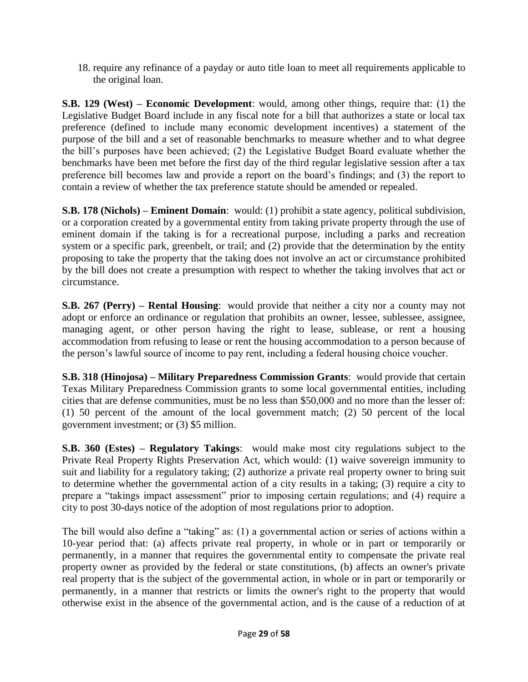18. require any refinance of a payday or auto title loan to meet all requirements applicable to the original loan.

**S.B. 129 (West) – Economic Development**: would, among other things, require that: (1) the Legislative Budget Board include in any fiscal note for a bill that authorizes a state or local tax preference (defined to include many economic development incentives) a statement of the purpose of the bill and a set of reasonable benchmarks to measure whether and to what degree the bill's purposes have been achieved; (2) the Legislative Budget Board evaluate whether the benchmarks have been met before the first day of the third regular legislative session after a tax preference bill becomes law and provide a report on the board's findings; and (3) the report to contain a review of whether the tax preference statute should be amended or repealed.

**S.B. 178 (Nichols) – Eminent Domain**: would: (1) prohibit a state agency, political subdivision, or a corporation created by a governmental entity from taking private property through the use of eminent domain if the taking is for a recreational purpose, including a parks and recreation system or a specific park, greenbelt, or trail; and (2) provide that the determination by the entity proposing to take the property that the taking does not involve an act or circumstance prohibited by the bill does not create a presumption with respect to whether the taking involves that act or circumstance.

**S.B. 267 (Perry) – Rental Housing**: would provide that neither a city nor a county may not adopt or enforce an ordinance or regulation that prohibits an owner, lessee, sublessee, assignee, managing agent, or other person having the right to lease, sublease, or rent a housing accommodation from refusing to lease or rent the housing accommodation to a person because of the person's lawful source of income to pay rent, including a federal housing choice voucher.

**S.B. 318 (Hinojosa) – Military Preparedness Commission Grants**: would provide that certain Texas Military Preparedness Commission grants to some local governmental entities, including cities that are defense communities, must be no less than \$50,000 and no more than the lesser of: (1) 50 percent of the amount of the local government match; (2) 50 percent of the local government investment; or (3) \$5 million.

**S.B. 360 (Estes) – Regulatory Takings**: would make most city regulations subject to the Private Real Property Rights Preservation Act, which would: (1) waive sovereign immunity to suit and liability for a regulatory taking; (2) authorize a private real property owner to bring suit to determine whether the governmental action of a city results in a taking; (3) require a city to prepare a "takings impact assessment" prior to imposing certain regulations; and (4) require a city to post 30-days notice of the adoption of most regulations prior to adoption.

The bill would also define a "taking" as: (1) a governmental action or series of actions within a 10-year period that: (a) affects private real property, in whole or in part or temporarily or permanently, in a manner that requires the governmental entity to compensate the private real property owner as provided by the federal or state constitutions, (b) affects an owner's private real property that is the subject of the governmental action, in whole or in part or temporarily or permanently, in a manner that restricts or limits the owner's right to the property that would otherwise exist in the absence of the governmental action, and is the cause of a reduction of at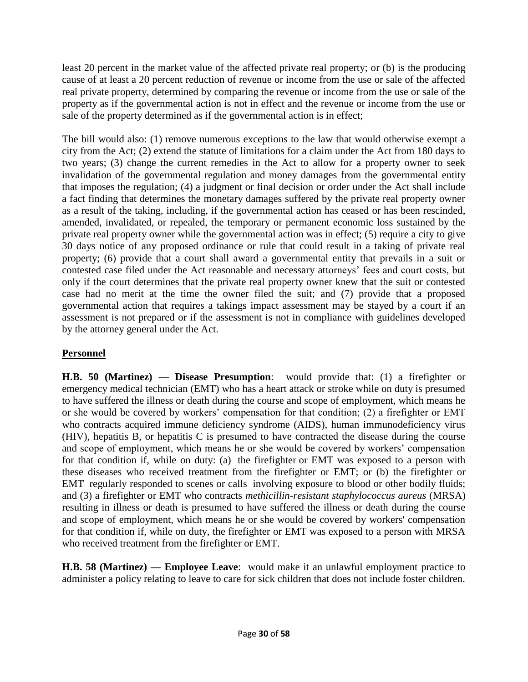least 20 percent in the market value of the affected private real property; or (b) is the producing cause of at least a 20 percent reduction of revenue or income from the use or sale of the affected real private property, determined by comparing the revenue or income from the use or sale of the property as if the governmental action is not in effect and the revenue or income from the use or sale of the property determined as if the governmental action is in effect;

The bill would also: (1) remove numerous exceptions to the law that would otherwise exempt a city from the Act; (2) extend the statute of limitations for a claim under the Act from 180 days to two years; (3) change the current remedies in the Act to allow for a property owner to seek invalidation of the governmental regulation and money damages from the governmental entity that imposes the regulation; (4) a judgment or final decision or order under the Act shall include a fact finding that determines the monetary damages suffered by the private real property owner as a result of the taking, including, if the governmental action has ceased or has been rescinded, amended, invalidated, or repealed, the temporary or permanent economic loss sustained by the private real property owner while the governmental action was in effect; (5) require a city to give 30 days notice of any proposed ordinance or rule that could result in a taking of private real property; (6) provide that a court shall award a governmental entity that prevails in a suit or contested case filed under the Act reasonable and necessary attorneys' fees and court costs, but only if the court determines that the private real property owner knew that the suit or contested case had no merit at the time the owner filed the suit; and (7) provide that a proposed governmental action that requires a takings impact assessment may be stayed by a court if an assessment is not prepared or if the assessment is not in compliance with guidelines developed by the attorney general under the Act.

## **Personnel**

**H.B. 50 (Martinez) — Disease Presumption**: would provide that: (1) a firefighter or emergency medical technician (EMT) who has a heart attack or stroke while on duty is presumed to have suffered the illness or death during the course and scope of employment, which means he or she would be covered by workers' compensation for that condition; (2) a firefighter or EMT who contracts acquired immune deficiency syndrome (AIDS), human immunodeficiency virus (HIV), hepatitis B, or hepatitis C is presumed to have contracted the disease during the course and scope of employment, which means he or she would be covered by workers' compensation for that condition if, while on duty: (a) the firefighter or EMT was exposed to a person with these diseases who received treatment from the firefighter or EMT; or (b) the firefighter or EMT regularly responded to scenes or calls involving exposure to blood or other bodily fluids; and (3) a firefighter or EMT who contracts *methicillin-resistant staphylococcus aureus* (MRSA) resulting in illness or death is presumed to have suffered the illness or death during the course and scope of employment, which means he or she would be covered by workers' compensation for that condition if, while on duty, the firefighter or EMT was exposed to a person with MRSA who received treatment from the firefighter or EMT.

**H.B. 58 (Martinez) — Employee Leave**: would make it an unlawful employment practice to administer a policy relating to leave to care for sick children that does not include foster children.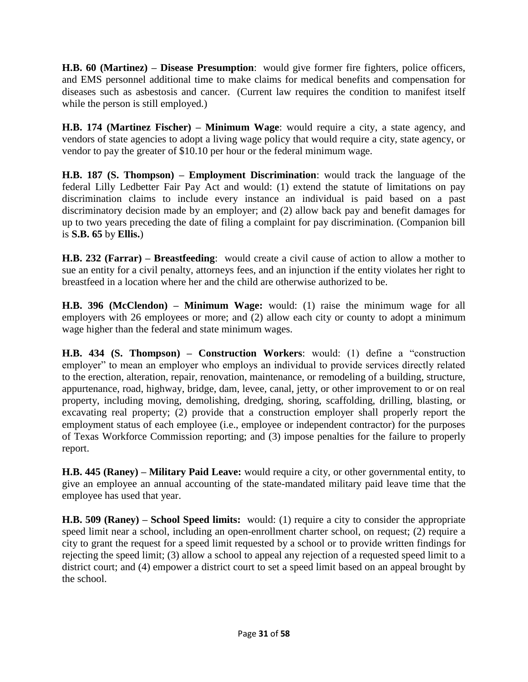**H.B. 60 (Martinez) – Disease Presumption**: would give former fire fighters, police officers, and EMS personnel additional time to make claims for medical benefits and compensation for diseases such as asbestosis and cancer. (Current law requires the condition to manifest itself while the person is still employed.)

**H.B. 174 (Martinez Fischer) – Minimum Wage**: would require a city, a state agency, and vendors of state agencies to adopt a living wage policy that would require a city, state agency, or vendor to pay the greater of \$10.10 per hour or the federal minimum wage.

**H.B. 187 (S. Thompson) – Employment Discrimination**: would track the language of the federal Lilly Ledbetter Fair Pay Act and would: (1) extend the statute of limitations on pay discrimination claims to include every instance an individual is paid based on a past discriminatory decision made by an employer; and (2) allow back pay and benefit damages for up to two years preceding the date of filing a complaint for pay discrimination. (Companion bill is **S.B. 65** by **Ellis.**)

**H.B. 232 (Farrar) – Breastfeeding**: would create a civil cause of action to allow a mother to sue an entity for a civil penalty, attorneys fees, and an injunction if the entity violates her right to breastfeed in a location where her and the child are otherwise authorized to be.

**H.B. 396 (McClendon) – Minimum Wage:** would: (1) raise the minimum wage for all employers with 26 employees or more; and (2) allow each city or county to adopt a minimum wage higher than the federal and state minimum wages.

**H.B. 434 (S. Thompson) – Construction Workers**: would: (1) define a "construction employer" to mean an employer who employs an individual to provide services directly related to the erection, alteration, repair, renovation, maintenance, or remodeling of a building, structure, appurtenance, road, highway, bridge, dam, levee, canal, jetty, or other improvement to or on real property, including moving, demolishing, dredging, shoring, scaffolding, drilling, blasting, or excavating real property; (2) provide that a construction employer shall properly report the employment status of each employee (i.e., employee or independent contractor) for the purposes of Texas Workforce Commission reporting; and (3) impose penalties for the failure to properly report.

**H.B. 445 (Raney) – Military Paid Leave:** would require a city, or other governmental entity, to give an employee an annual accounting of the state-mandated military paid leave time that the employee has used that year.

**H.B. 509 (Raney) – School Speed limits:** would: (1) require a city to consider the appropriate speed limit near a school, including an open-enrollment charter school, on request; (2) require a city to grant the request for a speed limit requested by a school or to provide written findings for rejecting the speed limit; (3) allow a school to appeal any rejection of a requested speed limit to a district court; and (4) empower a district court to set a speed limit based on an appeal brought by the school.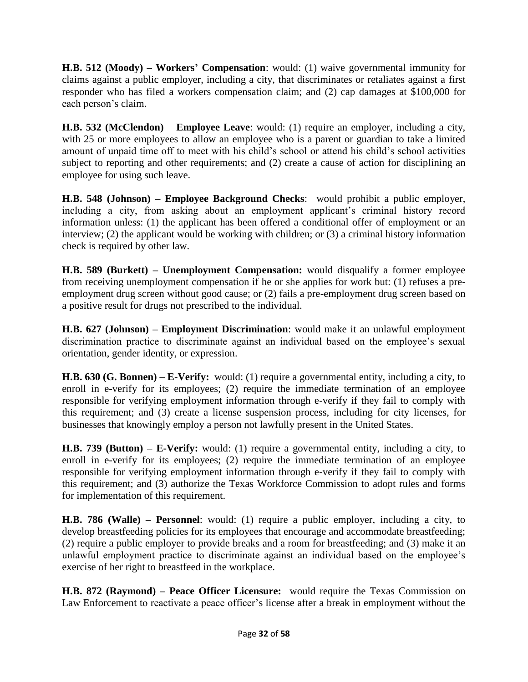**H.B. 512 (Moody) – Workers' Compensation**: would: (1) waive governmental immunity for claims against a public employer, including a city, that discriminates or retaliates against a first responder who has filed a workers compensation claim; and (2) cap damages at \$100,000 for each person's claim.

**H.B. 532 (McClendon)** – **Employee Leave**: would: (1) require an employer, including a city, with 25 or more employees to allow an employee who is a parent or guardian to take a limited amount of unpaid time off to meet with his child's school or attend his child's school activities subject to reporting and other requirements; and (2) create a cause of action for disciplining an employee for using such leave.

**H.B. 548 (Johnson) – Employee Background Checks**: would prohibit a public employer, including a city, from asking about an employment applicant's criminal history record information unless: (1) the applicant has been offered a conditional offer of employment or an interview; (2) the applicant would be working with children; or (3) a criminal history information check is required by other law.

**H.B. 589 (Burkett) – Unemployment Compensation:** would disqualify a former employee from receiving unemployment compensation if he or she applies for work but: (1) refuses a preemployment drug screen without good cause; or (2) fails a pre-employment drug screen based on a positive result for drugs not prescribed to the individual.

**H.B. 627 (Johnson) – Employment Discrimination**: would make it an unlawful employment discrimination practice to discriminate against an individual based on the employee's sexual orientation, gender identity, or expression.

**H.B. 630 (G. Bonnen) – E-Verify:** would: (1) require a governmental entity, including a city, to enroll in e-verify for its employees; (2) require the immediate termination of an employee responsible for verifying employment information through e-verify if they fail to comply with this requirement; and (3) create a license suspension process, including for city licenses, for businesses that knowingly employ a person not lawfully present in the United States.

**H.B. 739 (Button) – E-Verify:** would: (1) require a governmental entity, including a city, to enroll in e-verify for its employees; (2) require the immediate termination of an employee responsible for verifying employment information through e-verify if they fail to comply with this requirement; and (3) authorize the Texas Workforce Commission to adopt rules and forms for implementation of this requirement.

**H.B. 786 (Walle) – Personnel**: would: (1) require a public employer, including a city, to develop breastfeeding policies for its employees that encourage and accommodate breastfeeding; (2) require a public employer to provide breaks and a room for breastfeeding; and (3) make it an unlawful employment practice to discriminate against an individual based on the employee's exercise of her right to breastfeed in the workplace.

**H.B. 872 (Raymond) – Peace Officer Licensure:** would require the Texas Commission on Law Enforcement to reactivate a peace officer's license after a break in employment without the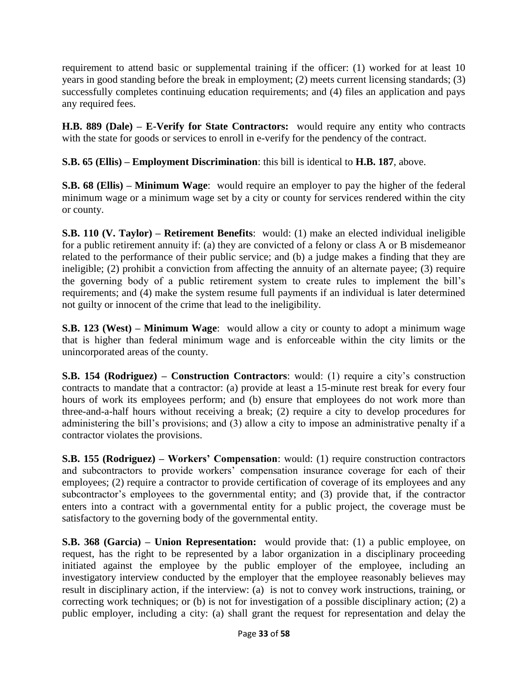requirement to attend basic or supplemental training if the officer: (1) worked for at least 10 years in good standing before the break in employment; (2) meets current licensing standards; (3) successfully completes continuing education requirements; and (4) files an application and pays any required fees.

**H.B. 889 (Dale) – E-Verify for State Contractors:** would require any entity who contracts with the state for goods or services to enroll in e-verify for the pendency of the contract.

**S.B. 65 (Ellis) – Employment Discrimination**: this bill is identical to **H.B. 187**, above.

**S.B. 68 (Ellis) – Minimum Wage**: would require an employer to pay the higher of the federal minimum wage or a minimum wage set by a city or county for services rendered within the city or county.

**S.B. 110 (V. Taylor) – Retirement Benefits**: would: (1) make an elected individual ineligible for a public retirement annuity if: (a) they are convicted of a felony or class A or B misdemeanor related to the performance of their public service; and (b) a judge makes a finding that they are ineligible; (2) prohibit a conviction from affecting the annuity of an alternate payee; (3) require the governing body of a public retirement system to create rules to implement the bill's requirements; and (4) make the system resume full payments if an individual is later determined not guilty or innocent of the crime that lead to the ineligibility.

**S.B. 123 (West) – Minimum Wage**: would allow a city or county to adopt a minimum wage that is higher than federal minimum wage and is enforceable within the city limits or the unincorporated areas of the county.

**S.B. 154 (Rodriguez) – Construction Contractors**: would: (1) require a city's construction contracts to mandate that a contractor: (a) provide at least a 15-minute rest break for every four hours of work its employees perform; and (b) ensure that employees do not work more than three-and-a-half hours without receiving a break; (2) require a city to develop procedures for administering the bill's provisions; and (3) allow a city to impose an administrative penalty if a contractor violates the provisions.

**S.B. 155 (Rodriguez) – Workers' Compensation**: would: (1) require construction contractors and subcontractors to provide workers' compensation insurance coverage for each of their employees; (2) require a contractor to provide certification of coverage of its employees and any subcontractor's employees to the governmental entity; and (3) provide that, if the contractor enters into a contract with a governmental entity for a public project, the coverage must be satisfactory to the governing body of the governmental entity.

**S.B. 368 (Garcia) – Union Representation:** would provide that: (1) a public employee, on request, has the right to be represented by a labor organization in a disciplinary proceeding initiated against the employee by the public employer of the employee, including an investigatory interview conducted by the employer that the employee reasonably believes may result in disciplinary action, if the interview: (a) is not to convey work instructions, training, or correcting work techniques; or (b) is not for investigation of a possible disciplinary action;  $(2)$  a public employer, including a city: (a) shall grant the request for representation and delay the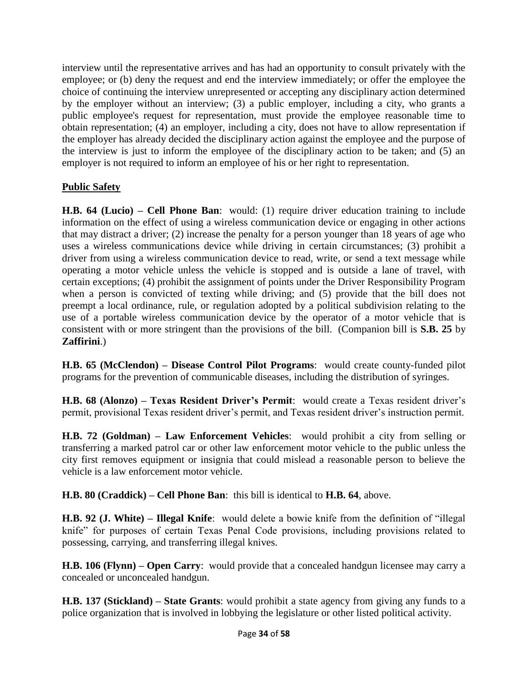interview until the representative arrives and has had an opportunity to consult privately with the employee; or (b) deny the request and end the interview immediately; or offer the employee the choice of continuing the interview unrepresented or accepting any disciplinary action determined by the employer without an interview; (3) a public employer, including a city, who grants a public employee's request for representation, must provide the employee reasonable time to obtain representation; (4) an employer, including a city, does not have to allow representation if the employer has already decided the disciplinary action against the employee and the purpose of the interview is just to inform the employee of the disciplinary action to be taken; and (5) an employer is not required to inform an employee of his or her right to representation.

## **Public Safety**

**H.B. 64 (Lucio) – Cell Phone Ban**: would: (1) require driver education training to include information on the effect of using a wireless communication device or engaging in other actions that may distract a driver; (2) increase the penalty for a person younger than 18 years of age who uses a wireless communications device while driving in certain circumstances; (3) prohibit a driver from using a wireless communication device to read, write, or send a text message while operating a motor vehicle unless the vehicle is stopped and is outside a lane of travel, with certain exceptions; (4) prohibit the assignment of points under the Driver Responsibility Program when a person is convicted of texting while driving; and (5) provide that the bill does not preempt a local ordinance, rule, or regulation adopted by a political subdivision relating to the use of a portable wireless communication device by the operator of a motor vehicle that is consistent with or more stringent than the provisions of the bill. (Companion bill is **S.B. 25** by **Zaffirini**.)

**H.B. 65 (McClendon) – Disease Control Pilot Programs**: would create county-funded pilot programs for the prevention of communicable diseases, including the distribution of syringes.

**H.B. 68 (Alonzo) – Texas Resident Driver's Permit**: would create a Texas resident driver's permit, provisional Texas resident driver's permit, and Texas resident driver's instruction permit.

**H.B. 72 (Goldman) – Law Enforcement Vehicles**: would prohibit a city from selling or transferring a marked patrol car or other law enforcement motor vehicle to the public unless the city first removes equipment or insignia that could mislead a reasonable person to believe the vehicle is a law enforcement motor vehicle.

**H.B. 80 (Craddick) – Cell Phone Ban**: this bill is identical to **H.B. 64**, above.

**H.B. 92 (J. White) – Illegal Knife**: would delete a bowie knife from the definition of "illegal knife" for purposes of certain Texas Penal Code provisions, including provisions related to possessing, carrying, and transferring illegal knives.

**H.B. 106 (Flynn) – Open Carry**: would provide that a concealed handgun licensee may carry a concealed or unconcealed handgun.

**H.B. 137 (Stickland) – State Grants**: would prohibit a state agency from giving any funds to a police organization that is involved in lobbying the legislature or other listed political activity.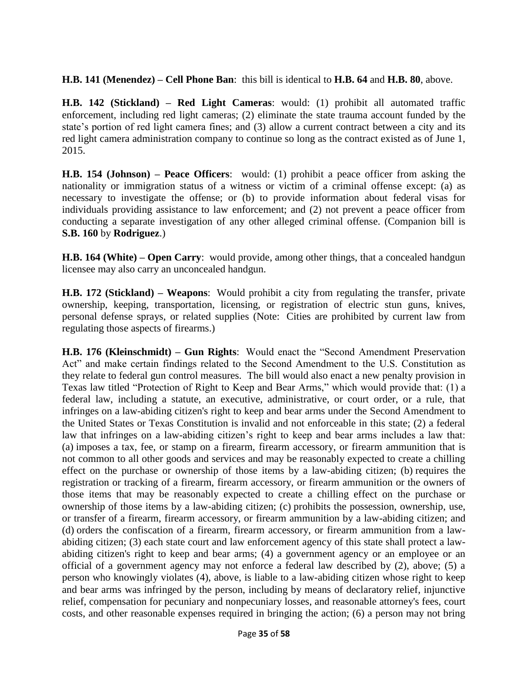**H.B. 141 (Menendez) – Cell Phone Ban**: this bill is identical to **H.B. 64** and **H.B. 80**, above.

**H.B. 142 (Stickland) – Red Light Cameras**: would: (1) prohibit all automated traffic enforcement, including red light cameras; (2) eliminate the state trauma account funded by the state's portion of red light camera fines; and (3) allow a current contract between a city and its red light camera administration company to continue so long as the contract existed as of June 1, 2015.

**H.B. 154 (Johnson) – Peace Officers**: would: (1) prohibit a peace officer from asking the nationality or immigration status of a witness or victim of a criminal offense except: (a) as necessary to investigate the offense; or (b) to provide information about federal visas for individuals providing assistance to law enforcement; and (2) not prevent a peace officer from conducting a separate investigation of any other alleged criminal offense. (Companion bill is **S.B. 160** by **Rodriguez**.)

**H.B. 164 (White) – Open Carry**: would provide, among other things, that a concealed handgun licensee may also carry an unconcealed handgun.

**H.B. 172 (Stickland) – Weapons**: Would prohibit a city from regulating the transfer, private ownership, keeping, transportation, licensing, or registration of electric stun guns, knives, personal defense sprays, or related supplies (Note: Cities are prohibited by current law from regulating those aspects of firearms.)

**H.B. 176 (Kleinschmidt) – Gun Rights**: Would enact the "Second Amendment Preservation Act" and make certain findings related to the Second Amendment to the U.S. Constitution as they relate to federal gun control measures. The bill would also enact a new penalty provision in Texas law titled "Protection of Right to Keep and Bear Arms," which would provide that: (1) a federal law, including a statute, an executive, administrative, or court order, or a rule, that infringes on a law-abiding citizen's right to keep and bear arms under the Second Amendment to the United States or Texas Constitution is invalid and not enforceable in this state; (2) a federal law that infringes on a law-abiding citizen's right to keep and bear arms includes a law that: (a) imposes a tax, fee, or stamp on a firearm, firearm accessory, or firearm ammunition that is not common to all other goods and services and may be reasonably expected to create a chilling effect on the purchase or ownership of those items by a law-abiding citizen; (b) requires the registration or tracking of a firearm, firearm accessory, or firearm ammunition or the owners of those items that may be reasonably expected to create a chilling effect on the purchase or ownership of those items by a law-abiding citizen; (c) prohibits the possession, ownership, use, or transfer of a firearm, firearm accessory, or firearm ammunition by a law-abiding citizen; and (d) orders the confiscation of a firearm, firearm accessory, or firearm ammunition from a lawabiding citizen; (3) each state court and law enforcement agency of this state shall protect a lawabiding citizen's right to keep and bear arms; (4) a government agency or an employee or an official of a government agency may not enforce a federal law described by (2), above; (5) a person who knowingly violates (4), above, is liable to a law-abiding citizen whose right to keep and bear arms was infringed by the person, including by means of declaratory relief, injunctive relief, compensation for pecuniary and nonpecuniary losses, and reasonable attorney's fees, court costs, and other reasonable expenses required in bringing the action; (6) a person may not bring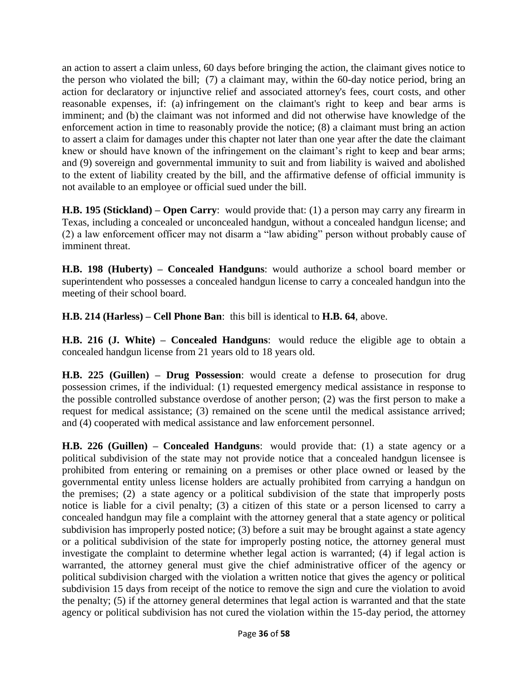an action to assert a claim unless, 60 days before bringing the action, the claimant gives notice to the person who violated the bill; (7) a claimant may, within the 60-day notice period, bring an action for declaratory or injunctive relief and associated attorney's fees, court costs, and other reasonable expenses, if: (a) infringement on the claimant's right to keep and bear arms is imminent; and (b) the claimant was not informed and did not otherwise have knowledge of the enforcement action in time to reasonably provide the notice; (8) a claimant must bring an action to assert a claim for damages under this chapter not later than one year after the date the claimant knew or should have known of the infringement on the claimant's right to keep and bear arms; and (9) sovereign and governmental immunity to suit and from liability is waived and abolished to the extent of liability created by the bill, and the affirmative defense of official immunity is not available to an employee or official sued under the bill.

**H.B. 195 (Stickland) – Open Carry**: would provide that: (1) a person may carry any firearm in Texas, including a concealed or unconcealed handgun, without a concealed handgun license; and (2) a law enforcement officer may not disarm a "law abiding" person without probably cause of imminent threat.

**H.B. 198 (Huberty) – Concealed Handguns**: would authorize a school board member or superintendent who possesses a concealed handgun license to carry a concealed handgun into the meeting of their school board.

**H.B. 214 (Harless) – Cell Phone Ban**: this bill is identical to **H.B. 64**, above.

**H.B. 216 (J. White) – Concealed Handguns**: would reduce the eligible age to obtain a concealed handgun license from 21 years old to 18 years old.

**H.B. 225 (Guillen) – Drug Possession**: would create a defense to prosecution for drug possession crimes, if the individual: (1) requested emergency medical assistance in response to the possible controlled substance overdose of another person; (2) was the first person to make a request for medical assistance; (3) remained on the scene until the medical assistance arrived; and (4) cooperated with medical assistance and law enforcement personnel.

**H.B. 226 (Guillen) – Concealed Handguns**: would provide that: (1) a state agency or a political subdivision of the state may not provide notice that a concealed handgun licensee is prohibited from entering or remaining on a premises or other place owned or leased by the governmental entity unless license holders are actually prohibited from carrying a handgun on the premises; (2) a state agency or a political subdivision of the state that improperly posts notice is liable for a civil penalty; (3) a citizen of this state or a person licensed to carry a concealed handgun may file a complaint with the attorney general that a state agency or political subdivision has improperly posted notice; (3) before a suit may be brought against a state agency or a political subdivision of the state for improperly posting notice, the attorney general must investigate the complaint to determine whether legal action is warranted; (4) if legal action is warranted, the attorney general must give the chief administrative officer of the agency or political subdivision charged with the violation a written notice that gives the agency or political subdivision 15 days from receipt of the notice to remove the sign and cure the violation to avoid the penalty; (5) if the attorney general determines that legal action is warranted and that the state agency or political subdivision has not cured the violation within the 15-day period, the attorney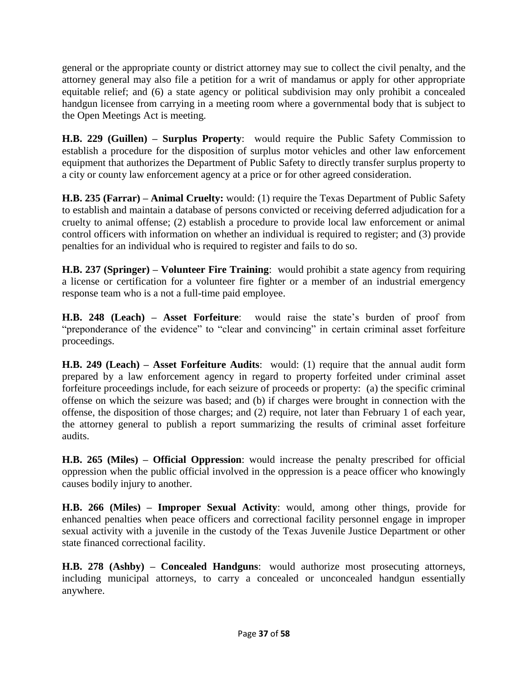general or the appropriate county or district attorney may sue to collect the civil penalty, and the attorney general may also file a petition for a writ of mandamus or apply for other appropriate equitable relief; and (6) a state agency or political subdivision may only prohibit a concealed handgun licensee from carrying in a meeting room where a governmental body that is subject to the Open Meetings Act is meeting.

**H.B. 229 (Guillen) – Surplus Property**: would require the Public Safety Commission to establish a procedure for the disposition of surplus motor vehicles and other law enforcement equipment that authorizes the Department of Public Safety to directly transfer surplus property to a city or county law enforcement agency at a price or for other agreed consideration.

**H.B. 235 (Farrar) – Animal Cruelty:** would: (1) require the Texas Department of Public Safety to establish and maintain a database of persons convicted or receiving deferred adjudication for a cruelty to animal offense; (2) establish a procedure to provide local law enforcement or animal control officers with information on whether an individual is required to register; and (3) provide penalties for an individual who is required to register and fails to do so.

**H.B. 237 (Springer) – Volunteer Fire Training**: would prohibit a state agency from requiring a license or certification for a volunteer fire fighter or a member of an industrial emergency response team who is a not a full-time paid employee.

**H.B. 248 (Leach) – Asset Forfeiture**: would raise the state's burden of proof from "preponderance of the evidence" to "clear and convincing" in certain criminal asset forfeiture proceedings.

**H.B. 249 (Leach) – Asset Forfeiture Audits**: would: (1) require that the annual audit form prepared by a law enforcement agency in regard to property forfeited under criminal asset forfeiture proceedings include, for each seizure of proceeds or property: (a) the specific criminal offense on which the seizure was based; and (b) if charges were brought in connection with the offense, the disposition of those charges; and (2) require, not later than February 1 of each year, the attorney general to publish a report summarizing the results of criminal asset forfeiture audits.

**H.B. 265 (Miles) – Official Oppression**: would increase the penalty prescribed for official oppression when the public official involved in the oppression is a peace officer who knowingly causes bodily injury to another.

**H.B. 266 (Miles) – Improper Sexual Activity**: would, among other things, provide for enhanced penalties when peace officers and correctional facility personnel engage in improper sexual activity with a juvenile in the custody of the Texas Juvenile Justice Department or other state financed correctional facility.

**H.B. 278 (Ashby) – Concealed Handguns**: would authorize most prosecuting attorneys, including municipal attorneys, to carry a concealed or unconcealed handgun essentially anywhere.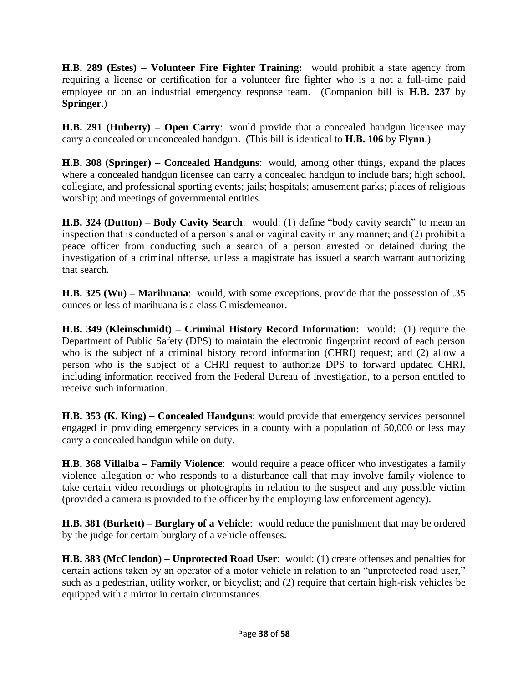**H.B. 289 (Estes) – Volunteer Fire Fighter Training:** would prohibit a state agency from requiring a license or certification for a volunteer fire fighter who is a not a full-time paid employee or on an industrial emergency response team. (Companion bill is **H.B. 237** by **Springer**.)

**H.B. 291 (Huberty) – Open Carry**: would provide that a concealed handgun licensee may carry a concealed or unconcealed handgun. (This bill is identical to **H.B. 106** by **Flynn**.)

**H.B. 308 (Springer) – Concealed Handguns**: would, among other things, expand the places where a concealed handgun licensee can carry a concealed handgun to include bars; high school, collegiate, and professional sporting events; jails; hospitals; amusement parks; places of religious worship; and meetings of governmental entities.

**H.B. 324 (Dutton) – Body Cavity Search**: would: (1) define "body cavity search" to mean an inspection that is conducted of a person's anal or vaginal cavity in any manner; and (2) prohibit a peace officer from conducting such a search of a person arrested or detained during the investigation of a criminal offense, unless a magistrate has issued a search warrant authorizing that search.

**H.B. 325 (Wu) – Marihuana**: would, with some exceptions, provide that the possession of .35 ounces or less of marihuana is a class C misdemeanor.

**H.B. 349 (Kleinschmidt) – Criminal History Record Information**: would: (1) require the Department of Public Safety (DPS) to maintain the electronic fingerprint record of each person who is the subject of a criminal history record information (CHRI) request; and (2) allow a person who is the subject of a CHRI request to authorize DPS to forward updated CHRI, including information received from the Federal Bureau of Investigation, to a person entitled to receive such information.

**H.B. 353 (K. King) – Concealed Handguns**: would provide that emergency services personnel engaged in providing emergency services in a county with a population of 50,000 or less may carry a concealed handgun while on duty.

**H.B. 368 Villalba – Family Violence**: would require a peace officer who investigates a family violence allegation or who responds to a disturbance call that may involve family violence to take certain video recordings or photographs in relation to the suspect and any possible victim (provided a camera is provided to the officer by the employing law enforcement agency).

**H.B. 381 (Burkett) – Burglary of a Vehicle**: would reduce the punishment that may be ordered by the judge for certain burglary of a vehicle offenses.

**H.B. 383 (McClendon) – Unprotected Road User**: would: (1) create offenses and penalties for certain actions taken by an operator of a motor vehicle in relation to an "unprotected road user," such as a pedestrian, utility worker, or bicyclist; and (2) require that certain high-risk vehicles be equipped with a mirror in certain circumstances.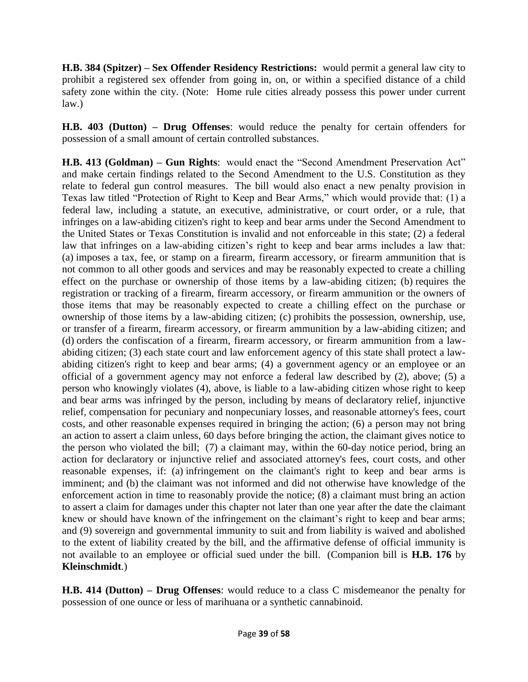**H.B. 384 (Spitzer) – Sex Offender Residency Restrictions:** would permit a general law city to prohibit a registered sex offender from going in, on, or within a specified distance of a child safety zone within the city. (Note: Home rule cities already possess this power under current law.)

**H.B. 403 (Dutton) – Drug Offenses**: would reduce the penalty for certain offenders for possession of a small amount of certain controlled substances.

**H.B. 413 (Goldman) – Gun Rights**: would enact the "Second Amendment Preservation Act" and make certain findings related to the Second Amendment to the U.S. Constitution as they relate to federal gun control measures. The bill would also enact a new penalty provision in Texas law titled "Protection of Right to Keep and Bear Arms," which would provide that: (1) a federal law, including a statute, an executive, administrative, or court order, or a rule, that infringes on a law-abiding citizen's right to keep and bear arms under the Second Amendment to the United States or Texas Constitution is invalid and not enforceable in this state; (2) a federal law that infringes on a law-abiding citizen's right to keep and bear arms includes a law that: (a) imposes a tax, fee, or stamp on a firearm, firearm accessory, or firearm ammunition that is not common to all other goods and services and may be reasonably expected to create a chilling effect on the purchase or ownership of those items by a law-abiding citizen; (b) requires the registration or tracking of a firearm, firearm accessory, or firearm ammunition or the owners of those items that may be reasonably expected to create a chilling effect on the purchase or ownership of those items by a law-abiding citizen; (c) prohibits the possession, ownership, use, or transfer of a firearm, firearm accessory, or firearm ammunition by a law-abiding citizen; and (d) orders the confiscation of a firearm, firearm accessory, or firearm ammunition from a lawabiding citizen; (3) each state court and law enforcement agency of this state shall protect a lawabiding citizen's right to keep and bear arms; (4) a government agency or an employee or an official of a government agency may not enforce a federal law described by (2), above; (5) a person who knowingly violates (4), above, is liable to a law-abiding citizen whose right to keep and bear arms was infringed by the person, including by means of declaratory relief, injunctive relief, compensation for pecuniary and nonpecuniary losses, and reasonable attorney's fees, court costs, and other reasonable expenses required in bringing the action; (6) a person may not bring an action to assert a claim unless, 60 days before bringing the action, the claimant gives notice to the person who violated the bill; (7) a claimant may, within the 60-day notice period, bring an action for declaratory or injunctive relief and associated attorney's fees, court costs, and other reasonable expenses, if: (a) infringement on the claimant's right to keep and bear arms is imminent; and (b) the claimant was not informed and did not otherwise have knowledge of the enforcement action in time to reasonably provide the notice; (8) a claimant must bring an action to assert a claim for damages under this chapter not later than one year after the date the claimant knew or should have known of the infringement on the claimant's right to keep and bear arms; and (9) sovereign and governmental immunity to suit and from liability is waived and abolished to the extent of liability created by the bill, and the affirmative defense of official immunity is not available to an employee or official sued under the bill. (Companion bill is **H.B. 176** by **Kleinschmidt**.)

**H.B. 414 (Dutton) – Drug Offenses**: would reduce to a class C misdemeanor the penalty for possession of one ounce or less of marihuana or a synthetic cannabinoid.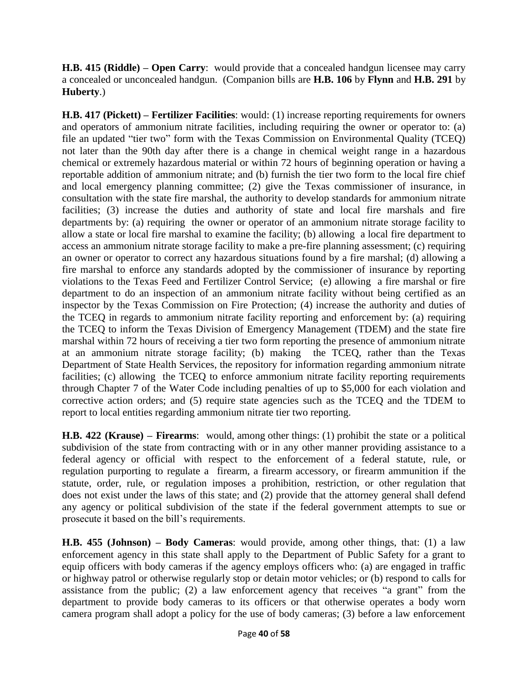**H.B. 415 (Riddle) – Open Carry**: would provide that a concealed handgun licensee may carry a concealed or unconcealed handgun. (Companion bills are **H.B. 106** by **Flynn** and **H.B. 291** by **Huberty**.)

**H.B. 417 (Pickett) – Fertilizer Facilities**: would: (1) increase reporting requirements for owners and operators of ammonium nitrate facilities, including requiring the owner or operator to: (a) file an updated "tier two" form with the Texas Commission on Environmental Quality (TCEQ) not later than the 90th day after there is a change in chemical weight range in a hazardous chemical or extremely hazardous material or within 72 hours of beginning operation or having a reportable addition of ammonium nitrate; and (b) furnish the tier two form to the local fire chief and local emergency planning committee; (2) give the Texas commissioner of insurance, in consultation with the state fire marshal, the authority to develop standards for ammonium nitrate facilities; (3) increase the duties and authority of state and local fire marshals and fire departments by: (a) requiring the owner or operator of an ammonium nitrate storage facility to allow a state or local fire marshal to examine the facility; (b) allowing a local fire department to access an ammonium nitrate storage facility to make a pre-fire planning assessment; (c) requiring an owner or operator to correct any hazardous situations found by a fire marshal; (d) allowing a fire marshal to enforce any standards adopted by the commissioner of insurance by reporting violations to the Texas Feed and Fertilizer Control Service; (e) allowing a fire marshal or fire department to do an inspection of an ammonium nitrate facility without being certified as an inspector by the Texas Commission on Fire Protection; (4) increase the authority and duties of the TCEQ in regards to ammonium nitrate facility reporting and enforcement by: (a) requiring the TCEQ to inform the Texas Division of Emergency Management (TDEM) and the state fire marshal within 72 hours of receiving a tier two form reporting the presence of ammonium nitrate at an ammonium nitrate storage facility; (b) making the TCEQ, rather than the Texas Department of State Health Services, the repository for information regarding ammonium nitrate facilities; (c) allowing the TCEQ to enforce ammonium nitrate facility reporting requirements through Chapter 7 of the Water Code including penalties of up to \$5,000 for each violation and corrective action orders; and (5) require state agencies such as the TCEQ and the TDEM to report to local entities regarding ammonium nitrate tier two reporting.

**H.B. 422 (Krause) – Firearms**: would, among other things: (1) prohibit the state or a political subdivision of the state from contracting with or in any other manner providing assistance to a federal agency or official with respect to the enforcement of a federal statute, rule, or regulation purporting to regulate a firearm, a firearm accessory, or firearm ammunition if the statute, order, rule, or regulation imposes a prohibition, restriction, or other regulation that does not exist under the laws of this state; and (2) provide that the attorney general shall defend any agency or political subdivision of the state if the federal government attempts to sue or prosecute it based on the bill's requirements.

**H.B. 455 (Johnson) – Body Cameras**: would provide, among other things, that: (1) a law enforcement agency in this state shall apply to the Department of Public Safety for a grant to equip officers with body cameras if the agency employs officers who: (a) are engaged in traffic or highway patrol or otherwise regularly stop or detain motor vehicles; or (b) respond to calls for assistance from the public; (2) a law enforcement agency that receives "a grant" from the department to provide body cameras to its officers or that otherwise operates a body worn camera program shall adopt a policy for the use of body cameras; (3) before a law enforcement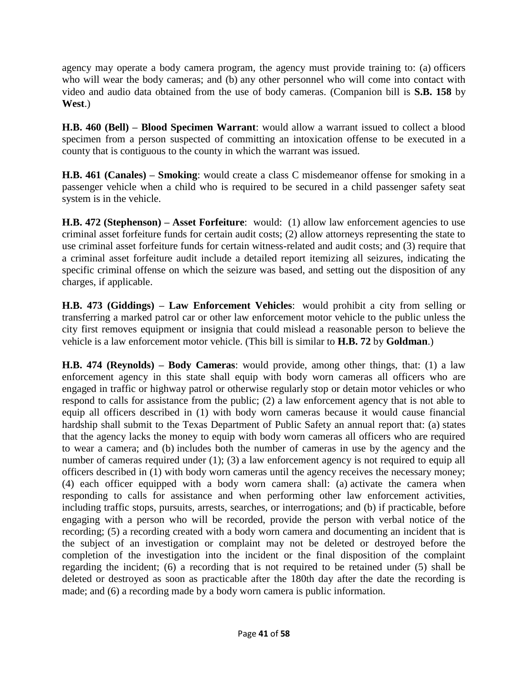agency may operate a body camera program, the agency must provide training to: (a) officers who will wear the body cameras; and (b) any other personnel who will come into contact with video and audio data obtained from the use of body cameras. (Companion bill is **S.B. 158** by **West**.)

**H.B. 460 (Bell) – Blood Specimen Warrant**: would allow a warrant issued to collect a blood specimen from a person suspected of committing an intoxication offense to be executed in a county that is contiguous to the county in which the warrant was issued.

**H.B. 461 (Canales) – Smoking**: would create a class C misdemeanor offense for smoking in a passenger vehicle when a child who is required to be secured in a child passenger safety seat system is in the vehicle.

**H.B. 472 (Stephenson) – Asset Forfeiture**: would: (1) allow law enforcement agencies to use criminal asset forfeiture funds for certain audit costs; (2) allow attorneys representing the state to use criminal asset forfeiture funds for certain witness-related and audit costs; and (3) require that a criminal asset forfeiture audit include a detailed report itemizing all seizures, indicating the specific criminal offense on which the seizure was based, and setting out the disposition of any charges, if applicable.

**H.B. 473 (Giddings) – Law Enforcement Vehicles**: would prohibit a city from selling or transferring a marked patrol car or other law enforcement motor vehicle to the public unless the city first removes equipment or insignia that could mislead a reasonable person to believe the vehicle is a law enforcement motor vehicle. (This bill is similar to **H.B. 72** by **Goldman**.)

**H.B. 474 (Reynolds) – Body Cameras**: would provide, among other things, that: (1) a law enforcement agency in this state shall equip with body worn cameras all officers who are engaged in traffic or highway patrol or otherwise regularly stop or detain motor vehicles or who respond to calls for assistance from the public; (2) a law enforcement agency that is not able to equip all officers described in (1) with body worn cameras because it would cause financial hardship shall submit to the Texas Department of Public Safety an annual report that: (a) states that the agency lacks the money to equip with body worn cameras all officers who are required to wear a camera; and (b) includes both the number of cameras in use by the agency and the number of cameras required under (1); (3) a law enforcement agency is not required to equip all officers described in (1) with body worn cameras until the agency receives the necessary money; (4) each officer equipped with a body worn camera shall: (a) activate the camera when responding to calls for assistance and when performing other law enforcement activities, including traffic stops, pursuits, arrests, searches, or interrogations; and (b) if practicable, before engaging with a person who will be recorded, provide the person with verbal notice of the recording; (5) a recording created with a body worn camera and documenting an incident that is the subject of an investigation or complaint may not be deleted or destroyed before the completion of the investigation into the incident or the final disposition of the complaint regarding the incident; (6) a recording that is not required to be retained under (5) shall be deleted or destroyed as soon as practicable after the 180th day after the date the recording is made; and (6) a recording made by a body worn camera is public information.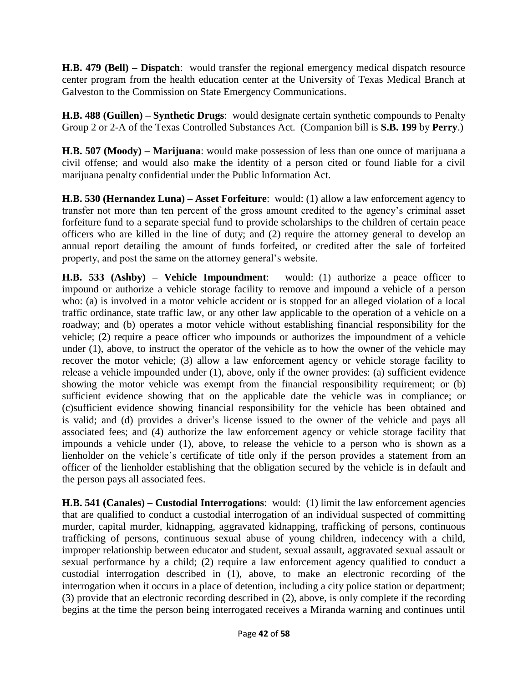**H.B. 479 (Bell) – Dispatch**: would transfer the regional emergency medical dispatch resource center program from the health education center at the University of Texas Medical Branch at Galveston to the Commission on State Emergency Communications.

**H.B. 488 (Guillen) – Synthetic Drugs**: would designate certain synthetic compounds to Penalty Group 2 or 2-A of the Texas Controlled Substances Act. (Companion bill is **S.B. 199** by **Perry**.)

**H.B. 507 (Moody) – Marijuana**: would make possession of less than one ounce of marijuana a civil offense; and would also make the identity of a person cited or found liable for a civil marijuana penalty confidential under the Public Information Act.

**H.B. 530 (Hernandez Luna) – Asset Forfeiture**: would: (1) allow a law enforcement agency to transfer not more than ten percent of the gross amount credited to the agency's criminal asset forfeiture fund to a separate special fund to provide scholarships to the children of certain peace officers who are killed in the line of duty; and (2) require the attorney general to develop an annual report detailing the amount of funds forfeited, or credited after the sale of forfeited property, and post the same on the attorney general's website.

**H.B. 533 (Ashby) – Vehicle Impoundment**: would: (1) authorize a peace officer to impound or authorize a vehicle storage facility to remove and impound a vehicle of a person who: (a) is involved in a motor vehicle accident or is stopped for an alleged violation of a local traffic ordinance, state traffic law, or any other law applicable to the operation of a vehicle on a roadway; and (b) operates a motor vehicle without establishing financial responsibility for the vehicle; (2) require a peace officer who impounds or authorizes the impoundment of a vehicle under (1), above, to instruct the operator of the vehicle as to how the owner of the vehicle may recover the motor vehicle; (3) allow a law enforcement agency or vehicle storage facility to release a vehicle impounded under (1), above, only if the owner provides: (a) sufficient evidence showing the motor vehicle was exempt from the financial responsibility requirement; or (b) sufficient evidence showing that on the applicable date the vehicle was in compliance; or (c)sufficient evidence showing financial responsibility for the vehicle has been obtained and is valid; and (d) provides a driver's license issued to the owner of the vehicle and pays all associated fees; and (4) authorize the law enforcement agency or vehicle storage facility that impounds a vehicle under (1), above, to release the vehicle to a person who is shown as a lienholder on the vehicle's certificate of title only if the person provides a statement from an officer of the lienholder establishing that the obligation secured by the vehicle is in default and the person pays all associated fees.

**H.B. 541 (Canales) – Custodial Interrogations**: would: (1) limit the law enforcement agencies that are qualified to conduct a custodial interrogation of an individual suspected of committing murder, capital murder, kidnapping, aggravated kidnapping, trafficking of persons, continuous trafficking of persons, continuous sexual abuse of young children, indecency with a child, improper relationship between educator and student, sexual assault, aggravated sexual assault or sexual performance by a child; (2) require a law enforcement agency qualified to conduct a custodial interrogation described in (1), above, to make an electronic recording of the interrogation when it occurs in a place of detention, including a city police station or department; (3) provide that an electronic recording described in (2), above, is only complete if the recording begins at the time the person being interrogated receives a Miranda warning and continues until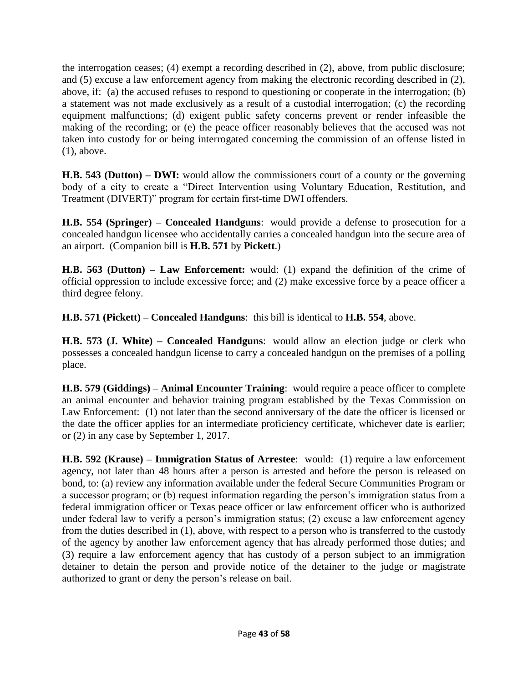the interrogation ceases; (4) exempt a recording described in (2), above, from public disclosure; and (5) excuse a law enforcement agency from making the electronic recording described in (2), above, if: (a) the accused refuses to respond to questioning or cooperate in the interrogation; (b) a statement was not made exclusively as a result of a custodial interrogation; (c) the recording equipment malfunctions; (d) exigent public safety concerns prevent or render infeasible the making of the recording; or (e) the peace officer reasonably believes that the accused was not taken into custody for or being interrogated concerning the commission of an offense listed in (1), above.

**H.B. 543 (Dutton) – DWI:** would allow the commissioners court of a county or the governing body of a city to create a "Direct Intervention using Voluntary Education, Restitution, and Treatment (DIVERT)" program for certain first-time DWI offenders.

**H.B. 554 (Springer) – Concealed Handguns**: would provide a defense to prosecution for a concealed handgun licensee who accidentally carries a concealed handgun into the secure area of an airport. (Companion bill is **H.B. 571** by **Pickett**.)

**H.B. 563 (Dutton) – Law Enforcement:** would: (1) expand the definition of the crime of official oppression to include excessive force; and (2) make excessive force by a peace officer a third degree felony.

**H.B. 571 (Pickett) – Concealed Handguns**: this bill is identical to **H.B. 554**, above.

**H.B. 573 (J. White) – Concealed Handguns**: would allow an election judge or clerk who possesses a concealed handgun license to carry a concealed handgun on the premises of a polling place.

**H.B. 579 (Giddings) – Animal Encounter Training**: would require a peace officer to complete an animal encounter and behavior training program established by the Texas Commission on Law Enforcement: (1) not later than the second anniversary of the date the officer is licensed or the date the officer applies for an intermediate proficiency certificate, whichever date is earlier; or (2) in any case by September 1, 2017.

**H.B. 592 (Krause) – Immigration Status of Arrestee**: would: (1) require a law enforcement agency, not later than 48 hours after a person is arrested and before the person is released on bond, to: (a) review any information available under the federal Secure Communities Program or a successor program; or (b) request information regarding the person's immigration status from a federal immigration officer or Texas peace officer or law enforcement officer who is authorized under federal law to verify a person's immigration status; (2) excuse a law enforcement agency from the duties described in (1), above, with respect to a person who is transferred to the custody of the agency by another law enforcement agency that has already performed those duties; and (3) require a law enforcement agency that has custody of a person subject to an immigration detainer to detain the person and provide notice of the detainer to the judge or magistrate authorized to grant or deny the person's release on bail.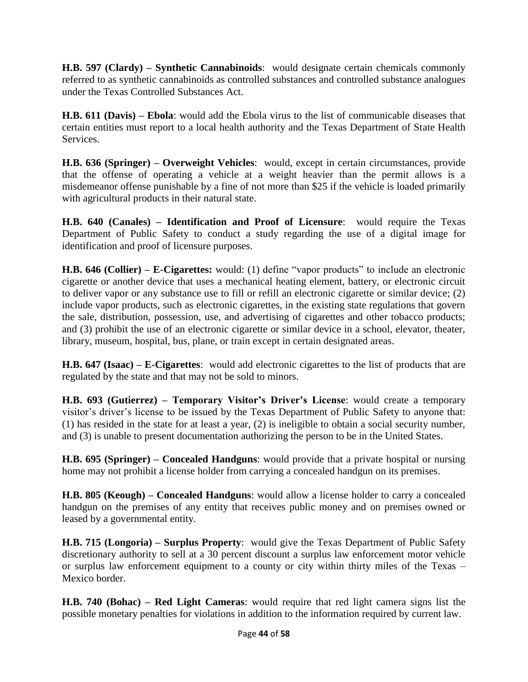**H.B. 597 (Clardy) – Synthetic Cannabinoids**: would designate certain chemicals commonly referred to as synthetic cannabinoids as controlled substances and controlled substance analogues under the Texas Controlled Substances Act.

**H.B. 611 (Davis) – Ebola**: would add the Ebola virus to the list of communicable diseases that certain entities must report to a local health authority and the Texas Department of State Health Services.

**H.B. 636 (Springer) – Overweight Vehicles**: would, except in certain circumstances, provide that the offense of operating a vehicle at a weight heavier than the permit allows is a misdemeanor offense punishable by a fine of not more than \$25 if the vehicle is loaded primarily with agricultural products in their natural state.

**H.B. 640 (Canales) – Identification and Proof of Licensure**: would require the Texas Department of Public Safety to conduct a study regarding the use of a digital image for identification and proof of licensure purposes.

**H.B. 646 (Collier) – E-Cigarettes:** would: (1) define "vapor products" to include an electronic cigarette or another device that uses a mechanical heating element, battery, or electronic circuit to deliver vapor or any substance use to fill or refill an electronic cigarette or similar device; (2) include vapor products, such as electronic cigarettes, in the existing state regulations that govern the sale, distribution, possession, use, and advertising of cigarettes and other tobacco products; and (3) prohibit the use of an electronic cigarette or similar device in a school, elevator, theater, library, museum, hospital, bus, plane, or train except in certain designated areas.

**H.B. 647 (Isaac) – E-Cigarettes**: would add electronic cigarettes to the list of products that are regulated by the state and that may not be sold to minors.

**H.B. 693 (Gutierrez) – Temporary Visitor's Driver's License**: would create a temporary visitor's driver's license to be issued by the Texas Department of Public Safety to anyone that: (1) has resided in the state for at least a year, (2) is ineligible to obtain a social security number, and (3) is unable to present documentation authorizing the person to be in the United States.

**H.B. 695 (Springer) – Concealed Handguns**: would provide that a private hospital or nursing home may not prohibit a license holder from carrying a concealed handgun on its premises.

**H.B. 805 (Keough) – Concealed Handguns**: would allow a license holder to carry a concealed handgun on the premises of any entity that receives public money and on premises owned or leased by a governmental entity.

**H.B. 715 (Longoria) – Surplus Property**: would give the Texas Department of Public Safety discretionary authority to sell at a 30 percent discount a surplus law enforcement motor vehicle or surplus law enforcement equipment to a county or city within thirty miles of the Texas – Mexico border.

**H.B. 740 (Bohac) – Red Light Cameras**: would require that red light camera signs list the possible monetary penalties for violations in addition to the information required by current law.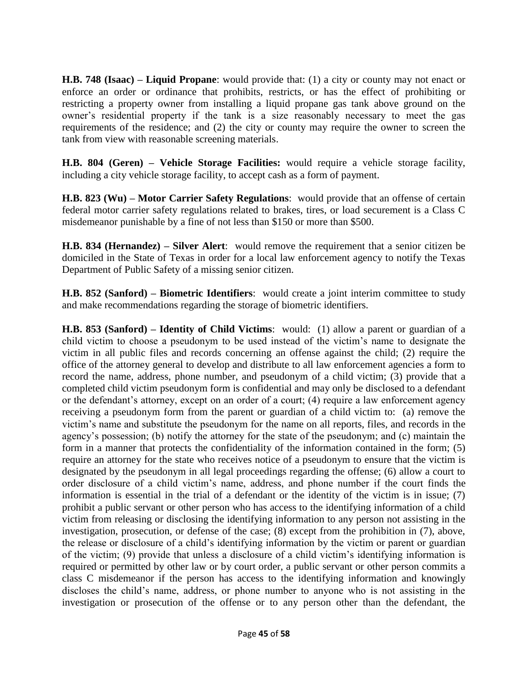**H.B. 748 (Isaac) – Liquid Propane**: would provide that: (1) a city or county may not enact or enforce an order or ordinance that prohibits, restricts, or has the effect of prohibiting or restricting a property owner from installing a liquid propane gas tank above ground on the owner's residential property if the tank is a size reasonably necessary to meet the gas requirements of the residence; and (2) the city or county may require the owner to screen the tank from view with reasonable screening materials.

**H.B. 804 (Geren) – Vehicle Storage Facilities:** would require a vehicle storage facility, including a city vehicle storage facility, to accept cash as a form of payment.

**H.B. 823 (Wu) – Motor Carrier Safety Regulations**: would provide that an offense of certain federal motor carrier safety regulations related to brakes, tires, or load securement is a Class C misdemeanor punishable by a fine of not less than \$150 or more than \$500.

**H.B. 834 (Hernandez) – Silver Alert**: would remove the requirement that a senior citizen be domiciled in the State of Texas in order for a local law enforcement agency to notify the Texas Department of Public Safety of a missing senior citizen.

**H.B. 852 (Sanford) – Biometric Identifiers**: would create a joint interim committee to study and make recommendations regarding the storage of biometric identifiers.

**H.B. 853 (Sanford) – Identity of Child Victims**: would: (1) allow a parent or guardian of a child victim to choose a pseudonym to be used instead of the victim's name to designate the victim in all public files and records concerning an offense against the child; (2) require the office of the attorney general to develop and distribute to all law enforcement agencies a form to record the name, address, phone number, and pseudonym of a child victim; (3) provide that a completed child victim pseudonym form is confidential and may only be disclosed to a defendant or the defendant's attorney, except on an order of a court; (4) require a law enforcement agency receiving a pseudonym form from the parent or guardian of a child victim to: (a) remove the victim's name and substitute the pseudonym for the name on all reports, files, and records in the agency's possession; (b) notify the attorney for the state of the pseudonym; and (c) maintain the form in a manner that protects the confidentiality of the information contained in the form; (5) require an attorney for the state who receives notice of a pseudonym to ensure that the victim is designated by the pseudonym in all legal proceedings regarding the offense; (6) allow a court to order disclosure of a child victim's name, address, and phone number if the court finds the information is essential in the trial of a defendant or the identity of the victim is in issue; (7) prohibit a public servant or other person who has access to the identifying information of a child victim from releasing or disclosing the identifying information to any person not assisting in the investigation, prosecution, or defense of the case; (8) except from the prohibition in (7), above, the release or disclosure of a child's identifying information by the victim or parent or guardian of the victim; (9) provide that unless a disclosure of a child victim's identifying information is required or permitted by other law or by court order, a public servant or other person commits a class C misdemeanor if the person has access to the identifying information and knowingly discloses the child's name, address, or phone number to anyone who is not assisting in the investigation or prosecution of the offense or to any person other than the defendant, the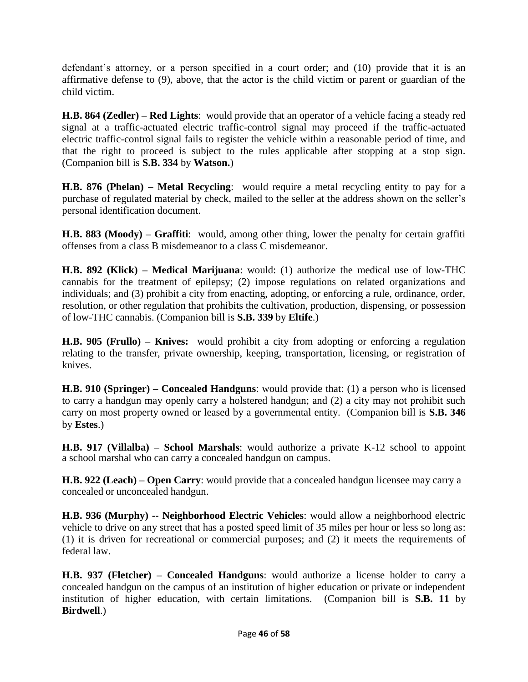defendant's attorney, or a person specified in a court order; and (10) provide that it is an affirmative defense to (9), above, that the actor is the child victim or parent or guardian of the child victim.

**H.B. 864 (Zedler) – Red Lights**: would provide that an operator of a vehicle facing a steady red signal at a traffic-actuated electric traffic-control signal may proceed if the traffic-actuated electric traffic-control signal fails to register the vehicle within a reasonable period of time, and that the right to proceed is subject to the rules applicable after stopping at a stop sign. (Companion bill is **S.B. 334** by **Watson.**)

**H.B. 876 (Phelan) – Metal Recycling**: would require a metal recycling entity to pay for a purchase of regulated material by check, mailed to the seller at the address shown on the seller's personal identification document.

**H.B. 883 (Moody) – Graffiti**: would, among other thing, lower the penalty for certain graffiti offenses from a class B misdemeanor to a class C misdemeanor.

**H.B. 892 (Klick) – Medical Marijuana**: would: (1) authorize the medical use of low-THC cannabis for the treatment of epilepsy; (2) impose regulations on related organizations and individuals; and (3) prohibit a city from enacting, adopting, or enforcing a rule, ordinance, order, resolution, or other regulation that prohibits the cultivation, production, dispensing, or possession of low-THC cannabis. (Companion bill is **S.B. 339** by **Eltife**.)

**H.B. 905 (Frullo) – Knives:** would prohibit a city from adopting or enforcing a regulation relating to the transfer, private ownership, keeping, transportation, licensing, or registration of knives.

**H.B. 910 (Springer) – Concealed Handguns**: would provide that: (1) a person who is licensed to carry a handgun may openly carry a holstered handgun; and (2) a city may not prohibit such carry on most property owned or leased by a governmental entity. (Companion bill is **S.B. 346** by **Estes**.)

**H.B. 917 (Villalba) – School Marshals**: would authorize a private K-12 school to appoint a school marshal who can carry a concealed handgun on campus.

**H.B. 922 (Leach) – Open Carry**: would provide that a concealed handgun licensee may carry a concealed or unconcealed handgun.

**H.B. 936 (Murphy) -- Neighborhood Electric Vehicles**: would allow a neighborhood electric vehicle to drive on any street that has a posted speed limit of 35 miles per hour or less so long as: (1) it is driven for recreational or commercial purposes; and (2) it meets the requirements of federal law.

**H.B. 937 (Fletcher) – Concealed Handguns**: would authorize a license holder to carry a concealed handgun on the campus of an institution of higher education or private or independent institution of higher education, with certain limitations. (Companion bill is **S.B. 11** by **Birdwell**.)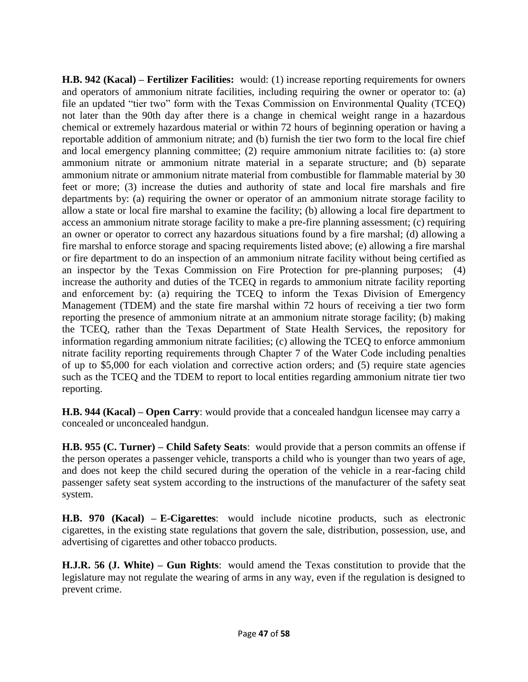**H.B. 942 (Kacal) – Fertilizer Facilities:** would: (1) increase reporting requirements for owners and operators of ammonium nitrate facilities, including requiring the owner or operator to: (a) file an updated "tier two" form with the Texas Commission on Environmental Quality (TCEQ) not later than the 90th day after there is a change in chemical weight range in a hazardous chemical or extremely hazardous material or within 72 hours of beginning operation or having a reportable addition of ammonium nitrate; and (b) furnish the tier two form to the local fire chief and local emergency planning committee; (2) require ammonium nitrate facilities to: (a) store ammonium nitrate or ammonium nitrate material in a separate structure; and (b) separate ammonium nitrate or ammonium nitrate material from combustible for flammable material by 30 feet or more; (3) increase the duties and authority of state and local fire marshals and fire departments by: (a) requiring the owner or operator of an ammonium nitrate storage facility to allow a state or local fire marshal to examine the facility; (b) allowing a local fire department to access an ammonium nitrate storage facility to make a pre-fire planning assessment; (c) requiring an owner or operator to correct any hazardous situations found by a fire marshal; (d) allowing a fire marshal to enforce storage and spacing requirements listed above; (e) allowing a fire marshal or fire department to do an inspection of an ammonium nitrate facility without being certified as an inspector by the Texas Commission on Fire Protection for pre-planning purposes; (4) increase the authority and duties of the TCEQ in regards to ammonium nitrate facility reporting and enforcement by: (a) requiring the TCEQ to inform the Texas Division of Emergency Management (TDEM) and the state fire marshal within 72 hours of receiving a tier two form reporting the presence of ammonium nitrate at an ammonium nitrate storage facility; (b) making the TCEQ, rather than the Texas Department of State Health Services, the repository for information regarding ammonium nitrate facilities; (c) allowing the TCEQ to enforce ammonium nitrate facility reporting requirements through Chapter 7 of the Water Code including penalties of up to \$5,000 for each violation and corrective action orders; and (5) require state agencies such as the TCEQ and the TDEM to report to local entities regarding ammonium nitrate tier two reporting.

**H.B. 944 (Kacal) – Open Carry**: would provide that a concealed handgun licensee may carry a concealed or unconcealed handgun.

**H.B. 955 (C. Turner) – Child Safety Seats**: would provide that a person commits an offense if the person operates a passenger vehicle, transports a child who is younger than two years of age, and does not keep the child secured during the operation of the vehicle in a rear-facing child passenger safety seat system according to the instructions of the manufacturer of the safety seat system.

**H.B. 970 (Kacal) – E-Cigarettes**: would include nicotine products, such as electronic cigarettes, in the existing state regulations that govern the sale, distribution, possession, use, and advertising of cigarettes and other tobacco products.

**H.J.R. 56 (J. White) – Gun Rights**: would amend the Texas constitution to provide that the legislature may not regulate the wearing of arms in any way, even if the regulation is designed to prevent crime.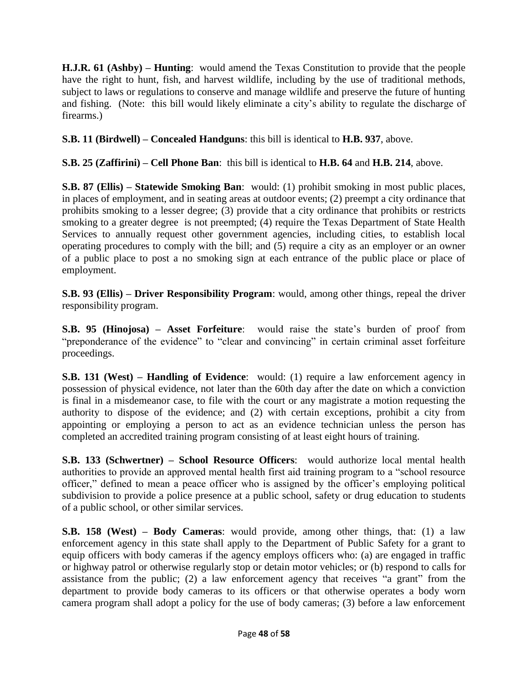**H.J.R. 61 (Ashby) – Hunting**: would amend the Texas Constitution to provide that the people have the right to hunt, fish, and harvest wildlife, including by the use of traditional methods, subject to laws or regulations to conserve and manage wildlife and preserve the future of hunting and fishing. (Note: this bill would likely eliminate a city's ability to regulate the discharge of firearms.)

**S.B. 11 (Birdwell) – Concealed Handguns**: this bill is identical to **H.B. 937**, above.

**S.B. 25 (Zaffirini) – Cell Phone Ban**: this bill is identical to **H.B. 64** and **H.B. 214**, above.

**S.B. 87 (Ellis) – Statewide Smoking Ban**: would: (1) prohibit smoking in most public places, in places of employment, and in seating areas at outdoor events; (2) preempt a city ordinance that prohibits smoking to a lesser degree; (3) provide that a city ordinance that prohibits or restricts smoking to a greater degree is not preempted; (4) require the Texas Department of State Health Services to annually request other government agencies, including cities, to establish local operating procedures to comply with the bill; and (5) require a city as an employer or an owner of a public place to post a no smoking sign at each entrance of the public place or place of employment.

**S.B. 93 (Ellis) – Driver Responsibility Program**: would, among other things, repeal the driver responsibility program.

**S.B. 95 (Hinojosa) – Asset Forfeiture**: would raise the state's burden of proof from "preponderance of the evidence" to "clear and convincing" in certain criminal asset forfeiture proceedings.

**S.B. 131 (West) – Handling of Evidence**: would: (1) require a law enforcement agency in possession of physical evidence, not later than the 60th day after the date on which a conviction is final in a misdemeanor case, to file with the court or any magistrate a motion requesting the authority to dispose of the evidence; and (2) with certain exceptions, prohibit a city from appointing or employing a person to act as an evidence technician unless the person has completed an accredited training program consisting of at least eight hours of training.

**S.B. 133 (Schwertner) – School Resource Officers**: would authorize local mental health authorities to provide an approved mental health first aid training program to a "school resource officer," defined to mean a peace officer who is assigned by the officer's employing political subdivision to provide a police presence at a public school, safety or drug education to students of a public school, or other similar services.

**S.B. 158 (West) – Body Cameras**: would provide, among other things, that: (1) a law enforcement agency in this state shall apply to the Department of Public Safety for a grant to equip officers with body cameras if the agency employs officers who: (a) are engaged in traffic or highway patrol or otherwise regularly stop or detain motor vehicles; or (b) respond to calls for assistance from the public; (2) a law enforcement agency that receives "a grant" from the department to provide body cameras to its officers or that otherwise operates a body worn camera program shall adopt a policy for the use of body cameras; (3) before a law enforcement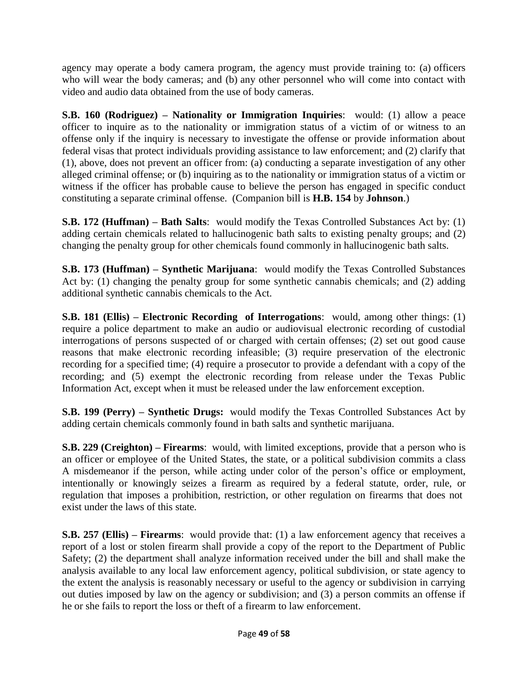agency may operate a body camera program, the agency must provide training to: (a) officers who will wear the body cameras; and (b) any other personnel who will come into contact with video and audio data obtained from the use of body cameras.

**S.B. 160 (Rodriguez) – Nationality or Immigration Inquiries**: would: (1) allow a peace officer to inquire as to the nationality or immigration status of a victim of or witness to an offense only if the inquiry is necessary to investigate the offense or provide information about federal visas that protect individuals providing assistance to law enforcement; and (2) clarify that (1), above, does not prevent an officer from: (a) conducting a separate investigation of any other alleged criminal offense; or (b) inquiring as to the nationality or immigration status of a victim or witness if the officer has probable cause to believe the person has engaged in specific conduct constituting a separate criminal offense. (Companion bill is **H.B. 154** by **Johnson**.)

**S.B. 172 (Huffman) – Bath Salts**: would modify the Texas Controlled Substances Act by: (1) adding certain chemicals related to hallucinogenic bath salts to existing penalty groups; and (2) changing the penalty group for other chemicals found commonly in hallucinogenic bath salts.

**S.B. 173 (Huffman) – Synthetic Marijuana**: would modify the Texas Controlled Substances Act by: (1) changing the penalty group for some synthetic cannabis chemicals; and (2) adding additional synthetic cannabis chemicals to the Act.

**S.B. 181 (Ellis) – Electronic Recording of Interrogations**: would, among other things: (1) require a police department to make an audio or audiovisual electronic recording of custodial interrogations of persons suspected of or charged with certain offenses; (2) set out good cause reasons that make electronic recording infeasible; (3) require preservation of the electronic recording for a specified time; (4) require a prosecutor to provide a defendant with a copy of the recording; and (5) exempt the electronic recording from release under the Texas Public Information Act, except when it must be released under the law enforcement exception.

**S.B. 199 (Perry) – Synthetic Drugs:** would modify the Texas Controlled Substances Act by adding certain chemicals commonly found in bath salts and synthetic marijuana.

**S.B. 229 (Creighton) – Firearms**: would, with limited exceptions, provide that a person who is an officer or employee of the United States, the state, or a political subdivision commits a class A misdemeanor if the person, while acting under color of the person's office or employment, intentionally or knowingly seizes a firearm as required by a federal statute, order, rule, or regulation that imposes a prohibition, restriction, or other regulation on firearms that does not exist under the laws of this state.

**S.B. 257 (Ellis) – Firearms**: would provide that: (1) a law enforcement agency that receives a report of a lost or stolen firearm shall provide a copy of the report to the Department of Public Safety; (2) the department shall analyze information received under the bill and shall make the analysis available to any local law enforcement agency, political subdivision, or state agency to the extent the analysis is reasonably necessary or useful to the agency or subdivision in carrying out duties imposed by law on the agency or subdivision; and (3) a person commits an offense if he or she fails to report the loss or theft of a firearm to law enforcement.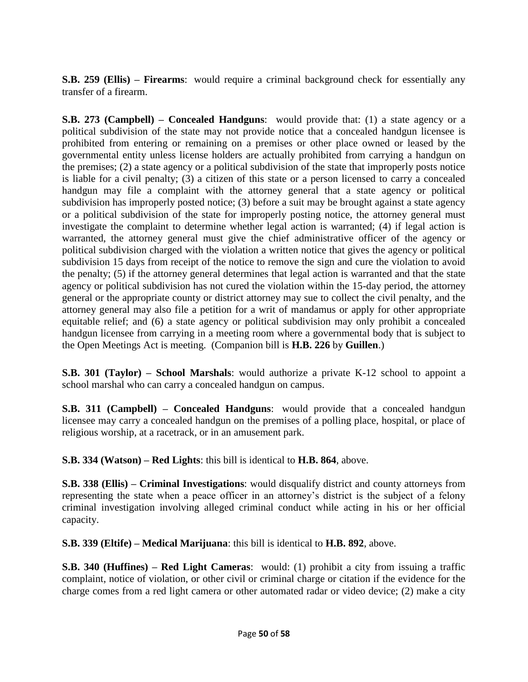**S.B. 259 (Ellis) – Firearms**: would require a criminal background check for essentially any transfer of a firearm.

**S.B. 273 (Campbell) – Concealed Handguns:** would provide that: (1) a state agency or a political subdivision of the state may not provide notice that a concealed handgun licensee is prohibited from entering or remaining on a premises or other place owned or leased by the governmental entity unless license holders are actually prohibited from carrying a handgun on the premises; (2) a state agency or a political subdivision of the state that improperly posts notice is liable for a civil penalty; (3) a citizen of this state or a person licensed to carry a concealed handgun may file a complaint with the attorney general that a state agency or political subdivision has improperly posted notice; (3) before a suit may be brought against a state agency or a political subdivision of the state for improperly posting notice, the attorney general must investigate the complaint to determine whether legal action is warranted; (4) if legal action is warranted, the attorney general must give the chief administrative officer of the agency or political subdivision charged with the violation a written notice that gives the agency or political subdivision 15 days from receipt of the notice to remove the sign and cure the violation to avoid the penalty; (5) if the attorney general determines that legal action is warranted and that the state agency or political subdivision has not cured the violation within the 15-day period, the attorney general or the appropriate county or district attorney may sue to collect the civil penalty, and the attorney general may also file a petition for a writ of mandamus or apply for other appropriate equitable relief; and (6) a state agency or political subdivision may only prohibit a concealed handgun licensee from carrying in a meeting room where a governmental body that is subject to the Open Meetings Act is meeting. (Companion bill is **H.B. 226** by **Guillen**.)

**S.B. 301 (Taylor) – School Marshals**: would authorize a private K-12 school to appoint a school marshal who can carry a concealed handgun on campus.

**S.B. 311 (Campbell) – Concealed Handguns**: would provide that a concealed handgun licensee may carry a concealed handgun on the premises of a polling place, hospital, or place of religious worship, at a racetrack, or in an amusement park.

**S.B. 334 (Watson) – Red Lights**: this bill is identical to **H.B. 864**, above.

**S.B. 338 (Ellis) – Criminal Investigations**: would disqualify district and county attorneys from representing the state when a peace officer in an attorney's district is the subject of a felony criminal investigation involving alleged criminal conduct while acting in his or her official capacity.

**S.B. 339 (Eltife) – Medical Marijuana**: this bill is identical to **H.B. 892**, above.

**S.B. 340 (Huffines) – Red Light Cameras**: would: (1) prohibit a city from issuing a traffic complaint, notice of violation, or other civil or criminal charge or citation if the evidence for the charge comes from a red light camera or other automated radar or video device; (2) make a city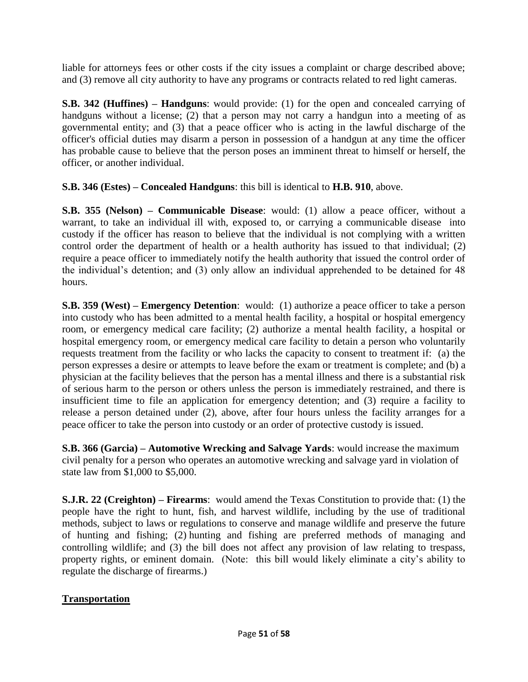liable for attorneys fees or other costs if the city issues a complaint or charge described above; and (3) remove all city authority to have any programs or contracts related to red light cameras.

**S.B. 342 (Huffines) – Handguns**: would provide: (1) for the open and concealed carrying of handguns without a license; (2) that a person may not carry a handgun into a meeting of as governmental entity; and (3) that a peace officer who is acting in the lawful discharge of the officer's official duties may disarm a person in possession of a handgun at any time the officer has probable cause to believe that the person poses an imminent threat to himself or herself, the officer, or another individual.

**S.B. 346 (Estes) – Concealed Handguns**: this bill is identical to **H.B. 910**, above.

**S.B. 355 (Nelson) – Communicable Disease**: would: (1) allow a peace officer, without a warrant, to take an individual ill with, exposed to, or carrying a communicable disease into custody if the officer has reason to believe that the individual is not complying with a written control order the department of health or a health authority has issued to that individual; (2) require a peace officer to immediately notify the health authority that issued the control order of the individual's detention; and (3) only allow an individual apprehended to be detained for 48 hours.

**S.B. 359 (West) – Emergency Detention**: would: (1) authorize a peace officer to take a person into custody who has been admitted to a mental health facility, a hospital or hospital emergency room, or emergency medical care facility; (2) authorize a mental health facility, a hospital or hospital emergency room, or emergency medical care facility to detain a person who voluntarily requests treatment from the facility or who lacks the capacity to consent to treatment if: (a) the person expresses a desire or attempts to leave before the exam or treatment is complete; and (b) a physician at the facility believes that the person has a mental illness and there is a substantial risk of serious harm to the person or others unless the person is immediately restrained, and there is insufficient time to file an application for emergency detention; and (3) require a facility to release a person detained under (2), above, after four hours unless the facility arranges for a peace officer to take the person into custody or an order of protective custody is issued.

**S.B. 366 (Garcia) – Automotive Wrecking and Salvage Yards**: would increase the maximum civil penalty for a person who operates an automotive wrecking and salvage yard in violation of state law from \$1,000 to \$5,000.

**S.J.R. 22 (Creighton) – Firearms**: would amend the Texas Constitution to provide that: (1) the people have the right to hunt, fish, and harvest wildlife, including by the use of traditional methods, subject to laws or regulations to conserve and manage wildlife and preserve the future of hunting and fishing; (2) hunting and fishing are preferred methods of managing and controlling wildlife; and (3) the bill does not affect any provision of law relating to trespass, property rights, or eminent domain. (Note: this bill would likely eliminate a city's ability to regulate the discharge of firearms.)

## **Transportation**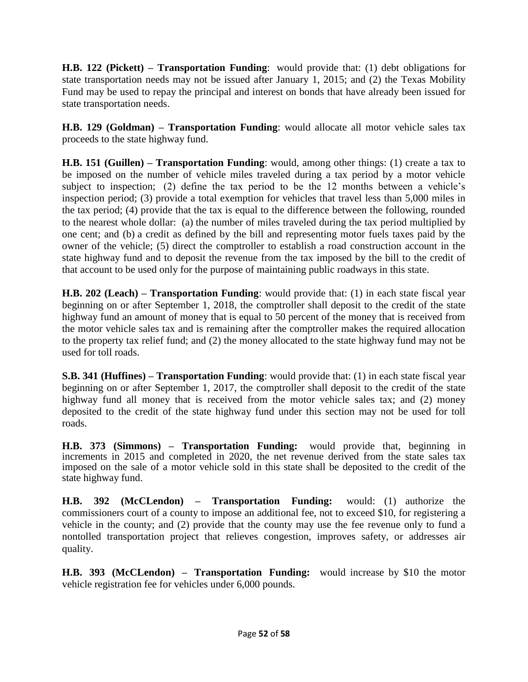**H.B. 122 (Pickett) – Transportation Funding**: would provide that: (1) debt obligations for state transportation needs may not be issued after January 1, 2015; and (2) the Texas Mobility Fund may be used to repay the principal and interest on bonds that have already been issued for state transportation needs.

**H.B. 129 (Goldman) – Transportation Funding**: would allocate all motor vehicle sales tax proceeds to the state highway fund.

**H.B. 151 (Guillen) – Transportation Funding**: would, among other things: (1) create a tax to be imposed on the number of vehicle miles traveled during a tax period by a motor vehicle subject to inspection; (2) define the tax period to be the 12 months between a vehicle's inspection period; (3) provide a total exemption for vehicles that travel less than 5,000 miles in the tax period; (4) provide that the tax is equal to the difference between the following, rounded to the nearest whole dollar: (a) the number of miles traveled during the tax period multiplied by one cent; and (b) a credit as defined by the bill and representing motor fuels taxes paid by the owner of the vehicle; (5) direct the comptroller to establish a road construction account in the state highway fund and to deposit the revenue from the tax imposed by the bill to the credit of that account to be used only for the purpose of maintaining public roadways in this state.

**H.B. 202 (Leach) – Transportation Funding**: would provide that: (1) in each state fiscal year beginning on or after September 1, 2018, the comptroller shall deposit to the credit of the state highway fund an amount of money that is equal to 50 percent of the money that is received from the motor vehicle sales tax and is remaining after the comptroller makes the required allocation to the property tax relief fund; and (2) the money allocated to the state highway fund may not be used for toll roads.

**S.B. 341 (Huffines) – Transportation Funding**: would provide that: (1) in each state fiscal year beginning on or after September 1, 2017, the comptroller shall deposit to the credit of the state highway fund all money that is received from the motor vehicle sales tax; and (2) money deposited to the credit of the state highway fund under this section may not be used for toll roads.

**H.B. 373 (Simmons) – Transportation Funding:** would provide that, beginning in increments in 2015 and completed in 2020, the net revenue derived from the state sales tax imposed on the sale of a motor vehicle sold in this state shall be deposited to the credit of the state highway fund.

**H.B. 392 (McCLendon) – Transportation Funding:** would: (1) authorize the commissioners court of a county to impose an additional fee, not to exceed \$10, for registering a vehicle in the county; and (2) provide that the county may use the fee revenue only to fund a nontolled transportation project that relieves congestion, improves safety, or addresses air quality.

**H.B. 393 (McCLendon) – Transportation Funding:** would increase by \$10 the motor vehicle registration fee for vehicles under 6,000 pounds.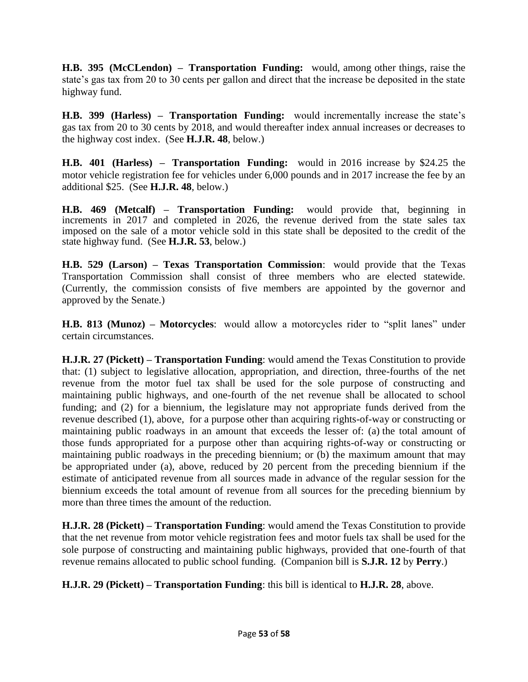**H.B. 395 (McCLendon) – Transportation Funding:** would, among other things, raise the state's gas tax from 20 to 30 cents per gallon and direct that the increase be deposited in the state highway fund.

**H.B. 399 (Harless) – Transportation Funding:** would incrementally increase the state's gas tax from 20 to 30 cents by 2018, and would thereafter index annual increases or decreases to the highway cost index. (See **H.J.R. 48**, below.)

**H.B. 401 (Harless) – Transportation Funding:** would in 2016 increase by \$24.25 the motor vehicle registration fee for vehicles under 6,000 pounds and in 2017 increase the fee by an additional \$25. (See **H.J.R. 48**, below.)

**H.B. 469 (Metcalf) – Transportation Funding:** would provide that, beginning in increments in 2017 and completed in 2026, the revenue derived from the state sales tax imposed on the sale of a motor vehicle sold in this state shall be deposited to the credit of the state highway fund. (See **H.J.R. 53**, below.)

**H.B. 529 (Larson) – Texas Transportation Commission**: would provide that the Texas Transportation Commission shall consist of three members who are elected statewide. (Currently, the commission consists of five members are appointed by the governor and approved by the Senate.)

**H.B. 813 (Munoz) – Motorcycles**: would allow a motorcycles rider to "split lanes" under certain circumstances.

**H.J.R. 27 (Pickett) – Transportation Funding**: would amend the Texas Constitution to provide that: (1) subject to legislative allocation, appropriation, and direction, three-fourths of the net revenue from the motor fuel tax shall be used for the sole purpose of constructing and maintaining public highways, and one-fourth of the net revenue shall be allocated to school funding; and (2) for a biennium, the legislature may not appropriate funds derived from the revenue described (1), above, for a purpose other than acquiring rights-of-way or constructing or maintaining public roadways in an amount that exceeds the lesser of: (a) the total amount of those funds appropriated for a purpose other than acquiring rights-of-way or constructing or maintaining public roadways in the preceding biennium; or (b) the maximum amount that may be appropriated under (a), above, reduced by 20 percent from the preceding biennium if the estimate of anticipated revenue from all sources made in advance of the regular session for the biennium exceeds the total amount of revenue from all sources for the preceding biennium by more than three times the amount of the reduction.

**H.J.R. 28 (Pickett) – Transportation Funding**: would amend the Texas Constitution to provide that the net revenue from motor vehicle registration fees and motor fuels tax shall be used for the sole purpose of constructing and maintaining public highways, provided that one-fourth of that revenue remains allocated to public school funding. (Companion bill is **S.J.R. 12** by **Perry**.)

**H.J.R. 29 (Pickett) – Transportation Funding**: this bill is identical to **H.J.R. 28**, above.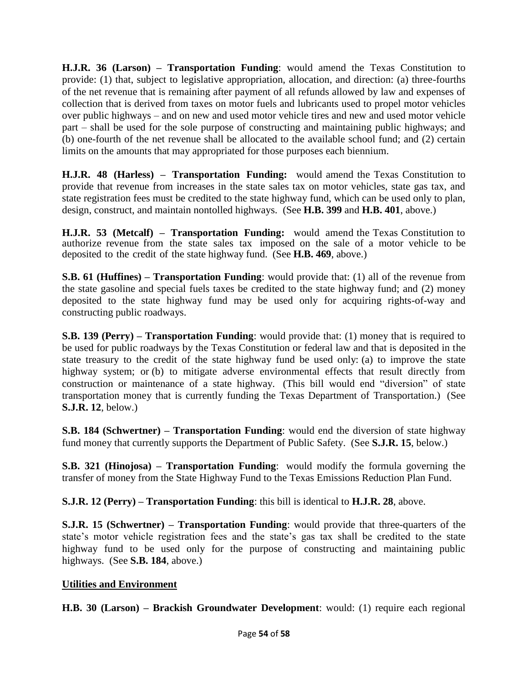**H.J.R. 36 (Larson) – Transportation Funding**: would amend the Texas Constitution to provide: (1) that, subject to legislative appropriation, allocation, and direction: (a) three-fourths of the net revenue that is remaining after payment of all refunds allowed by law and expenses of collection that is derived from taxes on motor fuels and lubricants used to propel motor vehicles over public highways – and on new and used motor vehicle tires and new and used motor vehicle part – shall be used for the sole purpose of constructing and maintaining public highways; and (b) one-fourth of the net revenue shall be allocated to the available school fund; and (2) certain limits on the amounts that may appropriated for those purposes each biennium.

**H.J.R. 48 (Harless) – Transportation Funding:** would amend the Texas Constitution to provide that revenue from increases in the state sales tax on motor vehicles, state gas tax, and state registration fees must be credited to the state highway fund, which can be used only to plan, design, construct, and maintain nontolled highways. (See **H.B. 399** and **H.B. 401**, above.)

**H.J.R. 53 (Metcalf) – Transportation Funding:** would amend the Texas Constitution to authorize revenue from the state sales tax imposed on the sale of a motor vehicle to be deposited to the credit of the state highway fund. (See **H.B. 469**, above.)

**S.B. 61 (Huffines) – Transportation Funding**: would provide that: (1) all of the revenue from the state gasoline and special fuels taxes be credited to the state highway fund; and (2) money deposited to the state highway fund may be used only for acquiring rights-of-way and constructing public roadways.

**S.B. 139 (Perry) – Transportation Funding**: would provide that: (1) money that is required to be used for public roadways by the Texas Constitution or federal law and that is deposited in the state treasury to the credit of the state highway fund be used only: (a) to improve the state highway system; or (b) to mitigate adverse environmental effects that result directly from construction or maintenance of a state highway. (This bill would end "diversion" of state transportation money that is currently funding the Texas Department of Transportation.) (See **S.J.R. 12**, below.)

**S.B. 184 (Schwertner) – Transportation Funding**: would end the diversion of state highway fund money that currently supports the Department of Public Safety. (See **S.J.R. 15**, below.)

**S.B. 321 (Hinojosa) – Transportation Funding**: would modify the formula governing the transfer of money from the State Highway Fund to the Texas Emissions Reduction Plan Fund.

**S.J.R. 12 (Perry) – Transportation Funding**: this bill is identical to **H.J.R. 28**, above.

**S.J.R. 15 (Schwertner) – Transportation Funding**: would provide that three-quarters of the state's motor vehicle registration fees and the state's gas tax shall be credited to the state highway fund to be used only for the purpose of constructing and maintaining public highways. (See **S.B. 184**, above.)

### **Utilities and Environment**

**H.B. 30 (Larson) – Brackish Groundwater Development**: would: (1) require each regional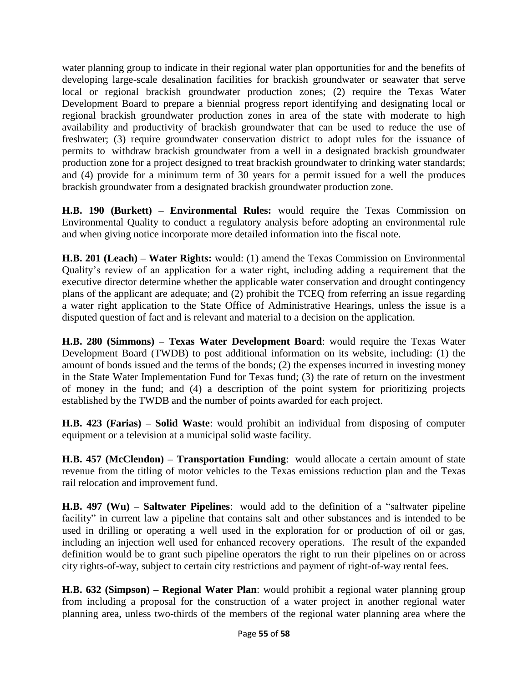water planning group to indicate in their regional water plan opportunities for and the benefits of developing large-scale desalination facilities for brackish groundwater or seawater that serve local or regional brackish groundwater production zones; (2) require the Texas Water Development Board to prepare a biennial progress report identifying and designating local or regional brackish groundwater production zones in area of the state with moderate to high availability and productivity of brackish groundwater that can be used to reduce the use of freshwater; (3) require groundwater conservation district to adopt rules for the issuance of permits to withdraw brackish groundwater from a well in a designated brackish groundwater production zone for a project designed to treat brackish groundwater to drinking water standards; and (4) provide for a minimum term of 30 years for a permit issued for a well the produces brackish groundwater from a designated brackish groundwater production zone.

**H.B. 190 (Burkett) – Environmental Rules:** would require the Texas Commission on Environmental Quality to conduct a regulatory analysis before adopting an environmental rule and when giving notice incorporate more detailed information into the fiscal note.

**H.B. 201 (Leach) – Water Rights:** would: (1) amend the Texas Commission on Environmental Quality's review of an application for a water right, including adding a requirement that the executive director determine whether the applicable water conservation and drought contingency plans of the applicant are adequate; and (2) prohibit the TCEQ from referring an issue regarding a water right application to the State Office of Administrative Hearings, unless the issue is a disputed question of fact and is relevant and material to a decision on the application.

**H.B. 280 (Simmons) – Texas Water Development Board**: would require the Texas Water Development Board (TWDB) to post additional information on its website, including: (1) the amount of bonds issued and the terms of the bonds; (2) the expenses incurred in investing money in the State Water Implementation Fund for Texas fund; (3) the rate of return on the investment of money in the fund; and (4) a description of the point system for prioritizing projects established by the TWDB and the number of points awarded for each project.

**H.B. 423 (Farias) – Solid Waste**: would prohibit an individual from disposing of computer equipment or a television at a municipal solid waste facility.

**H.B. 457 (McClendon) – Transportation Funding**: would allocate a certain amount of state revenue from the titling of motor vehicles to the Texas emissions reduction plan and the Texas rail relocation and improvement fund.

**H.B. 497 (Wu) – Saltwater Pipelines**: would add to the definition of a "saltwater pipeline facility" in current law a pipeline that contains salt and other substances and is intended to be used in drilling or operating a well used in the exploration for or production of oil or gas, including an injection well used for enhanced recovery operations. The result of the expanded definition would be to grant such pipeline operators the right to run their pipelines on or across city rights-of-way, subject to certain city restrictions and payment of right-of-way rental fees.

**H.B. 632 (Simpson) – Regional Water Plan**: would prohibit a regional water planning group from including a proposal for the construction of a water project in another regional water planning area, unless two-thirds of the members of the regional water planning area where the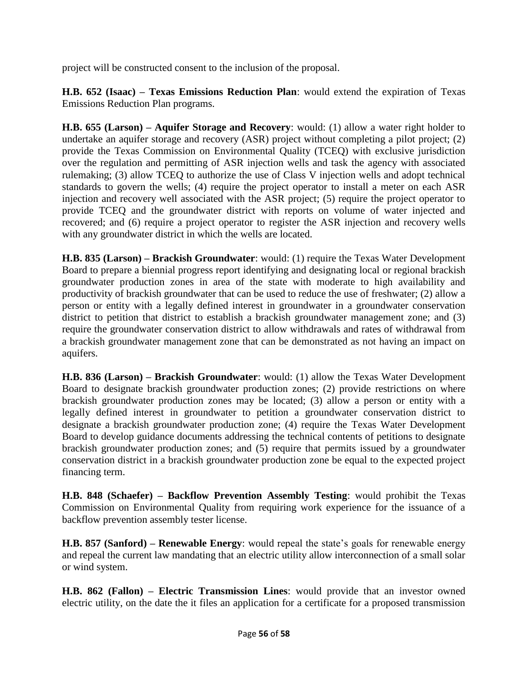project will be constructed consent to the inclusion of the proposal.

**H.B. 652 (Isaac) – Texas Emissions Reduction Plan**: would extend the expiration of Texas Emissions Reduction Plan programs.

**H.B. 655 (Larson) – Aquifer Storage and Recovery**: would: (1) allow a water right holder to undertake an aquifer storage and recovery (ASR) project without completing a pilot project; (2) provide the Texas Commission on Environmental Quality (TCEQ) with exclusive jurisdiction over the regulation and permitting of ASR injection wells and task the agency with associated rulemaking; (3) allow TCEQ to authorize the use of Class V injection wells and adopt technical standards to govern the wells; (4) require the project operator to install a meter on each ASR injection and recovery well associated with the ASR project; (5) require the project operator to provide TCEQ and the groundwater district with reports on volume of water injected and recovered; and (6) require a project operator to register the ASR injection and recovery wells with any groundwater district in which the wells are located.

**H.B. 835 (Larson) – Brackish Groundwater**: would: (1) require the Texas Water Development Board to prepare a biennial progress report identifying and designating local or regional brackish groundwater production zones in area of the state with moderate to high availability and productivity of brackish groundwater that can be used to reduce the use of freshwater; (2) allow a person or entity with a legally defined interest in groundwater in a groundwater conservation district to petition that district to establish a brackish groundwater management zone; and (3) require the groundwater conservation district to allow withdrawals and rates of withdrawal from a brackish groundwater management zone that can be demonstrated as not having an impact on aquifers.

**H.B. 836 (Larson) – Brackish Groundwater**: would: (1) allow the Texas Water Development Board to designate brackish groundwater production zones; (2) provide restrictions on where brackish groundwater production zones may be located; (3) allow a person or entity with a legally defined interest in groundwater to petition a groundwater conservation district to designate a brackish groundwater production zone; (4) require the Texas Water Development Board to develop guidance documents addressing the technical contents of petitions to designate brackish groundwater production zones; and (5) require that permits issued by a groundwater conservation district in a brackish groundwater production zone be equal to the expected project financing term.

**H.B. 848 (Schaefer) – Backflow Prevention Assembly Testing**: would prohibit the Texas Commission on Environmental Quality from requiring work experience for the issuance of a backflow prevention assembly tester license.

**H.B. 857 (Sanford) – Renewable Energy**: would repeal the state's goals for renewable energy and repeal the current law mandating that an electric utility allow interconnection of a small solar or wind system.

**H.B. 862 (Fallon) – Electric Transmission Lines**: would provide that an investor owned electric utility, on the date the it files an application for a certificate for a proposed transmission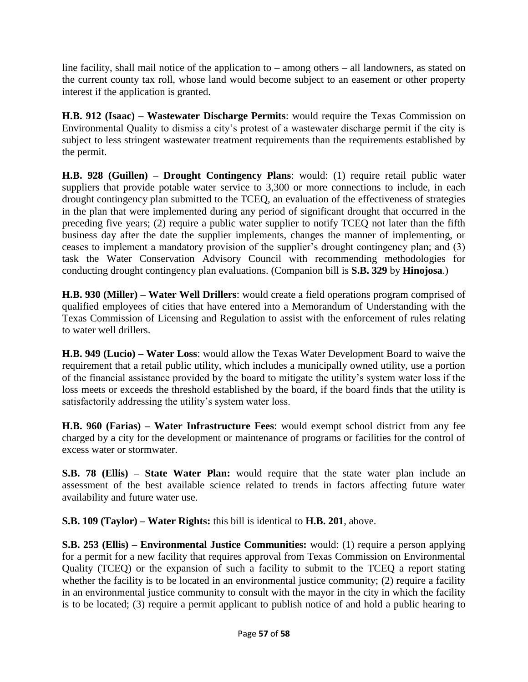line facility, shall mail notice of the application to – among others – all landowners, as stated on the current county tax roll, whose land would become subject to an easement or other property interest if the application is granted.

**H.B. 912 (Isaac) – Wastewater Discharge Permits**: would require the Texas Commission on Environmental Quality to dismiss a city's protest of a wastewater discharge permit if the city is subject to less stringent wastewater treatment requirements than the requirements established by the permit.

**H.B. 928 (Guillen) – Drought Contingency Plans**: would: (1) require retail public water suppliers that provide potable water service to 3,300 or more connections to include, in each drought contingency plan submitted to the TCEQ, an evaluation of the effectiveness of strategies in the plan that were implemented during any period of significant drought that occurred in the preceding five years; (2) require a public water supplier to notify TCEQ not later than the fifth business day after the date the supplier implements, changes the manner of implementing, or ceases to implement a mandatory provision of the supplier's drought contingency plan; and (3) task the Water Conservation Advisory Council with recommending methodologies for conducting drought contingency plan evaluations. (Companion bill is **S.B. 329** by **Hinojosa**.)

**H.B. 930 (Miller) – Water Well Drillers**: would create a field operations program comprised of qualified employees of cities that have entered into a Memorandum of Understanding with the Texas Commission of Licensing and Regulation to assist with the enforcement of rules relating to water well drillers.

**H.B. 949 (Lucio) – Water Loss**: would allow the Texas Water Development Board to waive the requirement that a retail public utility, which includes a municipally owned utility, use a portion of the financial assistance provided by the board to mitigate the utility's system water loss if the loss meets or exceeds the threshold established by the board, if the board finds that the utility is satisfactorily addressing the utility's system water loss.

**H.B. 960 (Farias) – Water Infrastructure Fees**: would exempt school district from any fee charged by a city for the development or maintenance of programs or facilities for the control of excess water or stormwater.

**S.B. 78 (Ellis) – State Water Plan:** would require that the state water plan include an assessment of the best available science related to trends in factors affecting future water availability and future water use.

**S.B. 109 (Taylor) – Water Rights:** this bill is identical to **H.B. 201**, above.

**S.B. 253 (Ellis) – Environmental Justice Communities:** would: (1) require a person applying for a permit for a new facility that requires approval from Texas Commission on Environmental Quality (TCEQ) or the expansion of such a facility to submit to the TCEQ a report stating whether the facility is to be located in an environmental justice community; (2) require a facility in an environmental justice community to consult with the mayor in the city in which the facility is to be located; (3) require a permit applicant to publish notice of and hold a public hearing to